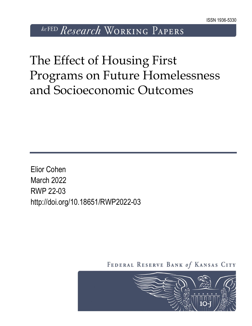*kcFED Research* WORKING PAPERS

The Effect of Housing First Programs on Future Homelessness and Socioeconomic Outcomes

Elior Cohen March 2022 RWP 22-03 http://doi.org/10.18651/RWP2022-03

FEDERAL RESERVE BANK of KANSAS CITY

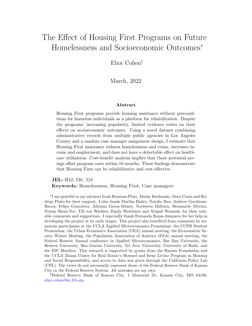# <span id="page-1-0"></span>The Effect of Housing First Programs on Future Homelessness and Socioeconomic Outcomes\*

Elior Cohen

March, 2022

#### Abstract

Housing First programs provide housing assistance without preconditions for homeless individuals as a platform for rehabilitation. Despite the programs' increasing popularity, limited evidence exists on their effects on socioeconomic outcomes. Using a novel dataset combining administrative records from multiple public agencies in Los Angeles County and a random case manager assignment design, I estimate that Housing First assistance reduces homelessness and crime, increases income and employment, and does not have a detectable effect on healthcare utilization. Cost-benefit analysis implies that these potential savings offset program costs within 18 months. These findings demonstrate that Housing First can be rehabilitative and cost-effective.

JEL: H42, I38, J18 Keywords: Homelessness, Housing First, Case managers

\* I am grateful to my advisors Leah Boustan-Platt, Moshe Buchinsky, Dora Costa and Rodrigo Pinto for their support. I also thank Martha Bailey, Natalie Bau, Andrew Goodman-Bacon, Felipe Goncalves, Adriana Lleras-Muney, Norweeta Milburn, Bernanrdo Silveira, Yotam Shem-Tov, Till von Wachter, Emily Weisburst and Abigail Wozniak, for their valuable comments and suggestions. I especially thank Fernanda Rojas-Ampuero for her help in developing the project at its early stages. This project also benefited from comments by numerous participants at the UCLA Applied Microeconomics Proseminar, the CCPR Student Proseminar, the Urban Economics Association (UEA) annual meeting, the Econometric Society Winter Meeting, the Population Association of America (PAA) annual meeting, the Federal Reserve Annual conference in Applied Microeconomics, Bar Ilan University, the Hebrew University, Ben Gurion University, Tel Aviv University, University of Haifa, and the IDC Herzliya. This research is supported by grants from the Haynes Foundation and the UCLA Ziman Center for Real Estate's Howard and Irene Levine Program in Housing and Social Responsibility, and access to data was given through the California Policy Lab (CPL). The views do not necessarily represent those of the Federal Reserve Bank of Kansas City or the Federal Reserve System. All mistakes are my own.

Federal Reserve Bank of Kansas City, 1 Memorial Dr, Kansas City, MO 64198. [elior.cohen@kc.frb.org](mailto:elior.cohen@kc.frb.org)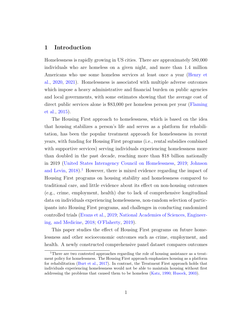# 1 Introduction

Homelessness is rapidly growing in US cities. There are approximately 580,000 individuals who are homeless on a given night, and more than 1.4 million Americans who use some homeless services at least once a year [\(Henry et](#page-38-0) [al.,](#page-38-0) [2020,](#page-38-0) [2021\)](#page-38-1). Homelessness is associated with multiple adverse outcomes which impose a heavy administrative and financial burden on public agencies and local governments, with some estimates showing that the average cost of direct public services alone is \$83,000 per homeless person per year [\(Flaming](#page-38-2) [et al.,](#page-38-2) [2015\)](#page-38-2).

The Housing First approach to homelessness, which is based on the idea that housing stabilizes a person's life and serves as a platform for rehabilitation, has been the popular treatment approach for homelessness in recent years, with funding for Housing First programs (i.e., rental subsidies combined with supportive services) serving individuals experiencing homelessness more than doubled in the past decade, reaching more than \$18 billion nationally in 2019 [\(United States Interagency Council on Homelessness,](#page-42-0) [2019;](#page-42-0) [Johnson](#page-39-0) [and Levin,](#page-39-0)  $2018$  $2018$  $2018$ <sup>1</sup>. However, there is mixed evidence regarding the impact of Housing First programs on housing stability and homelessness compared to traditional care, and little evidence about its effect on non-housing outcomes (e.g., crime, employment, health) due to lack of comprehensive longitudinal data on individuals experiencing homelessness, non-random selection of participants into Housing First programs, and challenges in conducting randomized controlled trials [\(Evans et al.,](#page-38-3) [2019;](#page-38-3) [National Academies of Sciences, Engineer](#page-41-0)[ing, and Medicine,](#page-41-0) [2018;](#page-41-0) [O'Flaherty,](#page-41-1) [2019\)](#page-41-1).

This paper studies the effect of Housing First programs on future homelessness and other socioeconomic outcomes such as crime, employment, and health. A newly constructed comprehensive panel dataset compares outcomes

<sup>&</sup>lt;sup>1</sup>There are two contested approaches regarding the role of housing assistance as a treatment policy for homelessness. The Housing First approach emphasizes housing as a platform for rehabilitation [\(Burt et al.,](#page-36-0) [2017\)](#page-36-0). In contrast, the Treatment First approach holds that individuals experiencing homelessness would not be able to maintain housing without first addressing the problems that caused them to be homeless [\(Katz,](#page-39-1) [1990;](#page-39-1) [Husock,](#page-39-2) [2003\)](#page-39-2).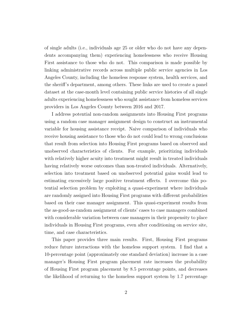of single adults (i.e., individuals age 25 or older who do not have any dependents accompanying them) experiencing homelessness who receive Housing First assistance to those who do not. This comparison is made possible by linking administrative records across multiple public service agencies in Los Angeles County, including the homeless response system, health services, and the sheriff's department, among others. These links are used to create a panel dataset at the case-month level containing public service histories of all single adults experiencing homelessness who sought assistance from homeless services providers in Los Angeles County between 2016 and 2017.

I address potential non-random assignments into Housing First programs using a random case manager assignment design to construct an instrumental variable for housing assistance receipt. Naive comparison of individuals who receive housing assistance to those who do not could lead to wrong conclusions that result from selection into Housing First programs based on observed and unobserved characteristics of clients. For example, prioritizing individuals with relatively higher acuity into treatment might result in treated individuals having relatively worse outcomes than non-treated individuals. Alternatively, selection into treatment based on unobserved potential gains would lead to estimating excessively large positive treatment effects. I overcome this potential selection problem by exploiting a quasi-experiment where individuals are randomly assigned into Housing First programs with different probabilities based on their case manager assignment. This quasi-experiment results from the as-good-as-random assignment of clients' cases to case managers combined with considerable variation between case managers in their propensity to place individuals in Housing First programs, even after conditioning on service site, time, and case characteristics.

This paper provides three main results. First, Housing First programs reduce future interactions with the homeless support system. I find that a 10-percentage point (approximately one standard deviation) increase in a case manager's Housing First program placement rate increases the probability of Housing First program placement by 8.5 percentage points, and decreases the likelihood of returning to the homeless support system by 1.7 percentage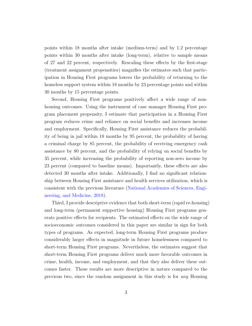points within 18 months after intake (medium-term) and by 1.2 percentage points within 30 months after intake (long-term), relative to sample means of 27 and 22 percent, respectively. Rescaling these effects by the first-stage (treatment assignment propensities) magnifies the estimates such that participation in Housing First programs lowers the probability of returning to the homeless support system within 18 months by 23 percentage points and within 30 months by 15 percentage points.

Second, Housing First programs positively affect a wide range of nonhousing outcomes. Using the instrument of case manager Housing First program placement propensity, I estimate that participation in a Housing First program reduces crime and reliance on social benefits and increases income and employment. Specifically, Housing First assistance reduces the probability of being in jail within 18 months by 95 percent, the probability of having a criminal charge by 85 percent, the probability of receiving emergency cash assistance by 80 percent, and the probability of relying on social benefits by 35 percent, while increasing the probability of reporting non-zero income by 23 percent (compared to baseline means). Importantly, these effects are also detected 30 months after intake. Additionally, I find no significant relationship between Housing First assistance and health services utilization, which is consistent with the previous literature [\(National Academies of Sciences, Engi](#page-41-0)[neering, and Medicine,](#page-41-0) [2018\)](#page-41-0).

Third, I provide descriptive evidence that both short-term (rapid re-housing) and long-term (permanent supportive housing) Housing First programs generate positive effects for recipients. The estimated effects on the wide range of socioeconomic outcomes considered in this paper are similar in sign for both types of programs. As expected, long-term Housing First programs produce considerably larger effects in magnitude in future homelessness compared to short-term Housing First programs. Nevertheless, the estimates suggest that short-term Housing First programs deliver much more favorable outcomes in crime, health, income, and employment, and that they also deliver these outcomes faster. These results are more descriptive in nature compared to the previous two, since the random assignment in this study is for any Housing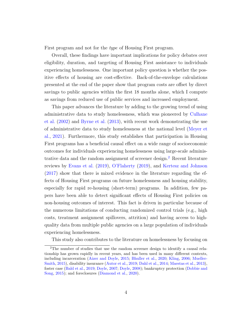First program and not for the *type* of Housing First program.

Overall, these findings have important implications for policy debates over eligibility, duration, and targeting of Housing First assistance to individuals experiencing homelessness. One important policy question is whether the positive effects of housing are cost-effective. Back-of-the-envelope calculations presented at the end of the paper show that program costs are offset by direct savings to public agencies within the first 18 months alone, which I compute as savings from reduced use of public services and increased employment.

This paper advances the literature by adding to the growing trend of using administrative data to study homelessness, which was pioneered by [Culhane](#page-37-0) [et al.](#page-37-0) [\(2002\)](#page-37-0) and [Byrne et al.](#page-36-1) [\(2013\)](#page-36-1), with recent work demonstrating the use of administrative data to study homelessness at the national level [\(Meyer et](#page-41-2) [al.,](#page-41-2) [2021\)](#page-41-2). Furthermore, this study establishes that participation in Housing First programs has a beneficial causal effect on a wide range of socioeconomic outcomes for individuals experiencing homelessness using large-scale adminis-trative data and the random assignment of screener design.<sup>[2](#page-1-0)</sup> Recent literature reviews by [Evans et al.](#page-38-3) [\(2019\)](#page-38-3), [O'Flaherty](#page-41-1) [\(2019\)](#page-41-1), and [Kertesz and Johnson](#page-40-0) [\(2017\)](#page-40-0) show that there is mixed evidence in the literature regarding the effects of Housing First programs on future homelessness and housing stability, especially for rapid re-housing (short-term) programs. In addition, few papers have been able to detect significant effects of Housing First policies on non-housing outcomes of interest. This fact is driven in particular because of the numerous limitations of conducting randomized control trials (e.g., high costs, treatment assignment spillovers, attrition) and having access to highquality data from multiple public agencies on a large population of individuals experiencing homelessness.

This study also contributes to the literature on homelessness by focusing on

<sup>2</sup>The number of studies that use the random screener design to identify a causal relationship has grown rapidly in recent years, and has been used in many different contexts, including incarceration [\(Aizer and Doyle,](#page-35-0) [2015;](#page-35-0) [Bhuller et al.,](#page-36-2) [2020;](#page-36-2) [Kling,](#page-40-1) [2006;](#page-40-1) [Mueller-](#page-41-3)[Smith,](#page-41-3) [2015\)](#page-41-3), disability insurance [\(Autor et al.,](#page-36-3) [2019;](#page-36-3) [Dahl et al.,](#page-37-1) [2014;](#page-37-1) [Maestas et al.,](#page-40-2) [2013\)](#page-40-2), foster case [\(Bald et al.,](#page-36-4) [2019;](#page-36-4) [Doyle,](#page-39-3) [2007;](#page-39-3) [Doyle,](#page-39-4) [2008\)](#page-39-4); bankruptcy protection [\(Dobbie and](#page-37-2) [Song,](#page-37-2) [2015\)](#page-37-2); and foreclosures [\(Diamond et al.,](#page-37-3) [2020\)](#page-37-3).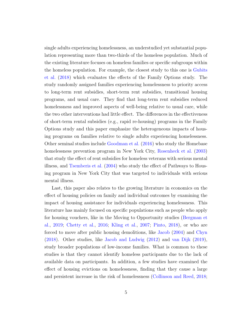single adults experiencing homelessness, an understudied yet substantial population representing more than two-thirds of the homeless population. Much of the existing literature focuses on homeless families or specific subgroups within the homeless population. For example, the closest study to this one is [Gubits](#page-38-4) [et al.](#page-38-4) [\(2018\)](#page-38-4) which evaluates the effects of the Family Options study. The study randomly assigned families experiencing homelessness to priority access to long-term rent subsidies, short-term rent subsidies, transitional housing programs, and usual care. They find that long-term rent subsidies reduced homelessness and improved aspects of well-being relative to usual care, while the two other interventions had little effect. The differences in the effectiveness of short-term rental subsidies (e.g., rapid re-housing) programs in the Family Options study and this paper emphasize the heterogeneous impacts of housing programs on families relative to single adults experiencing homelessness. Other seminal studies include [Goodman et al.](#page-38-5) [\(2016\)](#page-38-5) who study the Homebase homelessness prevention program in New York City, [Rosenheck et al.](#page-41-4) [\(2003\)](#page-41-4) that study the effect of rent subsidies for homeless veterans with serious mental illness, and [Tsemberis et al.](#page-42-1) [\(2004\)](#page-42-1) who study the effect of Pathways to Housing program in New York City that was targeted to individuals with serious mental illness.

Last, this paper also relates to the growing literature in economics on the effect of housing policies on family and individual outcomes by examining the impact of housing assistance for individuals experiencing homelessness. This literature has mainly focused on specific populations such as people who apply for housing vouchers, like in the Moving to Opportunity studies [\(Bergman et](#page-36-5) [al.,](#page-36-5) [2019;](#page-36-5) [Chetty et al.,](#page-37-4) [2016;](#page-37-4) [Kling et al.,](#page-40-3) [2007;](#page-40-3) [Pinto,](#page-41-5) [2018\)](#page-41-5), or who are forced to move after public housing demolitions, like [Jacob](#page-39-5) [\(2004\)](#page-39-5) and [Chyn](#page-37-5) [\(2018\)](#page-37-5). Other studies, like [Jacob and Ludwig](#page-39-6) [\(2012\)](#page-39-6) and [van Dijk](#page-42-2) [\(2019\)](#page-42-2), study broader populations of low-income families. What is common to these studies is that they cannot identify homeless participants due to the lack of available data on participants. In addition, a few studies have examined the effect of housing evictions on homelessness, finding that they cause a large and persistent increase in the risk of homelessness [\(Collinson and Reed,](#page-37-6) [2018;](#page-37-6)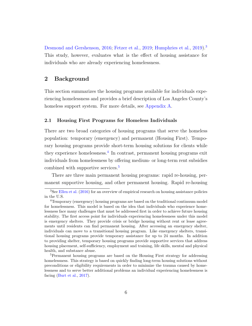[Desmond and Gershenson,](#page-37-7) [2016;](#page-37-7) [Fetzer et al.,](#page-38-6) [2019;](#page-38-6) [Humphries et al.,](#page-39-7) [2019\)](#page-39-7).<sup>[3](#page-1-0)</sup> This study, however, evaluates what is the effect of housing assistance for individuals who are already experiencing homelessness.

# 2 Background

This section summarizes the housing programs available for individuals experiencing homelessness and provides a brief description of Los Angeles County's homeless support system. For more details, see [Appendix A.](#page-52-0)

## <span id="page-7-0"></span>2.1 Housing First Programs for Homeless Individuals

There are two broad categories of housing programs that serve the homeless population: temporary (emergency) and permanent (Housing First). Temporary housing programs provide short-term housing solutions for clients while they experience homelessness.<sup>[4](#page-1-0)</sup> In contrast, permanent housing programs exit individuals from homelessness by offering medium- or long-term rent subsidies combined with supportive services.[5](#page-1-0)

There are three main permanent housing programs: rapid re-housing, permanent supportive housing, and other permanent housing. Rapid re-housing

<sup>&</sup>lt;sup>3</sup>See [Ellen et al.](#page-38-7) [\(2016\)](#page-38-7) for an overview of empirical research on housing assistance policies in the U.S.

<sup>4</sup>Temporary (emergency) housing programs are based on the traditional continuum model for homelessness. This model is based on the idea that individuals who experience homelessness face many challenges that must be addressed first in order to achieve future housing stability. The first access point for individuals experiencing homelessness under this model is emergency shelters. They provide crisis or bridge housing without rent or lease agreements until residents can find permanent housing. After accessing an emergency shelter, individuals can move to a transitional housing program. Like emergency shelters, transitional housing programs provide temporary assistance for up to 24 months. In addition to providing shelter, temporary housing programs provide supportive services that address housing placement, self-sufficiency, employment and training, life skills, mental and physical health, and substance abuse.

<sup>&</sup>lt;sup>5</sup>Permanent housing programs are based on the Housing First strategy for addressing homelessness. This strategy is based on quickly finding long-term housing solutions without preconditions or eligibility requirements in order to minimize the trauma caused by homelessness and to serve better additional problems an individual experiencing homelessness is facing [\(Burt et al.,](#page-36-0) [2017\)](#page-36-0).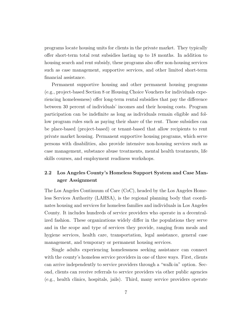programs locate housing units for clients in the private market. They typically offer short-term total rent subsidies lasting up to 18 months. In addition to housing search and rent subsidy, these programs also offer non-housing services such as case management, supportive services, and other limited short-term financial assistance.

Permanent supportive housing and other permanent housing programs (e.g., project-based Section 8 or Housing Choice Vouchers for individuals experiencing homelessness) offer long-term rental subsidies that pay the difference between 30 percent of individuals' incomes and their housing costs. Program participation can be indefinite as long as individuals remain eligible and follow program rules such as paying their share of the rent. Those subsidies can be place-based (project-based) or tenant-based that allow recipients to rent private market housing. Permanent supportive housing programs, which serve persons with disabilities, also provide intensive non-housing services such as case management, substance abuse treatments, mental health treatments, life skills courses, and employment readiness workshops.

# 2.2 Los Angeles County's Homeless Support System and Case Manager Assignment

The Los Angeles Continuum of Care (CoC), headed by the Los Angeles Homeless Services Authority (LAHSA), is the regional planning body that coordinates housing and services for homeless families and individuals in Los Angeles County. It includes hundreds of service providers who operate in a decentralized fashion. These organizations widely differ in the populations they serve and in the scope and type of services they provide, ranging from meals and hygiene services, health care, transportation, legal assistance, general case management, and temporary or permanent housing services.

Single adults experiencing homelessness seeking assistance can connect with the county's homeless service providers in one of three ways. First, clients can arrive independently to service providers through a "walk-in" option. Second, clients can receive referrals to service providers via other public agencies (e.g., health clinics, hospitals, jails). Third, many service providers operate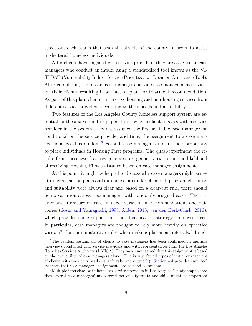street outreach teams that scan the streets of the county in order to assist unsheltered homeless individuals.

After clients have engaged with service providers, they are assigned to case managers who conduct an intake using a standardized tool known as the VI-SPDAT (Vulnerability Index - Service Prioritization Decision Assistance Tool). After completing the intake, case managers provide case management services for their clients, resulting in an "action plan" or treatment recommendation. As part of this plan, clients can receive housing and non-housing services from different service providers, according to their needs and availability.

Two features of the Los Angeles County homeless support system are essential for the analysis in this paper. First, when a client engages with a service provider in the system, they are assigned the first available case manager, so conditional on the service provider and time, the assignment to a case man-ager is as-good-as-random.<sup>[6](#page-1-0)</sup> Second, case managers differ in their propensity to place individuals in Housing First programs. The quasi-experiment the results from these two features generates exogenous variation in the likelihood of receiving Housing First assistance based on case manager assignment.

At this point, it might be helpful to discuss why case managers might arrive at different action plans and outcomes for similar clients. If program eligibility and suitability were always clear and based on a clear-cut rule, there should be no variation across case managers with randomly assigned cases. There is extensive literature on case manager variation in recommendations and outcomes [\(Sosin and Yamaguchi,](#page-42-3) [1995;](#page-42-3) [Alden,](#page-36-6) [2015;](#page-36-6) [van den Berk-Clark,](#page-42-4) [2016\)](#page-42-4), which provides some support for the identification strategy employed here. In particular, case managers are thought to rely more heavily on "practice wisdom" than administrative rules when making placement referrals.<sup>[7](#page-1-0)</sup> In ad-

 $6$ The random assignment of clients to case managers has been confirmed in multiple interviews conducted with service providers and with representatives from the Los Angeles Homeless Services Authority (LAHSA). They have emphasized that this assignment is based on the availability of case managers alone. This is true for all types of initial engagement of clients with providers (walk-ins, referrals, and outreach). [Section 4.4](#page-20-0) provides empirical evidence that case managers' assignments are as-good-as-random.

<sup>7</sup>Multiple interviews with homeless service providers in Los Angeles County emphasized that several case managers' unobserved personality traits and skills might be important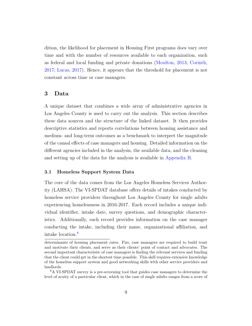dition, the likelihood for placement in Housing First programs does vary over time and with the number of resources available to each organization, such as federal and local funding and private donations [\(Moulton,](#page-41-6) [2013;](#page-41-6) [Corinth,](#page-37-8) [2017;](#page-37-8) [Lucas,](#page-40-4) [2017\)](#page-40-4). Hence, it appears that the threshold for placement is not constant across time or case managers.

# 3 Data

A unique dataset that combines a wide array of administrative agencies in Los Angeles County is used to carry out the analysis. This section describes these data sources and the structure of the linked dataset. It then provides descriptive statistics and reports correlations between housing assistance and medium- and long-term outcomes as a benchmark to interpret the magnitude of the causal effects of case managers and housing. Detailed information on the different agencies included in the analysis, the available data, and the cleaning and setting up of the data for the analysis is available in [Appendix B.](#page-61-0)

## <span id="page-10-0"></span>3.1 Homeless Support System Data

The core of the data comes from the Los Angeles Homeless Services Authority (LAHSA). The VI-SPDAT database offers details of intakes conducted by homeless service providers throughout Los Angeles County for single adults experiencing homelessness in 2016-2017. Each record includes a unique individual identifier, intake date, survey questions, and demographic characteristics. Additionally, each record provides information on the case manager conducting the intake, including their name, organizational affiliation, and intake location.[8](#page-1-0)

determinants of housing placement rates. Firs, case managers are required to build trust and motivate their clients, and serve as their clients' point of contact and advocates. The second important characteristic of case managers is finding the relevant services and funding that the client could get in the shortest time possible. This skill requires extensive knowledge of the homeless support system and good networking skills with other service providers and landlords.

<sup>8</sup>A VI-SPDAT survey is a pre-screening tool that guides case managers to determine the level of acuity of a particular client, which in the case of single adults ranges from a score of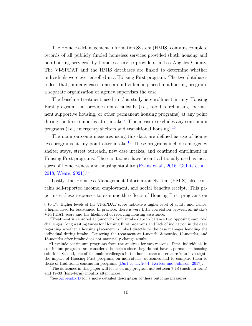The Homeless Management Information System (HMIS) contains complete records of all publicly funded homeless services provided (both housing and non-housing services) by homeless service providers in Los Angeles County. The VI-SPDAT and the HMIS databases are linked to determine whether individuals were ever enrolled in a Housing First program. The two databases reflect that, in many cases, once an individual is placed in a housing program, a separate organization or agency supervises the case.

The baseline treatment used in this study is enrollment in any Housing First program that provides rental subsidy (i.e., rapid re-rehousing, permanent supportive housing, or other permanent housing programs) at any point during the first 6-months after intake.<sup>[9](#page-1-0)</sup> This measure excludes any continuum programs (i.e., emergency shelters and transitional housing).[10](#page-1-0)

The main outcome measures using this data are defined as use of home-less programs at any point after intake.<sup>[11](#page-1-0)</sup> These programs include emergency shelter stays, street outreach, new case intakes, and continued enrollment in Housing First programs. These outcomes have been traditionally used as measures of homelessness and housing stability [\(Evans et al.,](#page-38-8) [2016;](#page-38-8) [Gubits et al.,](#page-38-4) [2018;](#page-38-4) [Weare,](#page-42-5)  $2021$ ).<sup>[12](#page-1-0)</sup>

Lastly, the Homeless Management Information System (HMIS) also contains self-reported income, employment, and social benefits receipt. This paper uses these responses to examine the effects of Housing First programs on

<sup>0</sup> to 17. Higher levels of the VI-SPDAT score indicate a higher level of acuity and, hence, a higher need for assistance. In practice, there is very little correlation between an intake's VI-SPDAT score and the likelihood of receiving housing assistance.

<sup>9</sup>Treatment is censored at 6-months from intake date to balance two opposing empirical challenges: long waiting times for Housing First programs and lack of indication in the data regarding whether a housing placement is linked directly to the case manager handling the individual during intake. Censoring the treatment at 1-month, 3-months, 12-months, and 18-months after intake does not materially change results.

<sup>&</sup>lt;sup>10</sup>I exclude continuum programs from the analysis for two reasons. First, individuals in continuum programs are considered homeless since they do not have a permanent housing solution. Second, one of the main challenges in the homelessness literature is to investigate the impact of Housing First programs on individuals' outcomes and to compare them to those of traditional continuum programs [\(Burt et al.,](#page-36-7) [2001;](#page-36-7) [Kertesz and Johnson,](#page-40-0) [2017\)](#page-40-0).

<sup>&</sup>lt;sup>11</sup>The outcomes in this paper will focus on any program use between 7-18 (medium-term) and 19-30 (long-term) months after intake.

<sup>12</sup>See [Appendix B](#page-61-0) for a more detailed description of these outcome measures.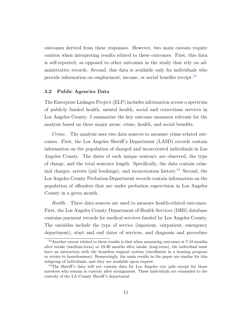outcomes derived from these responses. However, two main caveats require caution when interpreting results related to these outcomes. First, this data is self-reported, as opposed to other outcomes in the study that rely on administrative records. Second, this data is available only for individuals who provide information on employment, income, or social benefits receipt.<sup>[13](#page-1-0)</sup>

## 3.2 Public Agencies Data

The Enterprise Linkages Project (ELP) includes information across a spectrum of publicly funded health, mental health, social and corrections services in Los Angeles County. I summarize the key outcome measures relevant for the analysis based on three major areas: crime, health, and social benefits.

Crime.– The analysis uses two data sources to measure crime-related outcomes. First, the Los Angeles Sheriff's Department (LASD) records contain information on the population of charged and incarcerated individuals in Los Angeles County. The dates of each unique sentence are observed, the type of charge, and the total sentence length. Specifically, the data contain crim-inal charges, arrests (jail bookings), and incarceration history.<sup>[14](#page-1-0)</sup> Second, the Los Angeles County Probation Department records contain information on the population of offenders that are under probation supervision in Los Angeles County in a given month.

Health.– Three data sources are used to measure health-related outcomes. First, the Los Angeles County Department of Health Services (DHS) database contains payment records for medical services funded by Los Angeles County. The variables include the type of service (inpatient, outpatient, emergency department), start and end dates of services, and diagnosis and procedure

<sup>&</sup>lt;sup>13</sup>Another caveat related to these results is that when measuring outcomes at 7-18 months after intake (medium-term) or 19-30 months after intake (long-term), the individual must have an interaction with the homeless support system (enrollment in a housing program or return to homelessness). Reassuringly, the main results in the paper are similar for this subgroup of individuals, and they are available upon request.

<sup>&</sup>lt;sup>14</sup>The Sheriff's data will not contain data for Los Angeles city jails except for those arrestees who remain in custody after arraignment. These individuals are remanded to the custody of the LA County Sheriff's department.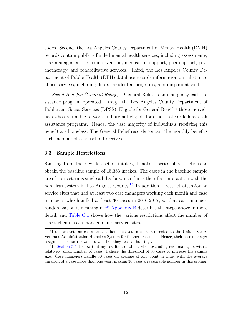codes. Second, the Los Angeles County Department of Mental Health (DMH) records contain publicly funded mental health services, including assessments, case management, crisis intervention, medication support, peer support, psychotherapy, and rehabilitative services. Third, the Los Angeles County Department of Public Health (DPH) database records information on substanceabuse services, including detox, residential programs, and outpatient visits.

Social Benefits (General Relief ).– General Relief is an emergency cash assistance program operated through the Los Angeles County Department of Public and Social Services (DPSS). Eligible for General Relief is those individuals who are unable to work and are not eligible for other state or federal cash assistance programs. Hence, the vast majority of individuals receiving this benefit are homeless. The General Relief records contain the monthly benefits each member of a household receives.

## 3.3 Sample Restrictions

Starting from the raw dataset of intakes, I make a series of restrictions to obtain the baseline sample of 15,353 intakes. The cases in the baseline sample are of non-veterans single adults for which this is their first interaction with the homeless system in Los Angeles County.<sup>[15](#page-1-0)</sup> In addition, I restrict attention to service sites that had at least two case managers working each month and case managers who handled at least 30 cases in 2016-2017, so that case manager randomization is meaningful.<sup>[16](#page-1-0)</sup> [Appendix B](#page-66-0) describes the steps above in more detail, and [Table C.1](#page-79-0) shows how the various restrictions affect the number of cases, clients, case managers and service sites.

<sup>&</sup>lt;sup>15</sup>I remove veteran cases because homeless veterans are redirected to the United States Veterans Administration Homeless System for further treatment. Hence, their case manager assignment is not relevant to whether they receive housing .

<sup>&</sup>lt;sup>16</sup>In [Section 5.4,](#page-31-0) I show that my results are robust when excluding case managers with a relatively small number of cases. I chose the threshold of 30 cases to increase the sample size. Case managers handle 30 cases on average at any point in time, with the average duration of a case more than one year, making 30 cases a reasonable number in this setting.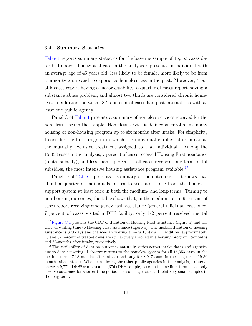### <span id="page-14-0"></span>3.4 Summary Statistics

[Table 1](#page-46-0) reports summary statistics for the baseline sample of 15,353 cases described above. The typical case in the analysis represents an individual with an average age of 45 years old, less likely to be female, more likely to be from a minority group and to experience homelessness in the past. Moreover, 4 out of 5 cases report having a major disability, a quarter of cases report having a substance abuse problem, and almost two thirds are considered chronic homeless. In addition, between 18-25 percent of cases had past interactions with at least one public agency.

Panel C of [Table 1](#page-46-0) presents a summary of homeless services received for the homeless cases in the sample. Homeless service is defined as enrollment in any housing or non-housing program up to six months after intake. For simplicity, I consider the first program in which the individual enrolled after intake as the mutually exclusive treatment assigned to that individual. Among the 15,353 cases in the analysis, 7 percent of cases received Housing First assistance (rental subsidy), and less than 1 percent of all cases received long-term rental subsidies, the most intensive housing assistance program available. $17$ 

Panel D of [Table 1](#page-46-0) presents a summary of the outcomes.<sup>[18](#page-1-0)</sup> It shows that about a quarter of individuals return to seek assistance from the homeless support system at least once in both the medium- and long-terms. Turning to non-housing outcomes, the table shows that, in the medium-term, 9 percent of cases report receiving emergency cash assistance (general relief) at least once, 7 percent of cases visited a DHS facility, only 1-2 percent received mental

<sup>&</sup>lt;sup>17</sup>[Figure C.1](#page-74-0) presents the CDF of duration of Housing First assistance (figure a) and the CDF of waiting time to Housing First assistance (figure b). The median duration of housing assistance is 320 days and the median waiting time is 15 days. In addition, approximately 45 and 32 percent of treated cases are still actively enrolled in a housing program 18-months and 30-months after intake, respectively.

<sup>&</sup>lt;sup>18</sup>The availability of data on outcomes naturally varies across intake dates and agencies due to data censoring. I observe returns to the homeless system for all 15,353 cases in the medium-term (7-18 months after intake) and only for 8,947 cases in the long-term (19-30 months after intake). When considering the other public agencies in the analysis, I observe between 9,771 (DPSS sample) and 4,376 (DPH sample) cases in the medium term. I can only observe outcomes for shorter time periods for some agencies and relatively small samples in the long term.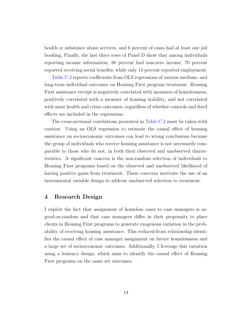health or substance abuse services, and 6 percent of cases had at least one jail booking, Finally, the last three rows of Panel D show that among individuals reporting income information, 80 percent had non-zero income, 70 percent reported receiving social benefits, while only 14 percent reported employment.

[Table C.2](#page-80-0) reports coefficients from OLS regressions of various medium- and long-term individual outcomes on Housing First program treatment. Housing First assistance receipt is negatively correlated with measures of homelessness, positively correlated with a measure of housing stability, and not correlated with most health and crime outcomes, regardless of whether controls and fixed effects are included in the regressions.

The cross-sectional correlations presented in [Table C.2](#page-80-0) must be taken with caution. Using an OLS regression to estimate the causal effect of housing assistance on socioeconomic outcomes can lead to wrong conclusions because the group of individuals who receive housing assistance is not necessarily comparable to those who do not, in both their observed and unobserved characteristics. A significant concern is the non-random selection of individuals to Housing First programs based on the observed and unobserved likelihood of having positive gains from treatment. These concerns motivate the use of an instrumental variable design to address unobserved selection to treatment.

# 4 Research Design

I exploit the fact that assignment of homeless cases to case managers is asgood-as-random and that case managers differ in their propensity to place clients in Housing First programs to generate exogenous variation in the probability of receiving housing assistance. This reduced-from relationship identifies the causal effect of case manager assignment on future homelessness and a large set of socioeconomic outcomes. Additionally, I leverage this variation using a leniency design, which aims to identify the causal effect of Housing First programs on the same set outcomes.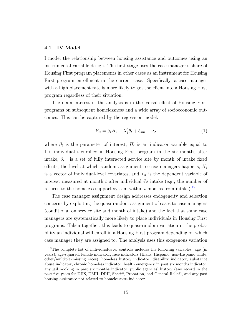## 4.1 IV Model

I model the relationship between housing assistance and outcomes using an instrumental variable design. The first stage uses the case manager's share of Housing First program placements in other cases as an instrument for Housing First program enrollment in the current case. Specifically, a case manager with a high placement rate is more likely to get the client into a Housing First program regardless of their situation.

The main interest of the analysis is in the causal effect of Housing First programs on subsequent homelessness and a wide array of socioeconomic outcomes. This can be captured by the regression model:

<span id="page-16-0"></span>
$$
Y_{it} = \beta_t H_i + X_i' \theta_t + \delta_{sm} + \nu_{it} \tag{1}
$$

where  $\beta_t$  is the parameter of interest,  $H_i$  is an indicator variable equal to 1 if individual i enrolled in Housing First program in the six months after intake,  $\delta_{sm}$  is a set of fully interacted service site by month of intake fixed effects, the level at which random assignment to case managers happens,  $X_i$ is a vector of individual-level covariates, and  $Y_{it}$  is the dependent variable of interest measured at month  $t$  after individual  $i$ 's intake (e.g., the number of returns to the homeless support system within t months from intake).<sup>[19](#page-1-0)</sup>

The case manager assignment design addresses endogeneity and selection concerns by exploiting the quasi-random assignment of cases to case managers (conditional on service site and month of intake) and the fact that some case managers are systematically more likely to place individuals in Housing First programs. Taken together, this leads to quasi-random variation in the probability an individual will enroll in a Housing First program depending on which case manager they are assigned to. The analysis uses this exogenous variation

<sup>19</sup>The complete list of individual-level controls includes the following variables: age (in years), age-squared, female indicator, race indicators (Black, Hispanic, non-Hispanic white, other/multiple/missing races), homeless history indicator, disability indicator, substance abuse indicator, chronic homeless indicator, health emergency in past six months indicator, any jail booking in past six months indicator, public agencies' history (any record in the past five years for DHS, DMH, DPH, Sheriff, Probation, and General Relief), and any past housing assistance not related to homelessness indicator.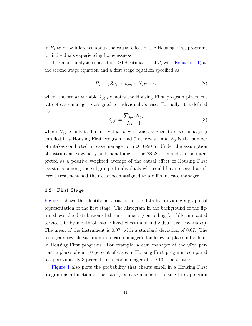in  $H_i$  to draw inference about the causal effect of the Housing First programs for individuals experiencing homelessness.

The main analysis is based on 2SLS estimation of  $\beta_t$  with [Equation \(1\)](#page-16-0) as the second stage equation and a first stage equation specified as:

<span id="page-17-0"></span>
$$
H_i = \gamma Z_{j(i)} + \rho_{sm} + X_i' \psi + \varepsilon_i \tag{2}
$$

where the scalar variable  $Z_{i(i)}$  denotes the Housing First program placement rate of case manager  $j$  assigned to individual  $i$ 's case. Formally, it is defined as:

$$
Z_{j(i)} = \frac{\sum_{k \neq i} H_{jk}}{N_j - 1} \tag{3}
$$

where  $H_{jk}$  equals to 1 if individual k who was assigned to case manager j enrolled in a Housing First program, and 0 otherwise, and  $N_j$  is the number of intakes conducted by case manager  $j$  in 2016-2017. Under the assumption of instrument exogeneity and monotonicity, the 2SLS estimand can be interpreted as a positive weighted average of the causal effect of Housing First assistance among the subgroup of individuals who could have received a different treatment had their case been assigned to a different case manager.

#### 4.2 First Stage

[Figure 1](#page-43-0) shows the identifying variation in the data by providing a graphical representation of the first stage. The histogram in the background of the figure shows the distribution of the instrument (controlling for fully interacted service site by month of intake fixed effects and individual-level covariates). The mean of the instrument is 0.07, with a standard deviation of 0.07. The histogram reveals variation in a case manager's tendency to place individuals in Housing First programs. For example, a case manager at the 90th percentile places about 10 percent of cases in Housing First programs compared to approximately 3 percent for a case manager at the 10th percentile.

[Figure 1](#page-43-0) also plots the probability that clients enroll in a Housing First program as a function of their assigned case manager Housing First program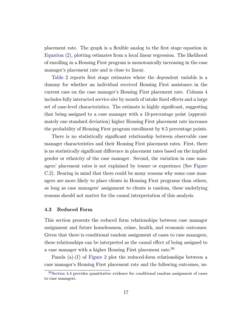placement rate. The graph is a flexible analog to the first stage equation in [Equation \(2\),](#page-17-0) plotting estimates from a local linear regression. The likelihood of enrolling in a Housing First program is monotonically increasing in the case manager's placement rate and is close to linear.

[Table 2](#page-47-0) reports first stage estimates where the dependent variable is a dummy for whether an individual received Housing First assistance in the current case on the case manager's Housing First placement rate. Column 4 includes fully interacted service site by month of intake fixed effects and a large set of case-level characteristics. The estimate is highly significant, suggesting that being assigned to a case manager with a 10-percentage point (approximately one standard deviation) higher Housing First placement rate increases the probability of Housing First program enrollment by 8.5 percentage points.

There is no statistically significant relationship between observable case manager characteristics and their Housing First placement rates. First, there is no statistically significant difference in placement rates based on the implied gender or ethnicity of the case manager. Second, the variation in case managers' placement rates is not explained by tenure or experience (See [Figure](#page-75-0) [C.2\)](#page-75-0). Bearing in mind that there could be many reasons why some case managers are more likely to place clients in Housing First programs than others, as long as case managers' assignment to clients is random, these underlying reasons should not matter for the causal interpretation of this analysis.

#### 4.3 Reduced Form

This section presents the reduced form relationships between case manager assignment and future homelessness, crime, health, and economic outcomes. Given that there is conditional random assignment of cases to case managers, these relationships can be interpreted as the causal effect of being assigned to a case manager with a higher Housing First placement rate.<sup>[20](#page-1-0)</sup>

Panels (a)-(f) of [Figure 2](#page-44-0) plot the reduced-form relationships between a case manager's Housing First placement rate and the following outcomes, us-

 $20$ [Section 4.4](#page-20-0) provides quantitative evidence for conditional random assignment of cases to case managers.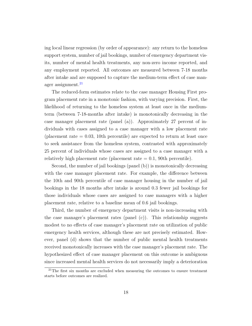ing local linear regression (by order of appearance): any return to the homeless support system, number of jail bookings, number of emergency department visits, number of mental health treatments, any non-zero income reported, and any employment reported. All outcomes are measured between 7-18 months after intake and are supposed to capture the medium-term effect of case man-ager assignment.<sup>[21](#page-1-0)</sup>

The reduced-form estimates relate to the case manager Housing First program placement rate in a monotonic fashion, with varying precision. First, the likelihood of returning to the homeless system at least once in the mediumterm (between 7-18-months after intake) is monotonically decreasing in the case manager placement rate (panel (a)). Approximately 27 percent of individuals with cases assigned to a case manager with a low placement rate (placement rate  $= 0.03, 10$ th percentile) are expected to return at least once to seek assistance from the homeless system, contrasted with approximately 25 percent of individuals whose cases are assigned to a case manager with a relatively high placement rate (placement rate  $= 0.1$ , 90th percentile).

Second, the number of jail bookings (panel (b)) is monotonically decreasing with the case manager placement rate. For example, the difference between the 10th and 90th percentile of case manager housing in the number of jail bookings in the 18 months after intake is around 0.3 fewer jail bookings for those individuals whose cases are assigned to case managers with a higher placement rate, relative to a baseline mean of 0.6 jail bookings.

Third, the number of emergency department visits is non-increasing with the case manager's placement rates (panel (c)). This relationship suggests modest to no effects of case manager's placement rate on utilization of public emergency health services, although these are not precisely estimated. However, panel (d) shows that the number of public mental health treatments received monotonically increases with the case manager's placement rate. The hypothesized effect of case manager placement on this outcome is ambiguous since increased mental health services do not necessarily imply a deterioration

<sup>&</sup>lt;sup>21</sup>The first six months are excluded when measuring the outcomes to ensure treatment starts before outcomes are realized.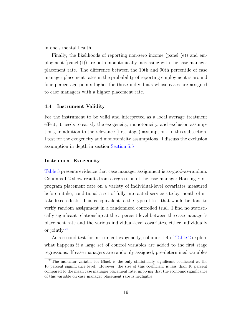in one's mental health.

Finally, the likelihoods of reporting non-zero income (panel (e)) and employment (panel (f)) are both monotonically increasing with the case manager placement rate. The difference between the 10th and 90th percentile of case manager placement rates in the probability of reporting employment is around four percentage points higher for those individuals whose cases are assigned to case managers with a higher placement rate.

## <span id="page-20-0"></span>4.4 Instrument Validity

For the instrument to be valid and interpreted as a local average treatment effect, it needs to satisfy the exogeneity, monotonicity, and exclusion assumptions, in addition to the relevance (first stage) assumption. In this subsection, I test for the exogeneity and monotonicity assumptions. I discuss the exclusion assumption in depth in section [Section 5.5](#page-32-0)

## Instrument Exogeneity

[Table 3](#page-48-0) presents evidence that case manager assignment is as-good-as-random. Columns 1-2 show results from a regression of the case manager Housing First program placement rate on a variety of individual-level covariates measured before intake, conditional a set of fully interacted service site by month of intake fixed effects. This is equivalent to the type of test that would be done to verify random assignment in a randomized controlled trial. I find no statistically significant relationship at the 5 percent level between the case manager's placement rate and the various individual-level covariates, either individually or jointly.[22](#page-1-0)

As a second test for instrument exogeneity, columns 1-4 of [Table 2](#page-47-0) explore what happens if a large set of control variables are added to the first stage regressions. If case managers are randomly assigned, pre-determined variables

 $^{22}$ The indicator variable for Black is the only statistically significant coefficient at the 10 percent significance level. However, the size of this coefficient is less than 10 percent compared to the mean case manager placement rate, implying that the economic significance of this variable on case manager placement rate is negligible.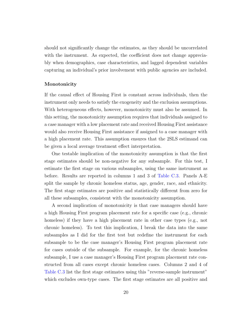should not significantly change the estimates, as they should be uncorrelated with the instrument. As expected, the coefficient does not change appreciably when demographics, case characteristics, and lagged dependent variables capturing an individual's prior involvement with public agencies are included.

## Monotonicity

If the causal effect of Housing First is constant across individuals, then the instrument only needs to satisfy the exogeneity and the exclusion assumptions. With heterogeneous effects, however, monotonicity must also be assumed. In this setting, the monotonicity assumption requires that individuals assigned to a case manager with a low placement rate and received Housing First assistance would also receive Housing First assistance if assigned to a case manager with a high placement rate. This assumption ensures that the 2SLS estimand can be given a local average treatment effect interpretation.

One testable implication of the monotonicity assumption is that the first stage estimates should be non-negative for any subsample. For this test, I estimate the first stage on various subsamples, using the same instrument as before. Results are reported in columns 1 and 3 of [Table C.3.](#page-81-0) Panels A-E split the sample by chronic homeless status, age, gender, race, and ethnicity. The first stage estimates are positive and statistically different from zero for all these subsamples, consistent with the monotonicity assumption.

A second implication of monotonicity is that case managers should have a high Housing First program placement rate for a specific case (e.g., chronic homeless) if they have a high placement rate in other case types (e.g., not chronic homeless). To test this implication, I break the data into the same subsamples as I did for the first test but redefine the instrument for each subsample to be the case manager's Housing First program placement rate for cases outside of the subsample. For example, for the chronic homeless subsample, I use a case manager's Housing First program placement rate constructed from all cases except chronic homeless cases. Columns 2 and 4 of [Table C.3](#page-81-0) list the first stage estimates using this "reverse-sample instrument" which excludes own-type cases. The first stage estimates are all positive and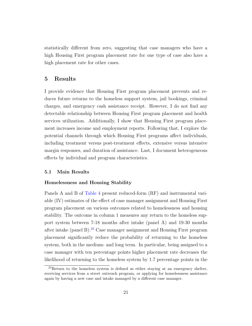statistically different from zero, suggesting that case managers who have a high Housing First program placement rate for one type of case also have a high placement rate for other cases.

# 5 Results

I provide evidence that Housing First program placement prevents and reduces future returns to the homeless support system, jail bookings, criminal charges, and emergency cash assistance receipt. However, I do not find any detectable relationship between Housing First program placement and health services utilization. Additionally, I show that Housing First program placement increases income and employment reports. Following that, I explore the potential channels through which Housing First programs affect individuals, including treatment versus post-treatment effects, extensive versus intensive margin responses, and duration of assistance. Last, I document heterogeneous effects by individual and program characteristics.

## 5.1 Main Results

## Homelessness and Housing Stability

Panels A and B of [Table 4](#page-49-0) present reduced-form (RF) and instrumental variable (IV) estimates of the effect of case manager assignment and Housing First program placement on various outcomes related to homelessness and housing stability. The outcome in column 1 measures any return to the homeless support system between 7-18 months after intake (panel A) and 19-30 months after intake (panel B).<sup>[23](#page-1-0)</sup> Case manager assignment and Housing First program placement significantly reduce the probability of returning to the homeless system, both in the medium- and long term. In particular, being assigned to a case manager with ten percentage points higher placement rate decreases the likelihood of returning to the homeless system by 1.7 percentage points in the

<sup>23</sup>Return to the homeless system is defined as either staying at an emergency shelter, receiving services from a street outreach program, or applying for homelessness assistance again by having a new case and intake managed by a different case manager.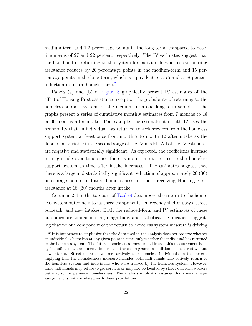medium-term and 1.2 percentage points in the long-term, compared to baseline means of 27 and 22 percent, respectively. The IV estimates suggest that the likelihood of returning to the system for individuals who receive housing assistance reduces by 20 percentage points in the medium-term and 15 percentage points in the long-term, which is equivalent to a 75 and a 68 percent reduction in future homelessness.<sup>[24](#page-1-0)</sup>

Panels (a) and (b) of [Figure 3](#page-45-0) graphically present IV estimates of the effect of Housing First assistance receipt on the probability of returning to the homeless support system for the medium-term and long-term samples. The graphs present a series of cumulative monthly estimates from 7 months to 18 or 30 months after intake. For example, the estimate at month 12 uses the probability that an individual has returned to seek services from the homeless support system at least once from month 7 to month 12 after intake as the dependent variable in the second stage of the IV model. All of the IV estimates are negative and statistically significant. As expected, the coefficients increase in magnitude over time since there is more time to return to the homeless support system as time after intake increases. The estimates suggest that there is a large and statistically significant reduction of approximately 20 (30) percentage points in future homelessness for those receiving Housing First assistance at 18 (30) months after intake.

Columns 2-4 in the top part of [Table 4](#page-49-0) decompose the return to the homeless system outcome into its three components: emergency shelter stays, street outreach, and new intakes. Both the reduced-form and IV estimates of these outcomes are similar in sign, magnitude, and statistical significance, suggesting that no one component of the return to homeless system measure is driving

<sup>&</sup>lt;sup>24</sup>It is important to emphasize that the data used in the analysis does not observe whether an individual is homeless at any given point in time, only whether the individual has returned to the homeless system. The future homelessness measure addresses this measurement issue by including new enrollments in street outreach programs in addition to shelter stays and new intakes. Street outreach workers actively seek homeless individuals on the streets, implying that the homelessness measure includes both individuals who actively return to the homeless system and individuals who were tracked by the homeless system. However, some individuals may refuse to get services or may not be located by street outreach workers but may still experience homelessness. The analysis implicitly assumes that case manager assignment is not correlated with these possibilities.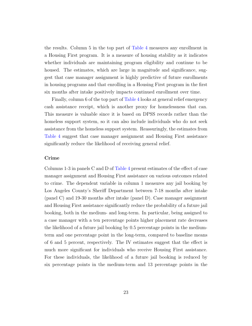the results. Column 5 in the top part of [Table 4](#page-49-0) measures any enrollment in a Housing First program. It is a measure of housing stability as it indicates whether individuals are maintaining program eligibility and continue to be housed. The estimates, which are large in magnitude and significance, suggest that case manager assignment is highly predictive of future enrollments in housing programs and that enrolling in a Housing First program in the first six months after intake positively impacts continued enrollment over time.

Finally, column 6 of the top part of [Table 4](#page-49-0) looks at general relief emergency cash assistance receipt, which is another proxy for homelessness that can. This measure is valuable since it is based on DPSS records rather than the homeless support system, so it can also include individuals who do not seek assistance from the homeless support system. Reassuringly, the estimates from [Table 4](#page-49-0) suggest that case manager assignment and Housing First assistance significantly reduce the likelihood of receiving general relief.

## Crime

Columns 1-3 in panels C and D of [Table 4](#page-49-0) present estimates of the effect of case manager assignment and Housing First assistance on various outcomes related to crime. The dependent variable in column 1 measures any jail booking by Los Angeles County's Sheriff Department between 7-18 months after intake (panel C) and 19-30 months after intake (panel D). Case manager assignment and Housing First assistance significantly reduce the probability of a future jail booking, both in the medium- and long-term. In particular, being assigned to a case manager with a ten percentage points higher placement rate decreases the likelihood of a future jail booking by 0.5 percentage points in the mediumterm and one percentage point in the long-term, compared to baseline means of 6 and 5 percent, respectively. The IV estimates suggest that the effect is much more significant for individuals who receive Housing First assistance. For these individuals, the likelihood of a future jail booking is reduced by six percentage points in the medium-term and 13 percentage points in the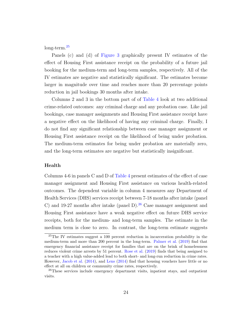long-term.[25](#page-1-0)

Panels (c) and (d) of [Figure 3](#page-45-0) graphically present IV estimates of the effect of Housing First assistance receipt on the probability of a future jail booking for the medium-term and long-term samples, respectively. All of the IV estimates are negative and statistically significant. The estimates become larger in magnitude over time and reaches more than 20 percentage points reduction in jail bookings 30 months after intake.

Columns 2 and 3 in the bottom part of of [Table 4](#page-49-0) look at two additional crime-related outcomes: any criminal charge and any probation case. Like jail bookings, case manager assignments and Housing First assistance receipt have a negative effect on the likelihood of having any criminal charge. Finally, I do not find any significant relationship between case manager assignment or Housing First assistance receipt on the likelihood of being under probation. The medium-term estimates for being under probation are materially zero, and the long-term estimates are negative but statistically insignificant.

## Health

Columns 4-6 in panels C and D of [Table 4](#page-49-0) present estimates of the effect of case manager assignment and Housing First assistance on various health-related outcomes. The dependent variable in column 4 measures any Department of Health Services (DHS) services receipt between 7-18 months after intake (panel C) and 19-27 months after intake (panel D). $^{26}$  $^{26}$  $^{26}$  Case manager assignment and Housing First assistance have a weak negative effect on future DHS service receipts, both for the medium- and long-term samples. The estimate in the medium term is close to zero. In contrast, the long-term estimate suggests

<sup>&</sup>lt;sup>25</sup>The IV estimates suggest a 100 percent reduction in incarceration probability in the medium-term and more than 200 percent in the long-term. [Palmer et al.](#page-41-7) [\(2019\)](#page-41-7) find that emergency financial assistance receipt for families that are on the brink of homelessness reduces violent crime arrests by 51 percent. [Rose et al.](#page-41-8) [\(2019\)](#page-41-8) finds that being assigned to a teacher with a high value-added lead to both short- and long-run reduction in crime rates. However, [Jacob et al.](#page-39-8) [\(2014\)](#page-39-8), and [Lens](#page-40-5) [\(2014\)](#page-40-5) find that housing vouchers have little or no effect at all on children or community crime rates, respectively.

<sup>&</sup>lt;sup>26</sup>These services include emergency department visits, inpatient stays, and outpatient visits.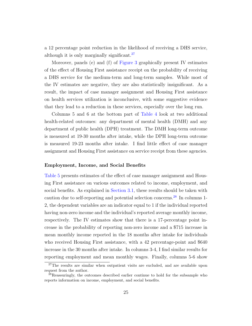a 12 percentage point reduction in the likelihood of receiving a DHS service, although it is only marginally significant.<sup>[27](#page-1-0)</sup>

Moreover, panels (e) and (f) of [Figure 3](#page-45-0) graphically present IV estimates of the effect of Housing First assistance receipt on the probability of receiving a DHS service for the medium-term and long-term samples. While most of the IV estimates are negative, they are also statistically insignificant. As a result, the impact of case manager assignment and Housing First assistance on health services utilization is inconclusive, with some suggestive evidence that they lead to a reduction in these services, especially over the long run.

Columns 5 and 6 at the bottom part of [Table 4](#page-49-0) look at two additional health-related outcomes: any department of mental health (DMH) and any department of public health (DPH) treatment. The DMH long-term outcome is measured at 19-30 months after intake, while the DPH long-term outcome is measured 19-23 months after intake. I find little effect of case manager assignment and Housing First assistance on service receipt from these agencies.

## Employment, Income, and Social Benefits

[Table 5](#page-50-0) presents estimates of the effect of case manager assignment and Housing First assistance on various outcomes related to income, employment, and social benefits. As explained in [Section 3.1,](#page-10-0) these results should be taken with caution due to self-reporting and potential selection concerns.[28](#page-1-0) In columns 1- 2, the dependent variables are an indicator equal to 1 if the individual reported having non-zero income and the individual's reported average monthly income, respectively. The IV estimates show that there is a 17-percentage point increase in the probability of reporting non-zero income and a \$715 increase in mean monthly income reported in the 18 months after intake for individuals who received Housing First assistance, with a 42 percentage-point and \$640 increase in the 30 months after intake. In columns 3-4, I find similar results for reporting employment and mean monthly wages. Finally, columns 5-6 show

<sup>&</sup>lt;sup>27</sup>The results are similar when outpatient visits are excluded, and are available upon request from the author.

<sup>28</sup>Reassuringly, the outcomes described earlier continue to hold for the subsample who reports information on income, employment, and social benefits.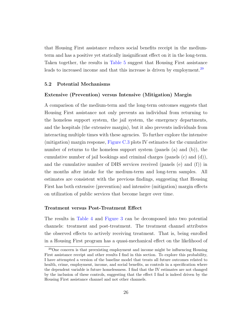that Housing First assistance reduces social benefits receipt in the mediumterm and has a positive yet statically insignificant effect on it in the long-term. Taken together, the results in [Table 5](#page-50-0) suggest that Housing First assistance leads to increased income and that this increase is driven by employment.<sup>[29](#page-1-0)</sup>

## 5.2 Potential Mechanisms

## Extensive (Prevention) versus Intensive (Mitigation) Margin

A comparison of the medium-term and the long-term outcomes suggests that Housing First assistance not only prevents an individual from returning to the homeless support system, the jail system, the emergency departments, and the hospitals (the extensive margin), but it also prevents individuals from interacting multiple times with these agencies. To further explore the intensive (mitigation) margin response, [Figure C.3](#page-76-0) plots IV estimates for the cumulative number of returns to the homeless support system (panels (a) and (b)), the cumulative number of jail bookings and criminal charges (panels (c) and (d)), and the cumulative number of DHS services received (panels (e) and (f)) in the months after intake for the medium-term and long-term samples. All estimates are consistent with the previous findings, suggesting that Housing First has both extensive (prevention) and intensive (mitigation) margin effects on utilization of public services that become larger over time.

## Treatment versus Post-Treatment Effect

The results in [Table 4](#page-49-0) and [Figure 3](#page-45-0) can be decomposed into two potential channels: treatment and post-treatment. The treatment channel attributes the observed effects to actively receiving treatment. That is, being enrolled in a Housing First program has a quasi-mechanical effect on the likelihood of

<sup>29</sup>One concern is that preexisting employment and income might be influencing Housing First assistance receipt and other results I find in this section. To explore this probability, I have attempted a version of the baseline model that treats all future outcomes related to health, crime, employment, income, and social benefits, as controls in a specification where the dependent variable is future homelessness. I find that the IV estimates are not changed by the inclusion of these controls, suggesting that the effect I find is indeed driven by the Housing First assistance channel and not other channels.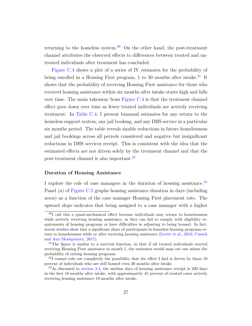returning to the homeless system.<sup>[30](#page-1-0)</sup> On the other hand, the post-treatment channel attributes the observed effects to differences between treated and untreated individuals after treatment has concluded.

[Figure C.4](#page-77-0) shows a plot of a series of IV estimates for the probability of being enrolled in a Housing First program, 1 to 30 months after intake.<sup>[31](#page-1-0)</sup> It shows that the probability of receiving Housing First assistance for those who received housing assistance within six months after intake starts high and falls over time. The main takeaway from [Figure C.4](#page-77-0) is that the treatment channel effect goes down over time as fewer treated individuals are actively receiving treatment. In [Table C.4,](#page-82-0) I present biannual estimates for any return to the homeless support system, any jail booking, and any DHS service in a particular six months period. The table reveals sizable reductions in future homelessness and jail bookings across all periods considered and negative but insignificant reductions in DHS services receipt. This is consistent with the idea that the estimated effects are not driven solely by the treatment channel and that the post-treatment channel is also important.[32](#page-1-0)

## Duration of Housing Assistance

I explore the role of case managers in the duration of housing assistance.<sup>[33](#page-1-0)</sup> Panel (a) of [Figure C.5](#page-78-0) graphs housing assistance duration in days (including zeros) as a function of the case manager Housing First placement rate. The upward slope indicates that being assigned to a case manager with a higher

<sup>30</sup>I call this a quasi-mechanical effect because individuals may return to homelessness while actively receiving housing assistance, as they can fail to comply with eligibility requirements of housing programs or have difficulties in adjusting to being housed. In fact, recent studies show that a significant share of participants in homeless housing programs return to homelessness while or after receiving housing assistance [\(Levitt et al.,](#page-40-6) [2013;](#page-40-6) [Cusack](#page-37-9) [and Ann Montgomery,](#page-37-9) [2017\)](#page-37-9).

 $31$ The figure is similar to a survival function, in that if all treated individuals started receiving Housing First assistance in month 1, the estimates would map out one minus the probability of exiting housing programs.

 $32I$  cannot rule out completely the possibility that the effect I find is driven by those 10 percent of individuals who are still housed even 30 months after intake.

<sup>33</sup>As discussed in [section 3.4,](#page-14-0) the median days of housing assistance receipt is 320 days in the first 18 months after intake, with approximately 45 percent of treated cases actively receiving housing assistance 18-months after intake.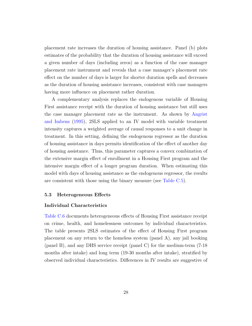placement rate increases the duration of housing assistance. Panel (b) plots estimates of the probability that the duration of housing assistance will exceed a given number of days (including zeros) as a function of the case manager placement rate instrument and reveals that a case manager's placement rate effect on the number of days is larger for shorter duration spells and decreases as the duration of housing assistance increases, consistent with case managers having more influence on placement rather duration.

A complementary analysis replaces the endogenous variable of Housing First assistance receipt with the duration of housing assistance but still uses the case manager placement rate as the instrument. As shown by [Angrist](#page-36-8) [and Imbens](#page-36-8) [\(1995\)](#page-36-8), 2SLS applied to an IV model with variable treatment intensity captures a weighted average of causal responses to a unit change in treatment. In this setting, defining the endogenous regressor as the duration of housing assistance in days permits identification of the effect of another day of housing assistance. Thus, this parameter captures a convex combination of the extensive margin effect of enrollment in a Housing First program and the intensive margin effect of a longer program duration. When estimating this model with days of housing assistance as the endogenous regressor, the results are consistent with those using the binary measure (see [Table C.5\)](#page-83-0).

## 5.3 Heterogeneous Effects

#### Individual Characteristics

[Table C.6](#page-84-0) documents heterogeneous effects of Housing First assistance receipt on crime, health, and homelessness outcomes by individual characteristics. The table presents 2SLS estimates of the effect of Housing First program placement on any return to the homeless system (panel A), any jail booking (panel B), and any DHS service receipt (panel C) for the medium-term (7-18 months after intake) and long term (19-30 months after intake), stratified by observed individual characteristics. Differences in IV results are suggestive of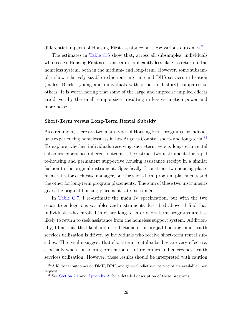differential impacts of Housing First assistance on these various outcomes.<sup>[34](#page-1-0)</sup>

The estimates in [Table C.6](#page-84-0) show that, across all subsamples, individuals who receive Housing First assistance are significantly less likely to return to the homeless system, both in the medium- and long-term. However, some subsamples show relatively sizable reductions in crime and DHS services utilization (males, Blacks, young and individuals with prior jail history) compared to others. It is worth noting that some of the large and imprecise implied effects are driven by the small sample sizes, resulting in less estimation power and more noise.

## Short-Term versus Long-Term Rental Subsidy

As a reminder, there are two main types of Housing First programs for individuals experiencing homelessness in Los Angeles County: short- and long-term.[35](#page-1-0) To explore whether individuals receiving short-term versus long-term rental subsidies experience different outcomes, I construct two instruments for rapid re-housing and permanent supportive housing assistance receipt in a similar fashion to the original instrument. Specifically, I construct two housing placement rates for each case manager, one for short-term program placements and the other for long-term program placements. The sum of these two instruments gives the original housing placement rate instrument.

In [Table C.7,](#page-85-0) I re-estimate the main IV specification, but with the two separate endogenous variables and instruments described above. I find that individuals who enrolled in either long-term or short-term programs are less likely to return to seek assistance from the homeless support system. Additionally, I find that the likelihood of reductions in future jail bookings and health services utilization is driven by individuals who receive short-term rental subsidies. The results suggest that short-term rental subsidies are very effective, especially when considering prevention of future crimes and emergency health services utilization. However, these results should be interpreted with caution

<sup>34</sup>Additional outcomes on DMH, DPH, and general relief service receipt are available upon request.

<sup>&</sup>lt;sup>35</sup>See [Section 2.1](#page-7-0) and [Appendix A](#page-52-0) for a detailed description of these programs.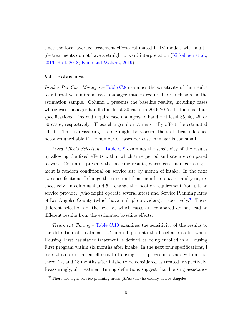since the local average treatment effects estimated in IV models with multiple treatments do not have a straightforward interpretation [\(Kirkeboen et al.,](#page-40-7) [2016;](#page-40-7) [Hull,](#page-39-9) [2018;](#page-39-9) [Kline and Walters,](#page-40-8) [2019\)](#page-40-8).

## <span id="page-31-0"></span>5.4 Robustness

Intakes Per Case Manager.– [Table C.8](#page-86-0) examines the sensitivity of the results to alternative minimum case manager intakes required for inclusion in the estimation sample. Column 1 presents the baseline results, including cases whose case manager handled at least 30 cases in 2016-2017. In the next four specifications, I instead require case managers to handle at least 35, 40, 45, or 50 cases, respectively. These changes do not materially affect the estimated effects. This is reassuring, as one might be worried the statistical inference becomes unreliable if the number of cases per case manager is too small.

Fixed Effects Selection. – [Table C.9](#page-87-0) examines the sensitivity of the results by allowing the fixed effects within which time period and site are compared to vary. Column 1 presents the baseline results, where case manager assignment is random conditional on service site by month of intake. In the next two specifications, I change the time unit from month to quarter and year, respectively. In columns 4 and 5, I change the location requirement from site to service provider (who might operate several sites) and Service Planning Area of Los Angeles County (which have multiple providers), respectively.<sup>[36](#page-1-0)</sup> These different selections of the level at which cases are compared do not lead to different results from the estimated baseline effects.

Treatment Timing.– [Table C.10](#page-88-0) examines the sensitivity of the results to the definition of treatment. Column 1 presents the baseline results, where Housing First assistance treatment is defined as being enrolled in a Housing First program within six months after intake. In the next four specifications, I instead require that enrollment to Housing First programs occurs within one, three, 12, and 18 months after intake to be considered as treated, respectively. Reassuringly, all treatment timing definitions suggest that housing assistance

<sup>36</sup>There are eight service planning areas (SPAs) in the county of Los Angeles.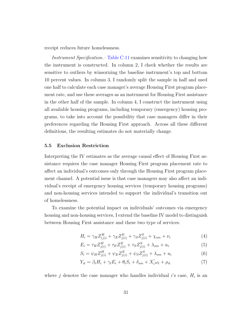receipt reduces future homelessness.

Instrument Specification.– [Table C.11](#page-89-0) examines sensitivity to changing how the instrument is constructed. In column 2, I check whether the results are sensitive to outliers by winsorizing the baseline instrument's top and bottom 10 percent values. In column 3, I randomly split the sample in half and used one half to calculate each case manager's average Housing First program placement rate, and use these averages as an instrument for Housing First assistance in the other half of the sample. In column 4, I construct the instrument using all available housing programs, including temporary (emergency) housing programs, to take into account the possibility that case managers differ in their preferences regarding the Housing First approach. Across all these different definitions, the resulting estimates do not materially change.

## <span id="page-32-0"></span>5.5 Exclusion Restriction

Interpreting the IV estimates as the average causal effect of Housing First assistance requires the case manager Housing First program placement rate to affect an individual's outcomes only through the Housing First program placement channel. A potential issue is that case managers may also affect an individual's receipt of emergency housing services (temporary housing programs) and non-housing services intended to support the individual's transition out of homelessness.

To examine the potential impact on individuals' outcomes via emergency housing and non-housing services, I extend the baseline IV model to distinguish between Housing First assistance and these two type of services:

<span id="page-32-1"></span>
$$
H_i = \gamma_H Z_{(j)i}^H + \gamma_E Z_{j(i)}^E + \gamma_S Z_{j(i)}^S + \chi_{sm} + \nu_i
$$
\n(4)

$$
E_i = \tau_H Z_{j(i)}^H + \tau_E Z_{j(i)}^E + \tau_S Z_{j(i)}^S + \lambda_{sm} + u_i
$$
\n(5)

<span id="page-32-2"></span>
$$
S_i = \psi_H Z_{j(i)}^H + \psi_E Z_{j(i)}^E + \psi_S Z_{j(i)}^S + \lambda_{sm} + u_i
$$
\n(6)

$$
Y_{it} = \beta_t H_i + \gamma_t E_i + \theta_t S_i + \delta_{sm} + X_i' \omega_t + \rho_{it}
$$
\n<sup>(7)</sup>

where j denotes the case manager who handles individual i's case,  $H_i$  is an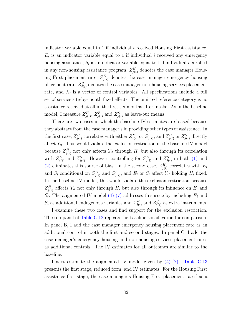indicator variable equal to 1 if individual  $i$  received Housing First assistance,  $E_i$  is an indicator variable equal to 1 if individual i received any emergency housing assistance,  $S_i$  is an indicator variable equal to 1 if individual i enrolled in any non-housing assistance program,  $Z_{j(i)}^H$  denotes the case manager Housing First placement rate,  $Z_{j(i)}^E$  denotes the case manager emergency housing placement rate,  $Z_{j(i)}^S$  denotes the case manager non-housing services placement rate, and  $X_i$  is a vector of control variables. All specifications include a full set of service site-by-month fixed effects. The omitted reference category is no assistance received at all in the first six months after intake. As in the baseline model, I measure  $Z_{j(i)}^H$ ,  $Z_{j(i)}^E$  and  $Z_{j(i)}^S$  as leave-out means.

There are two cases in which the baseline IV estimates are biased because they abstract from the case manager's in providing other types of assistance. In the first case,  $Z_{j(i)}^H$  correlates with either  $Z_{j(i)}^E$  or  $Z_{j(i)}^S$ , and  $Z_{j(i)}^E$  or  $Z_{j(i)}^S$  directly affect  $Y_{it}$ . This would violate the exclusion restriction in the baseline IV model because  $Z_{j(i)}^H$  not only affects  $Y_{it}$  through  $H_i$  but also through its correlation with  $Z_{j(i)}^E$  and  $Z_{j(i)}^S$ . However, controlling for  $Z_{j(i)}^E$  and  $Z_{j(i)}^S$  in both [\(1\)](#page-16-0) and [\(2\)](#page-17-0) eliminates this source of bias. In the second case,  $Z_{j(i)}^H$  correlates with  $E_i$ and  $S_i$  conditional on  $Z_{j(i)}^E$  and  $Z_{j(i)}^S$ , and  $E_i$  or  $S_i$  affect  $Y_{it}$  holding  $H_i$  fixed. In the baseline IV model, this would violate the exclusion restriction because  $Z_{j(i)}^H$  affects  $Y_{it}$  not only through  $H_i$  but also through its influence on  $E_i$  and  $S_i$ . The augmented IV model [\(4\)](#page-32-1)[-\(7\)](#page-32-2) addresses this issue by including  $E_i$  and  $S_i$  as additional endogenous variables and  $Z_{j(i)}^E$  and  $Z_{j(i)}^S$  as extra instruments.

I examine these two cases and find support for the exclusion restriction. The top panel of [Table C.12](#page-90-0) repeats the baseline specification for comparison. In panel B, I add the case manager emergency housing placement rate as an additional control in both the first and second stages. In panel C, I add the case manager's emergency housing and non-housing services placement rates as additional controls. The IV estimates for all outcomes are similar to the baseline.

I next estimate the augmented IV model given by  $(4)-(7)$  $(4)-(7)$ . [Table C.13](#page-91-0) presents the first stage, reduced form, and IV estimates. For the Housing First assistance first stage, the case manager's Housing First placement rate has a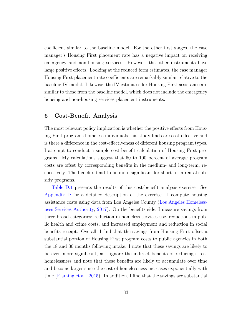coefficient similar to the baseline model. For the other first stages, the case manager's Housing First placement rate has a negative impact on receiving emergency and non-housing services. However, the other instruments have large positive effects. Looking at the reduced form estimates, the case manager Housing First placement rate coefficients are remarkably similar relative to the baseline IV model. Likewise, the IV estimates for Housing First assistance are similar to those from the baseline model, which does not include the emergency housing and non-housing services placement instruments.

# 6 Cost-Benefit Analysis

The most relevant policy implication is whether the positive effects from Housing First programs homeless individuals this study finds are cost-effective and is there a difference in the cost-effectiveness of different housing program types. I attempt to conduct a simple cost-benefit calculation of Housing First programs. My calculations suggest that 50 to 100 percent of average program costs are offset by corresponding benefits in the medium- and long-term, respectively. The benefits tend to be more significant for short-term rental subsidy programs.

[Table D.1](#page-94-0) presents the results of this cost-benefit analysis exercise. See [Appendix D](#page-92-0) for a detailed description of the exercise. I compute housing assistance costs using data from Los Angeles County [\(Los Angeles Homeless](#page-40-9)[ness Services Authority,](#page-40-9) [2017\)](#page-40-9). On the benefits side, I measure savings from three broad categories: reduction in homeless services use, reductions in public health and crime costs, and increased employment and reduction in social benefits receipt. Overall, I find that the savings from Housing First offset a substantial portion of Housing First program costs to public agencies in both the 18 and 30 months following intake. I note that these savings are likely to be even more significant, as I ignore the indirect benefits of reducing street homelessness and note that these benefits are likely to accumulate over time and become larger since the cost of homelessness increases exponentially with time [\(Flaming et al.,](#page-38-2) [2015\)](#page-38-2). In addition, I find that the savings are substantial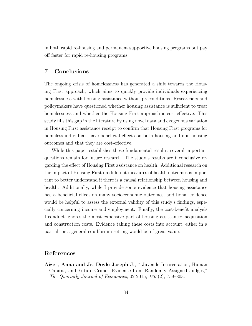in both rapid re-housing and permanent supportive housing programs but pay off faster for rapid re-housing programs.

# 7 Conclusions

The ongoing crisis of homelessness has generated a shift towards the Housing First approach, which aims to quickly provide individuals experiencing homelessness with housing assistance without preconditions. Researchers and policymakers have questioned whether housing assistance is sufficient to treat homelessness and whether the Housing First approach is cost-effective. This study fills this gap in the literature by using novel data and exogenous variation in Housing First assistance receipt to confirm that Housing First programs for homeless individuals have beneficial effects on both housing and non-housing outcomes and that they are cost-effective.

While this paper establishes these fundamental results, several important questions remain for future research. The study's results are inconclusive regarding the effect of Housing First assistance on health. Additional research on the impact of Housing First on different measures of health outcomes is important to better understand if there is a causal relationship between housing and health. Additionally, while I provide some evidence that housing assistance has a beneficial effect on many socioeconomic outcomes, additional evidence would be helpful to assess the external validity of this study's findings, especially concerning income and employment. Finally, the cost-benefit analysis I conduct ignores the most expensive part of housing assistance: acquisition and construction costs. Evidence taking these costs into account, either in a partial- or a general-equilibrium setting would be of great value.

# References

<span id="page-35-0"></span>Aizer, Anna and Jr. Doyle Joseph J., "Juvenile Incarceration, Human Capital, and Future Crime: Evidence from Randomly Assigned Judges," The Quarterly Journal of Economics, 02 2015, 130 (2), 759–803.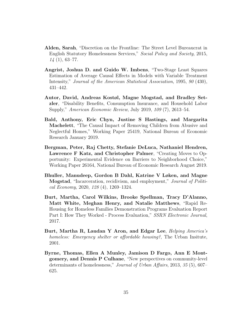- Alden, Sarah, "Discretion on the Frontline: The Street Level Bureaucrat in English Statutory Homelessness Services," Social Policy and Society, 2015, 14 (1), 63–77.
- Angrist, Joshua D. and Guido W. Imbens, "Two-Stage Least Squares Estimation of Average Causal Effects in Models with Variable Treatment Intensity," Journal of the American Statistical Association, 1995, 90 (430), 431–442.
- Autor, David, Andreas Kostøl, Magne Mogstad, and Bradley Setzler, "Disability Benefits, Consumption Insurance, and Household Labor Supply," American Economic Review, July 2019, 109 (7), 2613–54.
- Bald, Anthony, Eric Chyn, Justine S Hastings, and Margarita Machelett, "The Causal Impact of Removing Children from Abusive and Neglectful Homes," Working Paper 25419, National Bureau of Economic Research January 2019.
- Bergman, Peter, Raj Chetty, Stefanie DeLuca, Nathaniel Hendren, Lawrence F Katz, and Christopher Palmer, "Creating Moves to Opportunity: Experimental Evidence on Barriers to Neighborhood Choice," Working Paper 26164, National Bureau of Economic Research August 2019.
- Bhuller, Manudeep, Gordon B Dahl, Katrine V Løken, and Magne **Mogstad**, "Incarceration, recidivism, and employment," *Journal of Politi*cal Economy, 2020, 128 (4), 1269–1324.
- <span id="page-36-1"></span>Burt, Martha, Carol Wilkins, Brooke Spellman, Tracy D'Alanno, Matt White, Meghan Henry, and Natalie Matthews, "Rapid Re-Housing for Homeless Families Demonstration Programs Evaluation Report Part I: How They Worked - Process Evaluation," SSRN Electronic Journal, 2017.
- <span id="page-36-2"></span>Burt, Martha R, Laudan Y Aron, and Edgar Lee, Helping America's homeless: Emergency shelter or affordable housing?, The Urban Insitute, 2001.
- <span id="page-36-0"></span>Byrne, Thomas, Ellen A Munley, Jamison D Fargo, Ann E Montgomery, and Dennis P Culhane, "New perspectives on community-level determinants of homelessness," Journal of Urban Affairs, 2013, 35 (5), 607– 625.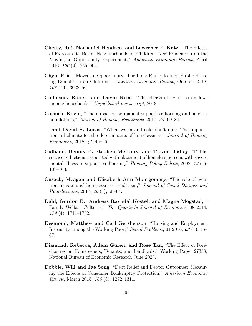- Chetty, Raj, Nathaniel Hendren, and Lawrence F. Katz, "The Effects of Exposure to Better Neighborhoods on Children: New Evidence from the Moving to Opportunity Experiment," American Economic Review, April 2016, 106 (4), 855–902.
- Chyn, Eric, "Moved to Opportunity: The Long-Run Effects of Public Housing Demolition on Children," American Economic Review, October 2018, 108 (10), 3028–56.
- Collinson, Robert and Davin Reed, "The effects of evictions on lowincome households," Unpublished manuscript, 2018.
- <span id="page-37-0"></span>Corinth, Kevin, "The impact of permanent supportive housing on homeless populations," Journal of Housing Economics, 2017, 35, 69–84.
- <span id="page-37-1"></span>and David S. Lucas, "When warm and cold don't mix: The implications of climate for the determinants of homelessness," Journal of Housing Economics, 2018, 41, 45–56.
- Culhane, Dennis P., Stephen Metraux, and Trevor Hadley, "Public service reductions associated with placement of homeless persons with severe mental illness in supportive housing," Housing Policy Debate, 2002, 13 (1), 107–163.
- Cusack, Meagan and Elizabeth Ann Montgomery, "The role of eviction in veterans' homelessness recidivism," Journal of Social Distress and Homelessness, 2017, 26 (1), 58–64.
- Dahl, Gordon B., Andreas Ravndal Kostøl, and Magne Mogstad, " Family Welfare Cultures," The Quarterly Journal of Economics, 08 2014, 129 (4), 1711–1752.
- Desmond, Matthew and Carl Gershenson, "Housing and Employment Insecurity among the Working Poor," Social Problems, 01 2016, 63 (1), 46– 67.
- Diamond, Rebecca, Adam Guren, and Rose Tan, "The Effect of Foreclosures on Homeowners, Tenants, and Landlords," Working Paper 27358, National Bureau of Economic Research June 2020.
- Dobbie, Will and Jae Song, "Debt Relief and Debtor Outcomes: Measuring the Effects of Consumer Bankruptcy Protection," American Economic Review, March 2015, 105 (3), 1272–1311.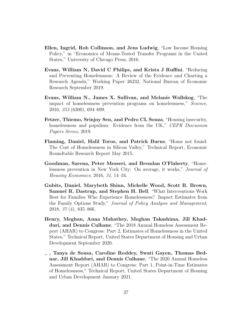- Ellen, Ingrid, Rob Collinson, and Jens Ludwig, "Low Income Housing Policy," in "Economics of Means-Tested Transfer Programs in the United States," University of Chicago Press, 2016.
- <span id="page-38-0"></span>Evans, William N, David C Philips, and Krista J Ruffini, "Reducing and Preventing Homelessness: A Review of the Evidence and Charting a Research Agenda," Working Paper 26232, National Bureau of Economic Research September 2019.
- Evans, William N., James X. Sullivan, and Melanie Wallskog, "The impact of homelessness prevention programs on homelessness," Science, 2016, 353 (6300), 694–699.
- Fetzer, Thiemo, Srinjoy Sen, and Pedro CL Souza, "Housing insecurity, homelessness and populism: Evidence from the UK," CEPR Discussion Papers Series, 2019.
- Flaming, Daniel, Halil Toros, and Patrick Burns, "Home not found: The Cost of Homelessness in Silicon Valley," Technical Report, Economic Roundtable Research Report May 2015.
- Goodman, Sarena, Peter Messeri, and Brendan O'Flaherty, "Homelessness prevention in New York City: On average, it works," Journal of Housing Economics, 2016, 31, 14–34.
- Gubits, Daniel, Marybeth Shinn, Michelle Wood, Scott R. Brown, Samuel R. Dastrup, and Stephen H. Bell, "What Interventions Work Best for Families Who Experience Homelessness? Impact Estimates from the Family Options Study," Journal of Policy Analysis and Management, 2018, 37 (4), 835–866.
- <span id="page-38-1"></span>Henry, Meghan, Anna Mahathey, Meghan Takashima, Jill Khadduri, and Dennis Culhane, "The 2018 Annual Homeless Assessment Report (AHAR) to Congress: Part 2, Estimates of Homelessness in the United States," Technical Report, United States Department of Housing and Urban Development September 2020.
- , Tanya de Sousa, Caroline Roddey, Swati Gayen, Thomas Bednar, Jill Khadduri, and Dennis Culhane, "The 2020 Annual Homeless Assessment Report (AHAR) to Congress: Part 1, Point-in-Time Estimates of Homelessness," Technical Report, United States Department of Housing and Urban Development January 2021.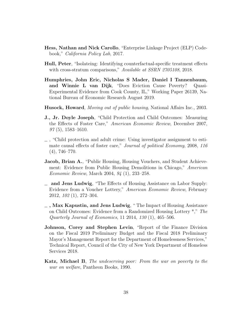- <span id="page-39-0"></span>Hess, Nathan and Nick Carollo, "Enterprise Linkage Project (ELP) Codebook," California Policy Lab, 2017.
- Hull, Peter, "Isolateing: Identifying counterfactual-specific treatment effects with cross-stratum comparisons," Available at SSRN 2705108, 2018.
- Humphries, John Eric, Nicholas S Mader, Daniel I Tannenbaum, and Winnie L van Dijk, "Does Eviction Cause Poverty? Quasi-Experimental Evidence from Cook County, IL," Working Paper 26139, National Bureau of Economic Research August 2019.
- Husock, Howard, Moving out of public housing, National Affairs Inc., 2003.
- J., Jr. Doyle Joseph, "Child Protection and Child Outcomes: Measuring the Effects of Foster Care," American Economic Review, December 2007,  $97(5)$ , 1583–1610.
- , "Child protection and adult crime: Using investigator assignment to estimate causal effects of foster care," Journal of political Economy, 2008, 116  $(4), 746-770.$
- **Jacob, Brian A.**, "Public Housing, Housing Vouchers, and Student Achievement: Evidence from Public Housing Demolitions in Chicago," American Economic Review, March 2004, 94 (1), 233–258.
- and Jens Ludwig, "The Effects of Housing Assistance on Labor Supply: Evidence from a Voucher Lottery," American Economic Review, February 2012, 102 (1), 272–304.
- $\overline{\phantom{a}}$ , Max Kapustin, and Jens Ludwig, "The Impact of Housing Assistance on Child Outcomes: Evidence from a Randomized Housing Lottery \*," The Quarterly Journal of Economics, 11 2014, 130 (1), 465–506.
- Johnson, Corey and Stephen Levin, "Report of the Finance Division on the Fiscal 2019 Preliminary Budget and the Fiscal 2018 Preliminary Mayor's Management Report for the Department of Homelessness Services," Technical Report, Council of the City of New York Department of Homeless Services 2018.
- Katz, Michael B, The undeserving poor: From the war on poverty to the war on welfare, Pantheon Books, 1990.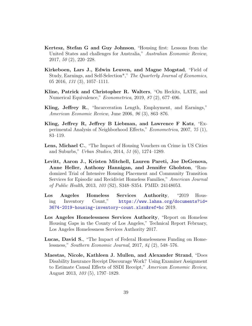- <span id="page-40-1"></span>Kertesz, Stefan G and Guy Johnson, "Housing first: Lessons from the United States and challenges for Australia," Australian Economic Review, 2017, 50 (2), 220–228.
- Kirkeboen, Lars J., Edwin Leuven, and Magne Mogstad, "Field of Study, Earnings, and Self-Selection<sup>\*</sup>," The Quarterly Journal of Economics, 05 2016, 131 (3), 1057–1111.
- Kline, Patrick and Christopher R. Walters, "On Heckits, LATE, and Numerical Equivalence," Econometrica, 2019, 87 (2), 677–696.
- Kling, Jeffrey R., "Incarceration Length, Employment, and Earnings," American Economic Review, June 2006, 96 (3), 863–876.
- Kling, Jeffrey R, Jeffrey B Liebman, and Lawrence F Katz, "Experimental Analysis of Neighborhood Effects," Econometrica, 2007, 75 (1), 83–119.
- Lens, Michael C., "The Impact of Housing Vouchers on Crime in US Cities and Suburbs," Urban Studies, 2014, 51 (6), 1274–1289.
- Levitt, Aaron J., Kristen Mitchell, Lauren Pareti, Joe DeGenova, Anne Heller, Anthony Hannigan, and Jennifer Gholston, "Randomized Trial of Intensive Housing Placement and Community Transition Services for Episodic and Recidivist Homeless Families," American Journal of Public Health, 2013, 103 (S2), S348–S354. PMID: 24148053.
- <span id="page-40-0"></span>Los Angeles Homeless Services Authority, "2019 Housing Inventory Count," [https://www.lahsa.org/documents?id=](https://www.lahsa.org/documents?id=3674-2019-housing-inventory-count.xlsx&ref=hc) [3674-2019-housing-inventory-count.xlsx&ref=hc](https://www.lahsa.org/documents?id=3674-2019-housing-inventory-count.xlsx&ref=hc) 2019.
- Los Angeles Homelessness Services Authority, "Report on Homeless Housing Gaps in the County of Los Angeles," Technical Report February, Los Angeles Homelessness Services Authority 2017.
- Lucas, David S., "The Impact of Federal Homelessness Funding on Homelessness," Southern Economic Journal, 2017, 84 (2), 548–576.
- Maestas, Nicole, Kathleen J. Mullen, and Alexander Strand, "Does Disability Insurance Receipt Discourage Work? Using Examiner Assignment to Estimate Causal Effects of SSDI Receipt," American Economic Review, August 2013, 103 (5), 1797–1829.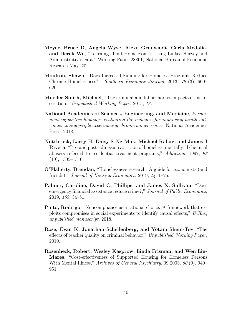- Meyer, Bruce D, Angela Wyse, Alexa Grunwaldt, Carla Medalia, and Derek Wu, "Learning about Homelessness Using Linked Survey and Administrative Data," Working Paper 28861, National Bureau of Economic Research May 2021.
- Moulton, Shawn, "Does Increased Funding for Homeless Programs Reduce Chronic Homelessness?," Southern Economic Journal, 2013, 79 (3), 600– 620.
- Mueller-Smith, Michael, "The criminal and labor market impacts of incarceration," Unpublished Working Paper, 2015, 18.
- National Academies of Sciences, Engineering, and Medicine, Permanent supportive housing: evaluating the evidence for improving health outcomes among people experiencing chronic homelessness, National Academies Press, 2018.
- Nuttbrock, Larry H, Daisy S Ng-Mak, Michael Rahav, and James J Rivera, "Pre-and post-admission attrition of homeless, mentally ill chemical abusers referred to residential treatment programs," Addiction, 1997, 92 (10), 1305–1316.
- <span id="page-41-0"></span>O'Flaherty, Brendan, "Homelessness research: A guide for economists (and friends)," Journal of Housing Economics, 2019, 44, 1–25.
- Palmer, Caroline, David C. Phillips, and James X. Sullivan, "Does emergency financial assistance reduce crime?," Journal of Public Economics, 2019, 169, 34–51.
- Pinto, Rodrigo, "Noncompliance as a rational choice: A framework that exploits compromises in social experiments to identify causal effects," UCLA, unpublished manuscript, 2018.
- Rose, Evan K, Jonathan Schellenberg, and Yotam Shem-Tov, "The effects of teacher quality on criminal behavior," Unpublished Working Paper, 2019.
- Rosenheck, Robert, Wesley Kasprow, Linda Frisman, and Wen Liu-Mares, "Cost-effectiveness of Supported Housing for Homeless Persons With Mental Illness," Archives of General Psychiatry, 09 2003, 60 (9), 940– 951.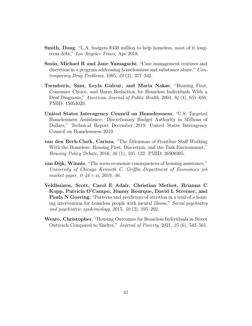- <span id="page-42-1"></span>Smith, Doug, "L.A. budgets \$430 million to help homeless, most of it longterm debt," Los Angeles Times, Apr 2018.
- Sosin, Michael R and Jane Yamaguchi, "Case management routines and discretion in a program addressing homelessness and substance abuse," Contemporary Drug Problems, 1995, 22 (2), 317–342.
- Tsemberis, Sam, Leyla Gulcur, and Maria Nakae, "Housing First, Consumer Choice, and Harm Reduction for Homeless Individuals With a Dual Diagnosis," American Journal of Public Health, 2004, 94 (4), 651–656. PMID: 15054020.
- <span id="page-42-0"></span>United States Interagency Council on Homelessness, "U.S. Targeted Homelessness Assistance: Discretionary Budget Authority in Millions of Dollars," Technical Report December 2019, United States Interagency Council on Homelessness 2019.
- van den Berk-Clark, Carissa, "The Dilemmas of Frontline Staff Working With the Homeless: Housing First, Discretion, and the Task Environment," Housing Policy Debate, 2016, 26 (1), 105–122. PMID: 26900305.
- van Dijk, Winnie, "The socio-economic consequences of housing assistance," University of Chicago Kenneth C. Griffin Department of Economics job market paper,  $0\n-46$  *i* $-\xi$ *i*, 2019, 36.
- Veldhuizen, Scott, Carol E Adair, Christian Methot, Brianna C Kopp, Patricia O'Campo, Jimmy Bourque, David L Streiner, and Paula N Goering, "Patterns and predictors of attrition in a trial of a housing intervention for homeless people with mental illness," Social psychiatry and psychiatric epidemiology,  $2015, 50$   $(2), 195-202$ .
- Weare, Christopher, "Housing Outcomes for Homeless Individuals in Street Outreach Compared to Shelter," Journal of Poverty, 2021, 25 (6), 543–561.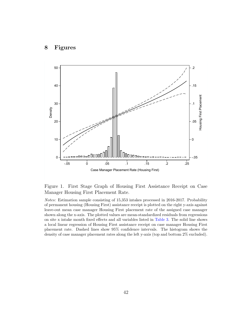

Figure 1. First Stage Graph of Housing First Assistance Receipt on Case Manager Housing First Placement Rate.

Notes: Estimation sample consisting of 15,353 intakes processed in 2016-2017. Probability of permanent housing (Housing First) assistance receipt is plotted on the right y-axis against leave-out mean case manager Housing First placement rate of the assigned case manager shown along the x-axis. The plotted values are mean-standardized residuals from regressions on site x intake month fixed effects and all variables listed in [Table 3.](#page-48-0) The solid line shows a local linear regression of Housing First assistance receipt on case manager Housing First placement rate. Dashed lines show 95% confidence intervals. The histogram shows the density of case manager placement rates along the left y-axis (top and bottom 2% excluded).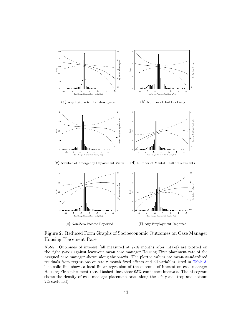

Figure 2. Reduced Form Graphs of Socioeconomic Outcomes on Case Manager Housing Placement Rate.

Notes: Outcomes of interest (all measured at 7-18 months after intake) are plotted on the right y-axis against leave-out mean case manager Housing First placement rate of the assigned case manager shown along the x-axis. The plotted values are mean-standardized residuals from regressions on site x month fixed effects and all variables listed in [Table 3.](#page-48-0) The solid line shows a local linear regression of the outcome of interest on case manager Housing First placement rate. Dashed lines show 95% confidence intervals. The histogram shows the density of case manager placement rates along the left y-axis (top and bottom 2% excluded).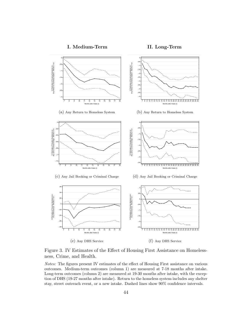



Figure 3. IV Estimates of the Effect of Housing First Assistance on Homelessness, Crime, and Health.

Notes: The figures present IV estimates of the effect of Housing First assistance on various outcomes. Medium-term outcomes (column 1) are measured at 7-18 months after intake. Long-term outcomes (column 2) are measured at 19-30 months after intake, with the exception of DHS (19-27 months after intake). Return to the homeless system includes any shelter stay, street outreach event, or a new intake. Dashed lines show 90% confidence intervals.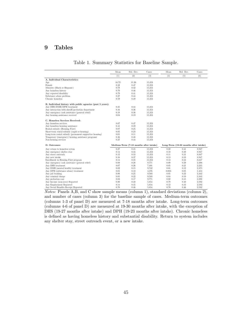# 9 Tables

|  | Table 1. Summary Statistics for Baseline Sample. |  |  |  |  |
|--|--------------------------------------------------|--|--|--|--|
|--|--------------------------------------------------|--|--|--|--|

|                                                            | Mean  | Std. Dev.                              | Cases  | Mean  | Std. Dev.                             | Cases |
|------------------------------------------------------------|-------|----------------------------------------|--------|-------|---------------------------------------|-------|
|                                                            | (1)   | (2)                                    | (3)    | (4)   | (5)                                   | (6)   |
| A. Individual Characteristics:                             |       |                                        |        |       |                                       |       |
| Age                                                        | 44.72 | 11.26                                  | 15,353 |       |                                       |       |
| Female                                                     | 0.32  | 0.47                                   | 15,353 |       |                                       |       |
| Minority (Black or Hispanic)                               | 0.78  | 0.42                                   | 15,353 |       |                                       |       |
| Any homeless history                                       | 0.70  | 0.46                                   | 15,353 |       |                                       |       |
| Any reported disability                                    | 0.79  | 0.41                                   | 15,353 |       |                                       |       |
| Substance abuse problem                                    | 0.27  | 0.44                                   | 15.353 |       |                                       |       |
| Chronic homeless                                           | 0.59  | 0.49                                   | 15.353 |       |                                       |       |
| B. Individual history with public agencies (past 5 years): |       |                                        |        |       |                                       |       |
| Any DHS/DMH/DPH treatment                                  | 0.25  | 0.44                                   | 15,353 |       |                                       |       |
| Any interaction with sheriff/probation department          | 0.16  | 0.36                                   | 15,353 |       |                                       |       |
| Any emergency cash assistance (general releif)             | 0.18  | 0.38                                   | 15,353 |       |                                       |       |
| Any housing assistance received                            | 0.04  | 0.19                                   | 15.353 |       |                                       |       |
| C. Homeless Services Received:                             |       |                                        |        |       |                                       |       |
| Any homeless services                                      | 0.67  | 0.47                                   | 15,353 |       |                                       |       |
| Any homeless housing assistance                            | 0.41  | 0.49                                   | 15.353 |       |                                       |       |
| Rental subsidy (Housing First)                             | 0.07  | 0.25                                   | 15.353 |       |                                       |       |
| Short-term rental subsidy (rapid re-housing)               | 0.05  | 0.23                                   | 15,353 |       |                                       |       |
| Long-term rental subsidy (permanent supportive housing)    | 0.01  | 0.11                                   | 15,353 |       |                                       |       |
| Temporary (emergency) housing assistance programs          | 0.36  | 0.48                                   | 15,353 |       |                                       |       |
| Non-housing services                                       | 0.27  | 0.44                                   | 15.353 |       |                                       |       |
| D. Outcomes:                                               |       | Medium-Term (7-18 months after intake) |        |       | Long-Term (19-30 months after intake) |       |
| Any return to homeless sytem                               | 0.27  | 0.45                                   | 15,353 | 0.22  | 0.41                                  | 8.947 |
| Any emergency shelter stay                                 | 0.14  | 0.34                                   | 15.353 | 0.10  | 0.30                                  | 8.947 |
| Any street outreach                                        | 0.12  | 0.33                                   | 15,353 | 0.11  | 0.31                                  | 8.947 |
| Any new intake                                             | 0.16  | 0.37                                   | 15,353 | 0.13  | 0.33                                  | 8.947 |
| Enrollment in Housing First program                        | 0.14  | 0.35                                   | 15,353 | 0.13  | 0.33                                  | 8.647 |
| Any emergency cash assistance (general relief)             | 0.09  | 0.28                                   | 9,771  | 0.09  | 0.29                                  | 2,398 |
| Any DHS treatment                                          | 0.07  | 0.26                                   | 7.401  | 0.05  | 0.21                                  | 2,235 |
| Any DMH (mental health) treatment                          | 0.02  | 0.15                                   | 9,742  | 0.01  | 0.12                                  | 2,375 |
| Any DPH (substance abuse) treatment                        | 0.01  | 0.10                                   | 4.376  | 0.003 | 0.05                                  | 1.453 |
| Any jail booking                                           | 0.06  | 0.25                                   | 9,503  | 0.05  | 0.22                                  | 2,162 |
| Any criminal charge                                        | 0.05  | 0.22                                   | 9,503  | 0.04  | 0.19                                  | 2,162 |
| Any probation case                                         | 0.03  | 0.17                                   | 9,771  | 0.02  | 0.15                                  | 2,398 |
| Any Income (non-zero) Reported                             | 0.80  | 0.40                                   | 5,854  | 0.79  | 0.40                                  | 2,592 |
| Any Employment Reported                                    | 0.14  | 0.35                                   | 5,854  | 0.12  | 0.33                                  | 2,592 |
| Any Social Benefits Receipt Reported                       | 0.70  | 0.46                                   | 5,854  | 0.70  | 0.46                                  | 2,592 |

Notes: Panels A,B, and C show sample means (column 1), standard deviations (column 2), and number of cases (column 3) for the baseline sample of cases. Medium-term outcomes (columns 1-3 of panel D) are measured at 7-18 months after intake. Long-term outcomes (columns 4-6 of panel D) are measured at 19-30 months after intake, with the exception of DHS (19-27 months after intake) and DPH (19-23 months after intake). Chronic homeless is defined as having homeless history and substantial disability. Return to system includes any shelter stay, street outreach event, or a new intake.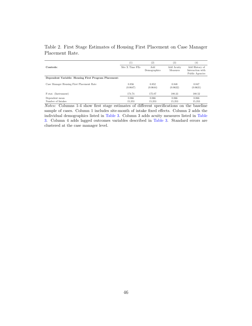|                                                      | $_{(1)}$          | (2)                 | $\left(3\right)$              | (4)                                                   |
|------------------------------------------------------|-------------------|---------------------|-------------------------------|-------------------------------------------------------|
| Controls:                                            | Site X Time FEs   | Add<br>Demographics | Add Acuity<br><b>Measures</b> | Add History of<br>Interaction with<br>Public Agencies |
| Dependent Variable: Housing First Program Placement: |                   |                     |                               |                                                       |
| Case Manager Housing First Placement Rate            | 0.856<br>(0.0647) | 0.852<br>(0.0644)   | 0.848<br>(0.0632)             | 0.847<br>(0.0631)                                     |
| F-stat. (Instrument)                                 | 174.74            | 175.07              | 180.33                        | 180.52                                                |
| Dependent mean<br>Number of Intakes                  | 0.066<br>15.353   | 0.066<br>15.353     | 0.066<br>15.353               | 0.066<br>15,353                                       |

Table 2. First Stage Estimates of Housing First Placement on Case Manager Placement Rate.

Notes: Columns 1-4 show first stage estimates of different specifications on the baseline sample of cases. Column 1 includes site-month of intake fixed effects. Column 2 adds the individual demographics listed in [Table 3.](#page-48-0) Column 3 adds acuity measures listed in [Table](#page-48-0) [3.](#page-48-0) Column 4 adds lagged outcomes variables described in [Table 3.](#page-48-0) Standard errors are clustered at the case manager level.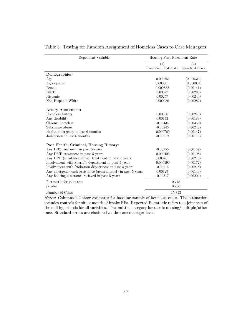| Dependent Variable:                                            | Housing First Placement Rate |                |  |  |
|----------------------------------------------------------------|------------------------------|----------------|--|--|
|                                                                | (1)                          | (2)            |  |  |
|                                                                | Coefficient Estimate         | Standard Error |  |  |
| Demographics:                                                  |                              |                |  |  |
| Age                                                            | $-0.000251$                  | (0.000312)     |  |  |
| Age-squared                                                    | 0.000001                     | (0.000004)     |  |  |
| Female                                                         | 0.000882                     | (0.00141)      |  |  |
| Black                                                          | 0.00527                      | (0.00280)      |  |  |
| Hispanic                                                       | 0.00257                      | (0.00240)      |  |  |
| Non-Hispanic White                                             | 0.000980                     | (0.00282)      |  |  |
| <b>Acuity Assessment:</b>                                      |                              |                |  |  |
| Homeless history                                               | 0.00306                      | (0.00240)      |  |  |
| Any disability                                                 | 0.00142                      | (0.00188)      |  |  |
| Chronic homeless                                               | $-0.00434$                   | (0.00356)      |  |  |
| Substance abuse                                                | $-0.00245$                   | (0.00246)      |  |  |
| Health emergency in last 6 months                              | $-0.000769$                  | (0.00147)      |  |  |
| $Jail/prison$ in last 6 months                                 | $-0.00219$                   | (0.00175)      |  |  |
| Past Health, Criminal, Housing History:                        |                              |                |  |  |
| Any DHS treatment in past 5 years                              | $-0.00255$                   | (0.00157)      |  |  |
| Any DMH treatment in past 5 years                              | $-0.000405$                  | (0.00198)      |  |  |
| Any DPH (substance abuse) treatment in past 5 years            | 0.000261                     | (0.00216)      |  |  |
| Involvement with Sheriff's department in past 5 years          | $-0.000590$                  | (0.00172)      |  |  |
| Involvement with Probation department in past 5 years          | $-0.00214$                   | (0.00218)      |  |  |
| Any emergency cash assistance (general relief) in past 5 years | 0.00129                      | (0.00143)      |  |  |
| Any housing assistance recieved in past 5 years                | $-0.00317$                   | (0.00204)      |  |  |
| F-statistic for joint test                                     | 0.748                        |                |  |  |
| p-value                                                        | 0.766                        |                |  |  |
| Number of Cases                                                | 15,353                       |                |  |  |

#### <span id="page-48-0"></span>Table 3. Testing for Random Assignment of Homeless Cases to Case Managers.

Notes: Columns 1-2 show estimates for baseline sample of homeless cases. The estimation includes controls for site x month of intake FEs. Reported F-statistic refers to a joint test of the null hypothesis for all variables. The omitted category for race is missing/multiple/other race. Standard errors are clustered at the case manager level.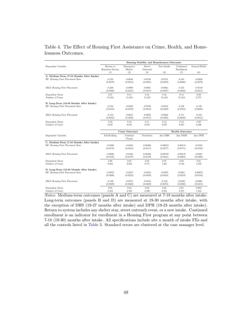|                                           | Housing Stability and Homelessness Outcomes |                       |                    |            |                         |                |
|-------------------------------------------|---------------------------------------------|-----------------------|--------------------|------------|-------------------------|----------------|
| Dependent Variable:                       | Return to<br>Homeless System                | Emergency<br>Shelter  | Street<br>Outreach | New Intake | Continued<br>Enrollment | General Relief |
|                                           | (1)                                         | (2)                   | (3)                | (4)        | (5)                     | (6)            |
| A. Medium-Term (7-18 Months After Intake) | $-0.195$                                    | $-0.0846$             | $-0.0746$          | $-0.0731$  | 0.445                   | $-0.0626$      |
| RF: Housing First Placement Rate          | (0.0379)                                    | (0.0214)              | (0.0385)           | (0.0258)   | (0.0666)                | (0.0270)       |
| 2SLS: Housing First Placement             | $-0.230$                                    | $-0.0998$             | $-0.0881$          | $-0.0863$  | 0.525                   | $-0.0749$      |
|                                           | (0.0490)                                    | (0.0253)              | (0.0474)           | (0.0307)   | (0.0636)                | (0.0351)       |
| Dependent Mean                            | 0.27                                        | 0.14                  | 0.12               | 0.16       | 0.14                    | 0.09           |
| Number of Cases                           | 15,353                                      | 15,353                | 15,353             | 15,353     | 15,353                  | 9,771          |
| B. Long-Term (19-30 Months After Intake)  | $-0.124$                                    | $-0.0502$             | $-0.0746$          | $-0.0534$  | 0.138                   | $-0.138$       |
| RF: Housing First Placement Rate          | (0.0544)                                    | (0.0352)              | (0.0444)           | (0.0322)   | (0.0555)                | (0.0660)       |
| 2SLS: Housing First Placement             | $-0.153$                                    | $-0.0621$             | $-0.0922$          | $-0.0660$  | 0.171                   | $-0.165$       |
|                                           | (0.0623)                                    | (0.0436)              | (0.0515)           | (0.0382)   | (0.0628)                | (0.0812)       |
| Dependent Mean                            | 0.22                                        | 0.10                  | 0.11               | 0.13       | 0.13                    | 0.09           |
| Number of Cases                           | 8.947                                       | 8.947                 | 8,947              | 8,947      | 8,947                   | 2,398          |
|                                           |                                             | <b>Crime Outcomes</b> |                    |            | <b>Health Outcomes</b>  |                |
| Dependent Variable:                       | Jail Booking                                | Criminal<br>Charge    | Probation          | Any DHS    | Any DMH                 | Any DPH        |
| C. Medium-Term (7-18 Months After Intake) | $-0.0498$                                   | $-0.0363$             | 0.00406            | $-0.00610$ | $-0.00115$              | $-0.0335$      |
| RF: Housing First Placement Rate          | (0.0170)                                    | (0.0165)              | (0.0115)           | (0.0277)   | (0.0171)                | (0.0182)       |
| 2SLS: Housing First Placement             | $-0.0606$                                   | $-0.0442$             | 0.00486            | $-0.00749$ | $-0.00137$              | $-0.0381$      |
|                                           | (0.0193)                                    | (0.0197)              | (0.0139)           | (0.0341)   | (0.0204)                | (0.0206)       |
| Dependent Mean                            | 0.06                                        | 0.05                  | 0.03               | 0.07       | 0.02                    | 0.01           |
| Number of Cases                           | 9,503                                       | 9,503                 | 9,771              | 7.401      | 9,742                   | 4.376          |
| D. Long-Term (19-30 Months After Intake)  | $-0.0972$                                   | $-0.0537$             | $-0.0353$          | $-0.0970$  | 0.0381                  | 0.00972        |
| RF: Housing First Placement Rate          | (0.0306)                                    | (0.0253)              | (0.0338)           | (0.0524)   | (0.0218)                | (0.0183)       |
| 2SLS: Housing First Placement             | $-0.130$                                    | $-0.0721$             | $-0.0419$          | $-0.124$   | 0.0450                  | 0.0206         |
|                                           | (0.0509)                                    | (0.0362)              | (0.0408)           | (0.0673)   | (0.0280)                | (0.0455)       |
| Dependent Mean                            | 0.05                                        | 0.04                  | 0.02               | 0.05       | 0.01                    | 0.003          |
| Number of Cases                           | 2,162                                       | 2,162                 | 2,398              | 2,235      | 2,375                   | 1,453          |

### Table 4. The Effect of Housing First Assistance on Crime, Health, and Homelessness Outcomes.

Notes: Medium-term outcomes (panels A and C) are measured at 7-18 months after intake. Long-term outcomes (panels B and D) are measured at 19-30 months after intake, with the exception of DHS (19-27 months after intake) and DPH (19-23 months after intake). Return to system includes any shelter stay, street outreach event, or a new intake. Continued enrollment is an indicator for enrollment in a Housing First program at any point between 7-18 (19-30) months after intake. All specifications include site x month of intake FEs and all the controls listed in [Table 3.](#page-48-0) Standard errors are clustered at the case manager level.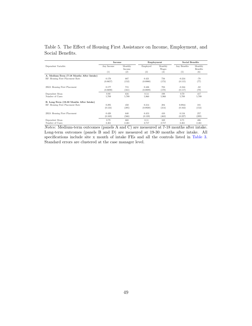|                                           | Income            |                          | Employment      |                                | <b>Social Benefits</b> |                                   |
|-------------------------------------------|-------------------|--------------------------|-----------------|--------------------------------|------------------------|-----------------------------------|
| Dependent Variable:                       | Any Income<br>(1) | Monthly<br>Income<br>(2) | Employed<br>(3) | Monthly<br><b>Wages</b><br>(4) | Any Benefits<br>(5)    | Monthly<br><b>Benefits</b><br>(6) |
| A. Medium-Term (7-18 Months After Intake) |                   |                          |                 |                                |                        |                                   |
| RF: Housing First Placement Rate          | 0.170             | 687                      | 0.421           | 756                            | $-0.234$               | $-79$                             |
|                                           | (0.0657)          | (152)                    | (0.0900)        | (173)                          | (0.115)                | (77)                              |
| 2SLS: Housing First Placement             | 0.177             | 715                      | 0.436           | 783                            | $-0.244$               | $-82$                             |
|                                           | (0.0690)          | (161)                    | (0.0889)        | (178)                          | (0.117)                | (79)                              |
| Dependent Mean                            | 0.80              | 616                      | 0.14            | 198                            | 0.70                   | 417                               |
| Number of Cases                           | 5.709             | 5,709                    | 5,960           | 5.960                          | 5,709                  | 5,709                             |
| B. Long-Term (19-30 Months After Intake)  |                   |                          |                 |                                |                        |                                   |
| RF: Housing First Placement Rate          | 0.295             | 450                      | 0.314           | 284                            | 0.0944                 | 181                               |
|                                           | (0.124)           | (395)                    | (0.0928)        | (314)                          | (0.162)                | (153)                             |
| 2SLS: Housing First Placement             | 0.420             | 640                      | 0.453           | 410                            | 0.134                  | 257                               |
|                                           | (0.169)           | (566)                    | (0.139)         | (463)                          | (0.227)                | (209)                             |
| Dependent Mean                            | 0.79              | 668                      | 0.11            | 169                            | 0.71                   | 486                               |
| Number of Cases                           | 2,461             | 2,461                    | 2,717           | 2,717                          | 2,461                  | 2.461                             |

Table 5. The Effect of Housing First Assistance on Income, Employment, and Social Benefits.

Notes: Medium-term outcomes (panels A and C) are measured at 7-18 months after intake. Long-term outcomes (panels B and D) are measured at 19-30 months after intake. All specifications include site x month of intake FEs and all the controls listed in [Table 3.](#page-48-0) Standard errors are clustered at the case manager level.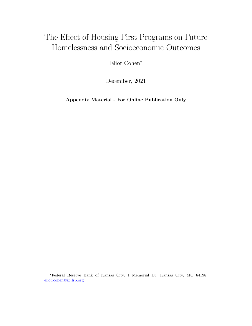# The Effect of Housing First Programs on Future Homelessness and Socioeconomic Outcomes

Elior Cohen\*

December, 2021

Appendix Material - For Online Publication Only

\*Federal Reserve Bank of Kansas City, 1 Memorial Dr, Kansas City, MO 64198. elior.cohen@kc.frb.org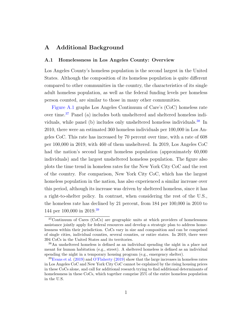### A Additional Background

#### A.1 Homelessness in Los Angeles County: Overview

Los Angeles County's homeless population is the second largest in the United States. Although the composition of its homeless population is quite different compared to other communities in the country, the characteristics of its single adult homeless population, as well as the federal funding levels per homeless person counted, are similar to those in many other communities.

[Figure A.1](#page-58-0) graphs Los Angeles Continuum of Care's (CoC) homeless rate over time.[37](#page-1-0) Panel (a) includes both unsheltered and sheltered homeless indi-viduals, while panel (b) includes only unsheltered homeless individuals.<sup>[38](#page-1-0)</sup> In 2010, there were an estimated 360 homeless individuals per 100,000 in Los Angeles CoC. This rate has increased by 70 percent over time, with a rate of 608 per 100,000 in 2019, with 460 of them unsheltered. In 2019, Los Angeles CoC had the nation's second largest homeless population (approximately 60,000 individuals) and the largest unsheltered homeless population. The figure also plots the time trend in homeless rates for the New York City CoC and the rest of the country. For comparison, New York City CoC, which has the largest homeless population in the nation, has also experienced a similar increase over this period, although its increase was driven by sheltered homeless, since it has a right-to-shelter policy. In contrast, when considering the rest of the U.S., the homeless rate has declined by 21 percent, from 184 per 100,000 in 2010 to 144 per 100,000 in 2019.[39](#page-1-0)

<sup>37</sup>Continuum of Cares (CoCs) are geographic units at which providers of homelessness assistance jointly apply for federal resources and develop a strategic plan to address homelessness within their jurisdiction. CoCs vary in size and composition and can be comprised of single cities, individual counties, several counties, or entire states. In 2019, there were 394 CoCs in the United States and its territories.

<sup>38</sup>An unsheltered homeless is defined as an individual spending the night in a place not meant for human habitation (e.g., street). A sheltered homeless is defined as an individual spending the night in a temporary housing program (e.g., emergency shelter).

 $39$ [Evans et al.](#page-38-0) [\(2019\)](#page-41-0) and [O'Flaherty](#page-41-0) (2019) show that the large increases in homeless rates in Los Angeles CoC and New York City CoC cannot be explained by the rising housing prices in these CoCs alone, and call for additional research trying to find additional determinants of homelessness in these CoCs, which together comprise 25% of the entire homeless population in the U.S.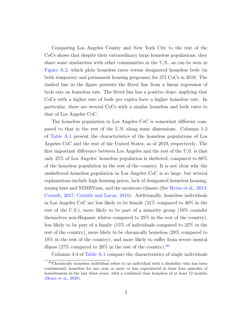Comparing Los Angeles County and New York City to the rest of the CoCs shows that despite their extraordinary large homeless populations, they share some similarities with other communities in the U.S., as can be seen in [Figure A.2,](#page-59-0) which plots homeless rates versus designated homeless beds (in both temporary and permanent housing programs) for 371 CoCs in 2019. The dashed line in the figure presents the fitted line from a linear regression of beds rate on homeless rate. The fitted line has a positive slope, implying that CoCs with a higher rate of beds per capita have a higher homeless rate. In particular, there are several CoCs with a similar homeless and beds rates to that of Los Angeles CoC.

The homeless population in Los Angeles CoC is somewhat different compared to that in the rest of the U.S. along some dimensions. Columns 1-2 of [Table A.1](#page-60-0) present the characteristics of the homeless populations of Los Angeles CoC and the rest of the United States, as of 2019, respectively. The first important difference between Los Angeles and the rest of the U.S. is that only 25% of Los Angeles' homeless population is sheltered, compared to 68% of the homeless population in the rest of the country. It is not clear why the unsheltered homeless population in Los Angeles CoC is so large, but several explanations include high housing prices, lack of designated homeless housing, zoning laws and NIMBYism, and the moderate climate (See [Byrne et al.,](#page-36-0) [2013;](#page-36-0) [Corinth,](#page-37-0) [2017;](#page-37-0) [Corinth and Lucas,](#page-37-1) [2018\)](#page-37-1). Additionally, homeless individuals in Los Angeles CoC are less likely to be female (31% compared to 40% in the rest of the U.S.), more likely to be part of a minority group (10% consider themselves non-Hispanic whites compared to 28% in the rest of the country), less likely to be part of a family (15% of individuals compared to 32% in the rest of the country), more likely to be chronically homeless (28% compared to 18% in the rest of the country), and more likely to suffer from severe mental illness  $(27\%$  compared to  $20\%$  in the rest of the country).<sup>[40](#page-1-0)</sup>

Columns 3-4 of [Table A.1](#page-60-0) compare the characteristics of single individuals

<sup>40</sup>Chronically homeless individual refers to an individual with a disability who has been continuously homeless for one year or more or has experienced at least four episodes of homelessness in the last three years, with a combined time homeless of at least 12 months [\(Henry et al.,](#page-38-1) [2020\)](#page-38-1).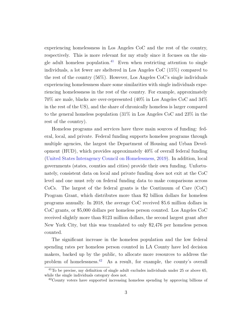experiencing homelessness in Los Angeles CoC and the rest of the country, respectively. This is more relevant for my study since it focuses on the sin-gle adult homeless population.<sup>[41](#page-1-0)</sup> Even when restricting attention to single individuals, a lot fewer are sheltered in Los Angeles CoC (15%) compared to the rest of the country (56%). However, Los Angeles CoC's single individuals experiencing homelessness share some similarities with single individuals experiencing homelessness in the rest of the country. For example, approximately 70% are male, blacks are over-represented (40% in Los Angeles CoC and 34% in the rest of the US), and the share of chronically homeless is larger compared to the general homeless population (31% in Los Angeles CoC and 23% in the rest of the country).

Homeless programs and services have three main sources of funding: federal, local, and private. Federal funding supports homeless programs through multiple agencies, the largest the Department of Housing and Urban Development (HUD), which provides approximately 40% of overall federal funding [\(United States Interagency Council on Homelessness,](#page-42-0) [2019\)](#page-42-0). In addition, local governments (states, counties and cities) provide their own funding. Unfortunately, consistent data on local and private funding does not exit at the CoC level and one must rely on federal funding data to make comparisons across CoCs. The largest of the federal grants is the Continuum of Care (CoC) Program Grant, which distributes more than \$2 billion dollars for homeless programs annually. In 2018, the average CoC received \$5.6 million dollars in CoC grants, or \$5,000 dollars per homeless person counted. Los Angeles CoC received slightly more than \$123 million dollars, the second largest grant after New York City, but this was translated to only \$2,476 per homeless person counted.

The significant increase in the homeless population and the low federal spending rates per homeless person counted in LA County have led decision makers, backed up by the public, to allocate more resources to address the problem of homelessness.[42](#page-1-0) As a result, for example, the county's overall

<sup>41</sup>To be precise, my definition of single adult excludes individuals under 25 or above 65, while the single individuals category does not.

<sup>42</sup>County voters have supported increasing homeless spending by approving billions of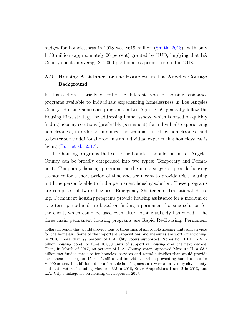budget for homelessness in 2018 was \$619 million [\(Smith,](#page-42-1) [2018\)](#page-42-1), with only \$130 million (approximately 20 percent) granted by HUD, implying that LA County spent on average \$11,000 per homeless person counted in 2018.

## A.2 Housing Assistance for the Homeless in Los Angeles County: Background

In this section, I briefly describe the different types of housing assistance programs available to individuals experiencing homelessness in Los Angeles County. Housing assistance programs in Los Ageles CoC generally follow the Housing First strategy for addressing homelessness, which is based on quickly finding housing solutions (preferably permanent) for individuals experiencing homelessness, in order to minimize the trauma caused by homelessness and to better serve additional problems an individual experiencing homelessness is facing [\(Burt et al.,](#page-36-1) [2017\)](#page-36-1).

The housing programs that serve the homeless population in Los Angeles County can be broadly categorized into two types: Temporary and Permanent. Temporary housing programs, as the name suggests, provide housing assistance for a short period of time and are meant to provide crisis housing until the person is able to find a permanent housing solution. These programs are composed of two sub-types: Emergency Shelter and Transitional Housing. Permanent housing programs provide housing assistance for a medium or long-term period and are based on finding a permanent housing solution for the client, which could be used even after housing subsidy has ended. The three main permanent housing programs are Rapid Re-Housing, Permanent

dollars in bonds that would provide tens of thousands of affordable housing units and services for the homeless. Some of the important propositions and measures are worth mentioning. In 2016, more than 77 percent of L.A. City voters supported Proposition HHH, a \$1.2 billion housing bond, to fund 10,000 units of supportive housing over the next decade. Then, in March of 2017, 69 percent of L.A. County voters approved Measure H, a \$3.5 billion tax-funded measure for homeless services and rental subsidies that would provide permanent housing for 45,000 families and individuals, while preventing homelessness for 30,000 others. In addition, other affordable housing measures were approved by city, county, and state voters, including Measure JJJ in 2016, State Propositions 1 and 2 in 2018, and L.A. City's linkage fee on housing developers in 2017.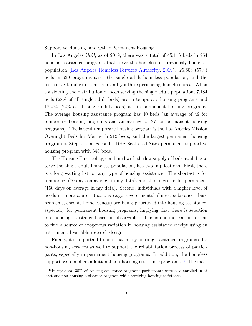Supportive Housing, and Other Permanent Housing.

In Los Angeles CoC, as of 2019, there was a total of 45,116 beds in 764 housing assistance programs that serve the homeless or previously homeless population [\(Los Angeles Homeless Services Authority,](#page-40-0) [2019\)](#page-40-0). 25,608 (57%) beds in 630 programs serve the single adult homeless population, and the rest serve families or children and youth experiencing homelessness. When considering the distribution of beds serving the single adult population, 7,184 beds (28% of all single adult beds) are in temporary housing programs and 18,424 (72% of all single adult beds) are in permanent housing programs. The average housing assistance program has 40 beds (an average of 49 for temporary housing programs and an average of 27 for permanent housing programs). The largest temporary housing program is the Los Angeles Mission Overnight Beds for Men with 212 beds, and the largest permanent housing program is Step Up on Second's DHS Scattered Sites permanent supportive housing program with 343 beds.

The Housing First policy, combined with the low supply of beds available to serve the single adult homeless population, has two implications. First, there is a long waiting list for any type of housing assistance. The shortest is for temporary (70 days on average in my data), and the longest is for permanent (150 days on average in my data). Second, individuals with a higher level of needs or more acute situations (e.g., severe mental illness, substance abuse problems, chronic homelessness) are being prioritized into housing assistance, especially for permanent housing programs, implying that there is selection into housing assistance based on observables. This is one motivation for me to find a source of exogenous variation in housing assistance receipt using an instrumental variable research design.

Finally, it is important to note that many housing assistance programs offer non-housing services as well to support the rehabilitation process of participants, especially in permanent housing programs. In addition, the homeless support system offers additional non-housing assistance programs.<sup>[43](#page-1-0)</sup> The most

<sup>43</sup>In my data, 35% of housing assistance programs participants were also enrolled in at least one non-housing assistance program while receiving housing assistance.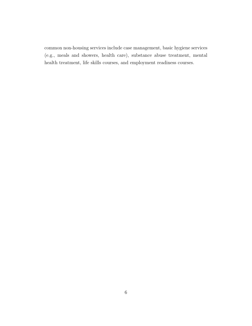common non-housing services include case management, basic hygiene services (e.g., meals and showers, health care), substance abuse treatment, mental health treatment, life skills courses, and employment readiness courses.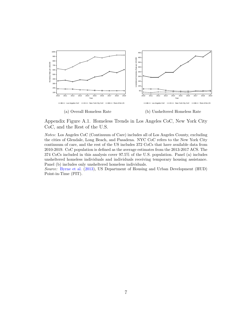<span id="page-58-0"></span>

Appendix Figure A.1. Homeless Trends in Los Angeles CoC, New York City CoC, and the Rest of the U.S.

Notes: Los Angeles CoC (Continuum of Care) includes all of Los Angeles County, excluding the cities of Glendale, Long Beach, and Pasadena. NYC CoC refers to the New York City continuum of care, and the rest of the US includes 372 CoCs that have available data from 2010-2019. CoC population is defined as the average estimates from the 2013-2017 ACS. The 374 CoCs included in this analysis cover 97.5% of the U.S. population. Panel (a) includes unsheltered homeless individuals and individuals receiving temporary housing assistance. Panel (b) includes only unsheltered homeless individuals.

Source: [Byrne et al.](#page-36-0) [\(2013\)](#page-36-0), US Department of Housing and Urban Development (HUD) Point-in-Time (PIT).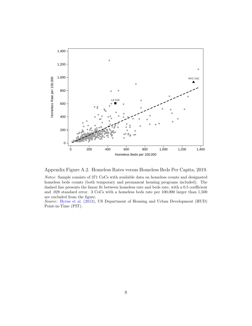<span id="page-59-0"></span>



Notes: Sample consists of 371 CoCs with available data on homeless counts and designated homeless beds counts (both temporary and permanent housing programs included). The dashed line presents the linear fit between homeless rate and beds rate, with a 0.5 coefficient and .028 standard error. 3 CoCs with a homeless beds rate per 100,000 larger than 1,500 are excluded from the figure.

Source: [Byrne et al.](#page-36-0) [\(2013\)](#page-36-0), US Department of Housing and Urban Development (HUD) Point-in-Time (PIT).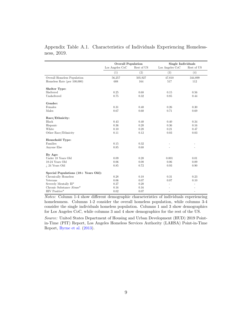|                                      | <b>Overall Population</b> |            | Single Individuals |            |  |
|--------------------------------------|---------------------------|------------|--------------------|------------|--|
|                                      | Los Angeles CoC           | Rest of US | Los Angeles CoC    | Rest of US |  |
|                                      | (1)                       | (2)        | (3)                | (4)        |  |
| Overall Homeless Population          | 56,257                    | 505,927    | 47,810             | 344,899    |  |
| Homeless Rate (per $100,000$ )       | 608                       | 164        | 517                | 112        |  |
| Shelter Type:                        |                           |            |                    |            |  |
| Sheltered                            | 0.25                      | 0.68       | 0.15               | 0.56       |  |
| Unsheltered                          | 0.75                      | 0.32       | 0.85               | 0.44       |  |
| Gender:                              |                           |            |                    |            |  |
| Females                              | 0.31                      | 0.40       | 0.26               | 0.30       |  |
| Males                                | 0.67                      | 0.60       | 0.71               | 0.69       |  |
| Race/Ethnicity:                      |                           |            |                    |            |  |
| <b>Black</b>                         | 0.43                      | 0.40       | 0.40               | 0.34       |  |
| Hispanic                             | 0.36                      | 0.20       | 0.36               | 0.16       |  |
| White                                | 0.10                      | 0.28       | 0.21               | 0.47       |  |
| Other Race/Ethnicity                 | 0.11                      | 0.12       | 0.03               | 0.03       |  |
| Household Type:                      |                           |            |                    |            |  |
| Families                             | 0.15                      | 0.32       |                    |            |  |
| Anyone Else                          | 0.85                      | 0.68       |                    |            |  |
| By Age:                              |                           |            |                    |            |  |
| Under 18 Years Old                   | 0.09                      | 0.20       | 0.001              | 0.01       |  |
| 18-24 Years Old                      | 0.06                      | 0.08       | 0.06               | 0.09       |  |
| $i$ , 24 Years Old                   | 0.85                      | 0.72       | 0.93               | 0.90       |  |
| Special Populations (18+ Years Old): |                           |            |                    |            |  |
| Chronically Homeless                 | 0.28                      | 0.18       | 0.31               | 0.23       |  |
| Veterans                             | 0.06                      | 0.07       | 0.07               | 0.10       |  |
| Severely Mentally Ill*               | 0.27                      | 0.20       | L.                 | ÷,         |  |
| Chronic Substance Abuse*             | 0.16                      | 0.16       |                    |            |  |
| HIV Positive*                        | 0.02                      | 0.07       | $\bar{ }$          | ÷,         |  |

<span id="page-60-0"></span>Appendix Table A.1. Characteristics of Individuals Experiencing Homelessness, 2019.

Notes: Column 1-4 show different demographic characteristics of individuals experiencing homelessness. Columns 1-2 consider the overall homeless population, while columns 3-4 consider the single individuals homeless population. Columns 1 and 3 show demographics for Los Angeles CoC, while columns 3 and 4 show demographics for the rest of the US.

Source: United States Department of Housing and Urban Development (HUD) 2019 Pointin-Time (PIT) Report, Los Angeles Homeless Services Authority (LAHSA) Point-in-Time Report, [Byrne et al.](#page-36-0) [\(2013\)](#page-36-0).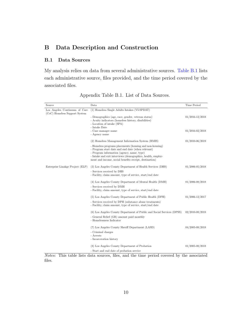# B Data Description and Construction

### B.1 Data Sources

My analysis relies on data from several administrative sources. [Table B.1](#page-61-0) lists each administrative source, files provided, and the time period covered by the associated files.

<span id="page-61-0"></span>

| Source                                                         | Data                                                                                                                                                        | Time Period         |
|----------------------------------------------------------------|-------------------------------------------------------------------------------------------------------------------------------------------------------------|---------------------|
| Los Angeles Continuum of Care<br>(CoC) Homeless Support System | (1) Homeless Single Adults Intakes (VI-SPDAT)                                                                                                               |                     |
|                                                                | - Demographics (age, race, gender, veteran status)<br>- Acuity indicators (homeless history, disabilities)                                                  | $01/2016 - 12/2018$ |
|                                                                | - Location of intake (SPA)<br>- Intake Date                                                                                                                 |                     |
|                                                                | - Case manager name<br>- Agency name                                                                                                                        | $01/2016 - 02/2018$ |
|                                                                | (2) Homeless Management Information System (HMIS)                                                                                                           | 01/2010-06/2019     |
|                                                                | - Homeless programs placements (housing and non-housing)<br>- Program start date and end date (when relevant)<br>- Program information (agency, name, type) |                     |
|                                                                | - Intake and exit interviews (demographics, health, employ-<br>ment and income, social benefits receipt, destination)                                       |                     |
| Enterprise Linakge Project (ELP)                               | (3) Los Angeles County Department of Health Services (DHS)                                                                                                  | 01/2006-05/2018     |
|                                                                | - Services received by DHS<br>- Facility, claim amount, type of service, start/end date                                                                     |                     |
|                                                                | (4) Los Angeles County Department of Mental Health (DMH)                                                                                                    | 01/2006-08/2018     |
|                                                                | - Services received by DMH<br>- Facility, claim amount, type of service, start/end date                                                                     |                     |
|                                                                | (5) Los Angeles County Department of Public Health (DPH)                                                                                                    | 01/2006-12/2017     |
|                                                                | - Services received by DPH (substance abuse treatments)<br>- Facility, claim amount, type of service, start/end date                                        |                     |
|                                                                | (6) Los Angeles County Department of Public and Social Services (DPSS)                                                                                      | 02/2010-08/2018     |
|                                                                | - General Relief (GR) amount paid monthly<br>- Homelessness Indicator                                                                                       |                     |
|                                                                | (7) Los Angeles County Sheriff Department (LASD)                                                                                                            | 04/2005-08/2018     |
|                                                                | - Criminal charges                                                                                                                                          |                     |
|                                                                | - Arrests<br>- Incarceration history                                                                                                                        |                     |
|                                                                | (8) Los Angeles County Department of Probation                                                                                                              | 01/2005-08/2018     |
|                                                                | - Start and end date of probation service                                                                                                                   |                     |

Appendix Table B.1. List of Data Sources.

Notes: This table lists data sources, files, and the time period covered by the associated files.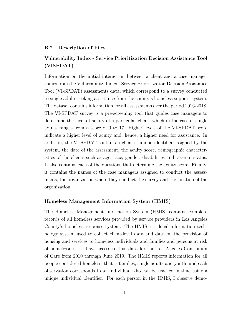#### B.2 Description of Files

### Vulnerability Index - Service Prioritization Decision Assistance Tool (VISPDAT)

Information on the initial interaction between a client and a case manager comes from the Vulnerability Index - Service Prioritization Decision Assistance Tool (VI-SPDAT) assessments data, which correspond to a survey conducted to single adults seeking assistance from the county's homeless support system. The dataset contains information for all assessments over the period 2016-2018. The VI-SPDAT survey is a pre-screening tool that guides case managers to determine the level of acuity of a particular client, which in the case of single adults ranges from a score of 0 to 17. Higher levels of the VI-SPDAT score indicate a higher level of acuity and, hence, a higher need for assistance. In addition, the VI-SPDAT contains a client's unique identifier assigned by the system, the date of the assessment, the acuity score, demographic characteristics of the clients such as age, race, gender, disabilities and veteran status. It also contains each of the questions that determine the acuity score. Finally, it contains the names of the case managers assigned to conduct the assessments, the organization where they conduct the survey and the location of the organization.

#### Homeless Management Information System (HMIS)

The Homeless Management Information System (HMIS) contains complete records of all homeless services provided by service providers in Los Angeles County's homeless response system. The HMIS is a local information technology system used to collect client-level data and data on the provision of housing and services to homeless individuals and families and persons at risk of homelessness. I have access to this data for the Los Angeles Continuum of Care from 2010 through June 2019. The HMIS reports information for all people considered homeless, that is families, single adults and youth, and each observation corresponds to an individual who can be tracked in time using a unique individual identifier. For each person in the HMIS, I observe demo-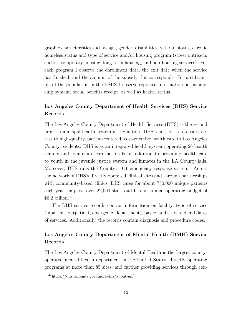graphic characteristics such as age, gender, disabilities, veteran status, chronic homeless status and type of service and/or housing program (street outreach, shelter, temporary housing, long-term housing, and non-housing services). For each program I observe the enrollment date, the exit date when the service has finished, and the amount of the subsidy if it corresponds. For a subsample of the population in the HMIS I observe reported information on income, employment, social benefits receipt, as well as health status.

## Los Angeles County Department of Health Services (DHS) Service Records

The Los Angeles County Department of Health Services (DHS) is the second largest municipal health system in the nation. DHS's mission is to ensure access to high-quality, patient-centered, cost-effective health care to Los Angeles County residents. DHS is as an integrated health system, operating 26 health centers and four acute care hospitals, in addition to providing health care to youth in the juvenile justice system and inmates in the LA County jails. Moreover, DHS runs the County's 911 emergency response system. Across the network of DHS's directly operated clinical sites and through partnerships with community-based clinics, DHS cares for about 750,000 unique patients each year, employs over 22,000 staff, and has an annual operating budget of \$6.2 billion.[44](#page-1-0)

The DHS service records contain information on facility, type of service (inpatient, outpatient, emergency department), payee, and start and end dates of services. Additionally, the records contain diagnosis and procedure codes.

## Los Angeles County Department of Mental Health (DMH) Service Records

The Los Angeles County Department of Mental Health is the largest countyoperated mental health department in the United States, directly operating programs at more than 85 sites, and further providing services through con-

<sup>44</sup>https://dhs.lacounty.gov/more-dhs/about-us/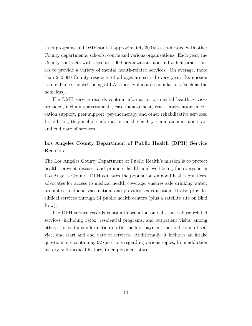tract programs and DMH staff at approximately 300 sites co-located with other County departments, schools, courts and various organizations. Each year, the County contracts with close to 1,000 organizations and individual practitioners to provide a variety of mental health-related services. On average, more than 250,000 County residents of all ages are served every year. Its mission is to enhance the well-being of LA's most vulnerable populations (such as the homeless).

The DMH service records contain information on mental health services provided, including assessments, case management, crisis intervention, medication support, peer support, psychotherapy and other rehabilitative services. In addition, they include information on the facility, claim amount, and start and end date of services.

### Los Angeles County Department of Public Health (DPH) Service Records

The Los Angeles County Department of Public Health's mission is to protect health, prevent disease, and promote health and well-being for everyone in Los Angeles County. DPH educates the population on good health practices, advocates for access to medical health coverage, ensures safe drinking water, promotes childhood vaccination, and provides sex education. It also provides clinical services through 14 public health centers (plus a satellite site on Skid Row).

The DPH service records contain information on substance-abuse related services, including detox, residential programs, and outpatient visits, among others. It contains information on the facility, payment method, type of service, and start and end date of services. Additionally, it includes an intake questionnaire containing 92 questions regarding various topics, from addiction history and medical history, to employment status.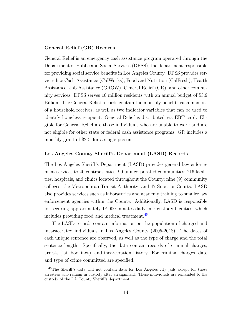#### General Relief (GR) Records

General Relief is an emergency cash assistance program operated through the Department of Public and Social Services (DPSS), the department responsible for providing social service benefits in Los Angeles County. DPSS provides services like Cash Assistance (CalWorks), Food and Nutrition (CalFresh), Health Assistance, Job Assistance (GROW), General Relief (GR), and other community services. DPSS serves 10 million residents with an annual budget of \$3.9 Billion. The General Relief records contain the monthly benefits each member of a household receives, as well as two indicator variables that can be used to identify homeless recipient. General Relief is distributed via EBT card. Eligible for General Relief are those individuals who are unable to work and are not eligible for other state or federal cash assistance programs. GR includes a monthly grant of \$221 for a single person.

### Los Angeles County Sheriff 's Department (LASD) Records

The Los Angeles Sheriff's Department (LASD) provides general law enforcement services to 40 contract cities; 90 unincorporated communities; 216 facilities, hospitals, and clinics located throughout the County; nine (9) community colleges; the Metropolitan Transit Authority; and 47 Superior Courts. LASD also provides services such as laboratories and academy training to smaller law enforcement agencies within the County. Additionally, LASD is responsible for securing approximately 18,000 inmates daily in 7 custody facilities, which includes providing food and medical treatment.[45](#page-1-0)

The LASD records contain information on the population of charged and incaracerated individuals in Los Angeles County (2005-2018). The dates of each unique sentence are observed, as well as the type of charge and the total sentence length. Specifically, the data contain records of criminal charges, arrests (jail bookings), and incarceration history. For criminal charges, date and type of crime committed are specified.

<sup>45</sup>The Sheriff's data will not contain data for Los Angeles city jails except for those arrestees who remain in custody after arraignment. These individuals are remanded to the custody of the LA County Sheriff's department.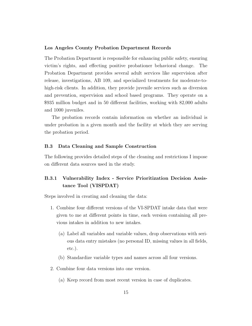#### Los Angeles County Probation Department Records

The Probation Department is responsible for enhancing public safety, ensuring victim's rights, and effecting positive probationer behavioral change. The Probation Department provides several adult services like supervision after release, investigations, AB 109, and specialized treatments for moderate-tohigh-risk clients. In addition, they provide juvenile services such as diversion and prevention, supervision and school based programs. They operate on a \$935 million budget and in 50 different facilities, working with 82,000 adults and 1000 juveniles.

The probation records contain information on whether an individual is under probation in a given month and the facility at which they are serving the probation period.

#### B.3 Data Cleaning and Sample Construction

The following provides detailed steps of the cleaning and restrictions I impose on different data sources used in the study.

## B.3.1 Vulnerability Index - Service Prioritization Decision Assistance Tool (VISPDAT)

Steps involved in creating and cleaning the data:

- 1. Combine four different versions of the VI-SPDAT intake data that were given to me at different points in time, each version containing all previous intakes in addition to new intakes.
	- (a) Label all variables and variable values, drop observations with serious data entry mistakes (no personal ID, missing values in all fields, etc.).
	- (b) Standardize variable types and names across all four versions.
- 2. Combine four data versions into one version.
	- (a) Keep record from most recent version in case of duplicates.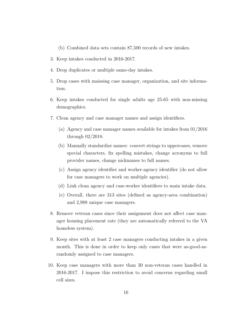(b) Combined data sets contain 87,500 records of new intakes.

- 3. Keep intakes conducted in 2016-2017.
- 4. Drop duplicates or multiple same-day intakes.
- 5. Drop cases with maissing case manager, organization, and site information.
- 6. Keep intakes conducted for single adults age 25-65 with non-missing demographics.
- 7. Clean agency and case manager names and assign identifiers.
	- (a) Agency and case manager names available for intakes from 01/2016 through 02/2018.
	- (b) Manually standardize names: convert strings to uppercases, remove special characters, fix spelling mistakes, change acronyms to full provider names, change nicknames to full names.
	- (c) Assign agency identifier and worker-agency identifier (do not allow for case managers to work on multiple agencies).
	- (d) Link clean agency and case-worker identifiers to main intake data.
	- (e) Overall, there are 313 sites (defined as agency-area combination) and 2,988 unique case managers.
- 8. Remove veteran cases since their assignment does not affect case manager housing placement rate (they are automatically referred to the VA homeless system).
- 9. Keep sites with at least 2 case managers conducting intakes in a given month. This is done in order to keep only cases that were as-good-asrandomly assigned to case managers.
- 10. Keep case managers with more than 30 non-veteran cases handled in 2016-2017. I impose this restriction to avoid concerns regarding small cell sizes.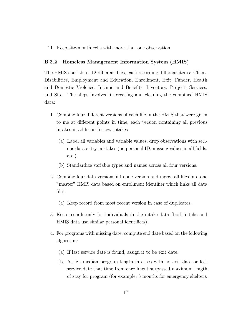11. Keep site-month cells with more than one observation.

#### B.3.2 Homeless Management Information System (HMIS)

The HMIS consists of 12 different files, each recording different items: Client, Disabilities, Employment and Education, Enrollment, Exit, Funder, Health and Domestic Violence, Income and Benefits, Inventory, Project, Services, and Site. The steps involved in creating and cleaning the combined HMIS data:

- 1. Combine four different versions of each file in the HMIS that were given to me at different points in time, each version containing all previous intakes in addition to new intakes.
	- (a) Label all variables and variable values, drop observations with serious data entry mistakes (no personal ID, missing values in all fields, etc.).
	- (b) Standardize variable types and names across all four versions.
- 2. Combine four data versions into one version and merge all files into one "master" HMIS data based on enrollment identifier which links all data files.
	- (a) Keep record from most recent version in case of duplicates.
- 3. Keep records only for individuals in the intake data (both intake and HMIS data use similar personal identifiers).
- 4. For programs with missing date, compute end date based on the following algorithm:
	- (a) If last service date is found, assign it to be exit date.
	- (b) Assign median program length in cases with no exit date or last service date that time from enrollment surpassed maximum length of stay for program (for example, 3 months for emergency shelter).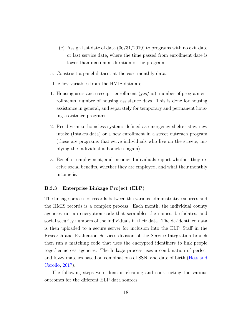- (c) Assign last date of data  $(06/31/2019)$  to programs with no exit date or last service date, where the time passed from enrollment date is lower than maximum duration of the program.
- 5. Construct a panel dataset at the case-monthly data.

The key variables from the HMIS data are:

- 1. Housing assistance receipt: enrollment (yes/no), number of program enrollments, number of housing assistance days. This is done for housing assistance in general, and separately for temporary and permanent housing assistance programs.
- 2. Recidivism to homeless system: defined as emergency shelter stay, new intake (Intakes data) or a new enrollment in a street outreach program (these are programs that serve individuals who live on the streets, implying the individual is homeless again).
- 3. Benefits, employment, and income: Individuals report whether they receive social benefits, whether they are employed, and what their monthly income is.

#### B.3.3 Enterprise Linkage Project (ELP)

The linkage process of records between the various administrative sources and the HMIS records is a complex process. Each month, the individual county agencies run an encryption code that scrambles the names, birthdates, and social security numbers of the individuals in their data. The de-identified data is then uploaded to a secure server for inclusion into the ELP. Staff in the Research and Evaluation Services division of the Service Integration branch then run a matching code that uses the encrypted identifiers to link people together across agencies. The linkage process uses a combination of perfect and fuzzy matches based on combinations of SSN, and date of birth [\(Hess and](#page-39-0) [Carollo,](#page-39-0) [2017\)](#page-39-0).

The following steps were done in cleaning and constructing the various outcomes for the different ELP data sources: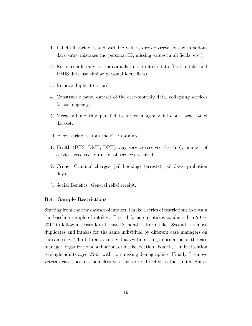- 1. Label all variables and variable values, drop observations with serious data entry mistakes (no personal ID, missing values in all fields, etc.).
- 2. Keep records only for individuals in the intake data (both intake and HMIS data use similar personal identifiers).
- 3. Remove duplicate records.
- 4. Construct a panel dataset of the case-monthly data, collapsing services for each agency.
- 5. Merge all monthly panel data for each agency into one large panel dataset.

The key variables from the ELP data are:

- 1. Health (DHS, DMH, DPH): any service received (yes/no), number of services received, duration of services received.
- 2. Crime: Criminal charges, jail bookings (arrests), jail days, probation days.
- 3. Social Benefits: General relief receipt.

#### B.4 Sample Restrictions

Starting from the raw dataset of intakes, I make a series of restrictions to obtain the baseline sample of intakes. First, I focus on intakes conducted in 2016- 2017 to follow all cases for at least 18 months after intake. Second, I remove duplicates and intakes for the same individual by different case managers on the same day. Third, I remove individuals with missing information on the case manager, organizational affiliation, or intake location. Fourth, I limit attention to single adults aged 25-65 with non-missing demographics. Finally, I remove veteran cases because homeless veterans are redirected to the United States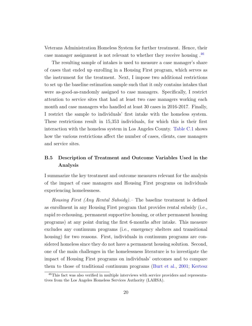Veterans Administration Homeless System for further treatment. Hence, their case manager assignment is not relevant to whether they receive housing .[46](#page-1-0)

The resulting sample of intakes is used to measure a case manager's share of cases that ended up enrolling in a Housing First program, which serves as the instrument for the treatment. Next, I impose two additional restrictions to set up the baseline estimation sample such that it only contains intakes that were as-good-as-randomly assigned to case managers. Specifically, I restrict attention to service sites that had at least two case managers working each month and case managers who handled at least 30 cases in 2016-2017. Finally, I restrict the sample to individuals' first intake with the homeless system. These restrictions result in 15,353 individuals, for which this is their first interaction with the homeless system in Los Angeles County. [Table C.1](#page-79-0) shows how the various restrictions affect the number of cases, clients, case managers and service sites.

## B.5 Description of Treatment and Outcome Variables Used in the Analysis

I summarize the key treatment and outcome measures relevant for the analysis of the impact of case managers and Housing First programs on individuals experiencing homelessness.

Housing First (Any Rental Subsidy).– The baseline treatment is defined as enrollment in any Housing First program that provides rental subsidy (i.e., rapid re-rehousing, permanent supportive housing, or other permanent housing programs) at any point during the first 6-months after intake. This measure excludes any continuum programs (i.e., emergency shelters and transitional housing) for two reasons. First, individuals in continuum programs are considered homeless since they do not have a permanent housing solution. Second, one of the main challenges in the homelessness literature is to investigate the impact of Housing First programs on individuals' outcomes and to compare them to those of traditional continuum programs [\(Burt et al.,](#page-36-2) [2001;](#page-36-2) [Kertesz](#page-40-1)

<sup>46</sup>[This fact was also verified in multiple interviews with service providers and representa](#page-40-1)[tives from the Los Angeles Homeless Services Authority \(LAHSA\).](#page-40-1)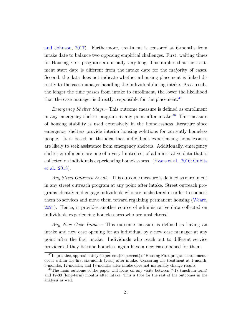[and Johnson,](#page-40-0) [2017\)](#page-40-0). Furthermore, treatment is censored at 6-months from intake date to balance two opposing empirical challenges. First, waiting times for Housing First programs are usually very long. This implies that the treatment start date is different from the intake date for the majority of cases. Second, the data does not indicate whether a housing placement is linked directly to the case manager handling the individual during intake. As a result, the longer the time passes from intake to enrollment, the lower the likelihood that the case manager is directly responsible for the placement.<sup>[47](#page-1-0)</sup>

Emergency Shelter Stays.– This outcome measure is defined as enrollment in any emergency shelter program at any point after intake.<sup>[48](#page-1-0)</sup> This measure of housing stability is used extensively in the homelessness literature since emergency shelters provide interim housing solutions for currently homeless people. It is based on the idea that individuals experiencing homelessness are likely to seek assistance from emergency shelters. Additionally, emergency shelter enrollments are one of a very limited set of administrative data that is collected on individuals experiencing homelessness. [\(Evans et al.,](#page-38-0) [2016;](#page-38-0) [Gubits](#page-38-1) [et al.,](#page-38-1) [2018\)](#page-38-1).

Any Street Outreach Event. – This outcome measure is defined as enrollment in any street outreach program at any point after intake. Street outreach programs identify and engage individuals who are unsheltered in order to connect them to services and move them toward regaining permanent housing [\(Weare,](#page-42-0) [2021\)](#page-42-0). Hence, it provides another source of administrative data collected on individuals experiencing homelessness who are unsheltered.

Any New Case Intake.– This outcome measure is defined as having an intake and new case opening for an individual by a new case manager at any point after the first intake. Individuals who reach out to different service providers if they become homeless again have a new case opened for them.

 $^{47}$ In practice, approximately 60 percent (90 percent) of Housing First program enrollments occur within the first six-month (year) after intake. Censoring the treatment at 1-month, 3-months, 12-months, and 18-months after intake does not materially change results.

<sup>48</sup>The main outcome of the paper will focus on any visits between 7-18 (medium-term) and 19-30 (long-term) months after intake. This is true for the rest of the outcomes in the analysis as well.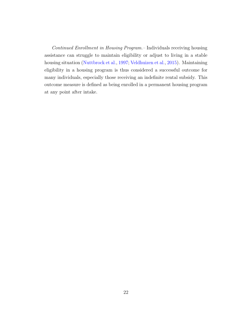Continued Enrollment in Housing Program.– Individuals receiving housing assistance can struggle to maintain eligibility or adjust to living in a stable housing situation [\(Nuttbrock et al.,](#page-41-0) [1997;](#page-41-0) [Veldhuizen et al.,](#page-42-1) [2015\)](#page-42-1). Maintaining eligibility in a housing program is thus considered a successful outcome for many individuals, especially those receiving an indefinite rental subsidy. This outcome measure is defined as being enrolled in a permanent housing program at any point after intake.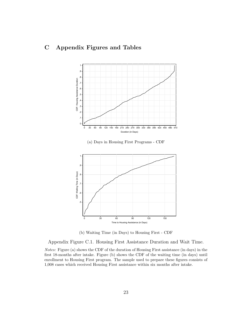# C Appendix Figures and Tables



(b) Waiting Time (in Days) to Housing First - CDF

Appendix Figure C.1. Housing First Assistance Duration and Wait Time.

Notes: Figure (a) shows the CDF of the duration of Housing First assistance (in days) in the first 18-months after intake. Figure (b) shows the CDF of the waiting time (in days) until enrollment to Housing First program. The sample used to prepare these figures consists of 1,008 cases which received Housing First assistance within six months after intake.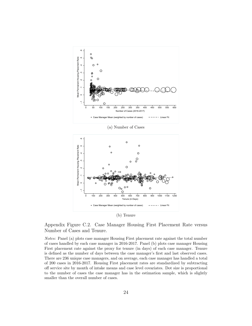

(a) Number of Cases



Appendix Figure C.2. Case Manager Housing First Placement Rate versus Number of Cases and Tenure.

Notes: Panel (a) plots case manager Housing First placement rate against the total number of cases handled by each case manager in 2016-2017. Panel (b) plots case manager Housing First placement rate against the proxy for tenure (in days) of each case manager. Tenure is defined as the number of days between the case manager's first and last observed cases. There are 236 unique case managers, and on average, each case manager has handled a total of 200 cases in 2016-2017. Housing First placement rates are standardized by subtracting off service site by month of intake means and case level covariates. Dot size is proportional to the number of cases the case manager has in the estimation sample, which is slightly smaller than the overall number of cases.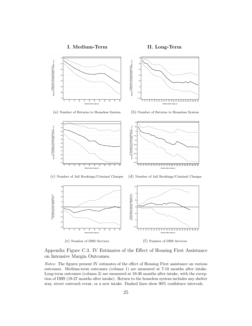



Appendix Figure C.3. IV Estimates of the Effect of Housing First Assistance on Intensive Margin Outcomes.

Notes: The figures present IV estimates of the effect of Housing First assistance on various outcomes. Medium-term outcomes (column 1) are measured at 7-18 months after intake. Long-term outcomes (column 2) are measured at 19-30 months after intake, with the exception of DHS (19-27 months after intake). Return to the homeless system includes any shelter stay, street outreach event, or a new intake. Dashed lines show 90% confidence intervals.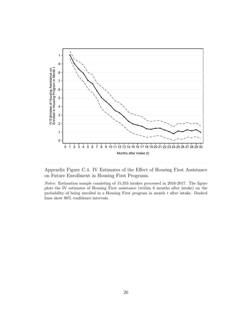

Appendix Figure C.4. IV Estimates of the Effect of Housing First Assistance on Future Enrollment in Housing First Programs.

Notes: Estimation sample consisting of 15,353 intakes processed in 2016-2017. The figure plots the IV estimates of Housing First assistance (within 6 months after intake) on the probability of being enrolled in a Housing First program in month  $t$  after intake. Dashed lines show 90% confidence intervals.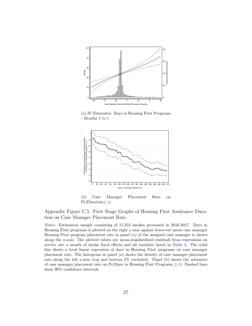

(a) IV Estimates: Days in Housing First Programs - Months 1 to  $t$ 



Appendix Figure C.5. First Stage Graphs of Housing First Assistance Duration on Case Manager Placement Rate.

Notes: Estimation sample consisting of 15,353 intakes processed in 2016-2017. Days in Housing First programs is plotted on the right y-axis against leave-out mean case manager Housing First program placement rate in panel (a) of the assigned case manager is shown along the x-axis. The plotted values are mean-standardized residuals from regressions on service site x month of intake fixed effects and all variables listed in [Table 3.](#page-48-0) The solid line shows a local linear regression of days in Housing First programs on case manager placement rate. The histogram in panel (a) shows the density of case manager placement rate along the left y-axis (top and bottom 2% excluded). Panel (b) shows the estimates of case manager placement rate on  $Pr(Days \text{ in Housing First Programs} \geq t)$ . Dashed lines show 90% confidence intervals.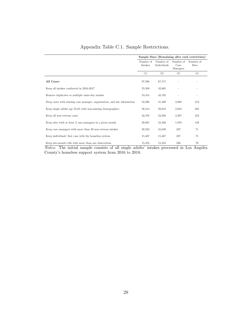|  |  |  |  | Appendix Table C.1. Sample Restrictions. |
|--|--|--|--|------------------------------------------|
|--|--|--|--|------------------------------------------|

|                                                                          | Sample Sizes (Remaining after each restriction): |                          |                               |                           |  |  |
|--------------------------------------------------------------------------|--------------------------------------------------|--------------------------|-------------------------------|---------------------------|--|--|
|                                                                          | Number of<br>Intakes                             | Number of<br>Individuals | Number of<br>Case<br>Managers | Number of<br><b>Sites</b> |  |  |
|                                                                          | (1)                                              | (2)                      | (3)                           | (4)                       |  |  |
| All Cases:                                                               | 87,500                                           | 67,171                   |                               |                           |  |  |
| Keep all intakes conducted in 2016-2017                                  | 55,509                                           | 42,665                   |                               |                           |  |  |
| Remove duplicates or multiple same-day intakes                           | 53,414                                           | 42,182                   |                               |                           |  |  |
| Drop cases with missing case manager, organization, and site information | 52,286                                           | 41,490                   | 2,988                         | 313                       |  |  |
| Keep single adults age 25-65 with non-missing demographics               | 38,414                                           | 29,610                   | 2,623                         | 285                       |  |  |
| Keep all non-veteran cases                                               | 32,376                                           | 24,956                   | 2,207                         | 252                       |  |  |
| Keep sites with at least 2 case managers in a given month                | 29,891                                           | 23,226                   | 1,970                         | 128                       |  |  |
| Keep case managers with more than 30 non-veteran intakes                 | 20,333                                           | 16,638                   | 237                           | 71                        |  |  |
| Keep individuals' first case with the homeless system                    | 15,467                                           | 15,467                   | 237                           | 71                        |  |  |
| Keep site-month cells with more than one observation                     | 15,353                                           | 15,353                   | 236                           | 70                        |  |  |

Notes: The initial sample consists of all single adults' intakes processed in Los Angeles County's homeless support system from 2016 to 2018.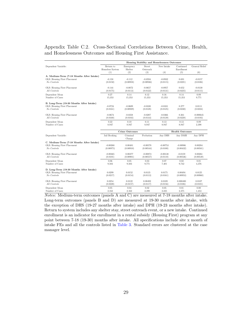### Appendix Table C.2. Cross-Sectional Correlations Between Crime, Health, and Homelessness Outcomes and Housing First Assistance.

|                                                                                           | Housing Stability and Homelessness Outcomes |                        |                         |                        |                         |                         |  |  |
|-------------------------------------------------------------------------------------------|---------------------------------------------|------------------------|-------------------------|------------------------|-------------------------|-------------------------|--|--|
| Dependent Variable:                                                                       | Return to<br>Homeless System                | Emergency<br>Shelter   | Street<br>Outreach      | New Intake             | Continued<br>Enrollment | General Relief          |  |  |
|                                                                                           | (1)                                         | (2)                    | (3)                     | (4)                    | (5)                     | (6)                     |  |  |
| A. Medium-Term (7-18 Months After Intake)<br>OLS: Housing First Placement<br>No Controls  | $-0.150$<br>(0.0150)                        | $-0.112$<br>(0.00958)  | $-0.0594$<br>(0.00936)  | $-0.0932$<br>(0.0115)  | 0.691<br>(0.0221)       | $-0.0157$<br>(0.0106)   |  |  |
| OLS: Housing First Placement<br>All Controls                                              | $-0.144$<br>(0.0175)                        | $-0.0872$<br>(0.0113)  | $-0.0657$<br>(0.0122)   | $-0.0957$<br>(0.0131)  | 0.652<br>(0.0225)       | $-0.0130$<br>(0.0115)   |  |  |
| Dependent Mean<br>Number of Cases                                                         | 0.27<br>15,353                              | 0.14<br>15,353         | 0.12<br>15,353          | 0.16<br>15,353         | 0.14<br>15,353          | 0.09<br>9,771           |  |  |
| B. Long-Term (19-30 Months After Intake)<br>OLS: Housing First Placement<br>No Controls   | $-0.0724$<br>(0.0161)                       | $-0.0609$<br>(0.00929) | $-0.0338$<br>(0.0128)   | $-0.0331$<br>(0.0125)  | 0.277<br>(0.0230)       | 0.0111<br>(0.0224)      |  |  |
| OLS: Housing First Placement<br>All Controls                                              | $-0.0674$<br>(0.0168)                       | $-0.0358$<br>(0.0103)  | $-0.0287$<br>(0.0144)   | $-0.0366$<br>(0.0139)  | 0.261<br>(0.0228)       | $-0.000645$<br>(0.0193) |  |  |
| Dependent Mean<br>Number of Cases                                                         | 0.22<br>8.947                               | 0.10<br>8.947          | 0.11<br>8,947           | 0.13<br>8,947          | 0.13<br>8,947           | 0.09<br>2,398           |  |  |
|                                                                                           |                                             | <b>Crime Outcomes</b>  |                         |                        | <b>Health Outcomes</b>  |                         |  |  |
| Dependent Variable:                                                                       | Jail Booking                                | Criminal<br>Charge     | Probation               | Any DHS                | Any DMH                 | Any DPH                 |  |  |
| C. Medium-Term (7-18 Months After Intake)<br>OLS: Housing First Placement<br>No Controls  | $-0.00260$<br>(0.00975)                     | 0.00481<br>(0.00910)   | $-0.00578$<br>(0.00544) | $-0.00753$<br>(0.0100) | $-0.00986$<br>(0.00432) | 0.00284<br>(0.00581)    |  |  |
| OLS: Housing First Placement<br>All Controls                                              | $-0.00365$<br>(0.0101)                      | 0.00377<br>(0.00901)   | $-0.00873$<br>(0.00557) | $-0.00138$<br>(0.0110) | $-0.0159$<br>(0.00536)  | 0.00261<br>(0.00549)    |  |  |
| Dependent Mean<br>Number of Cases                                                         | 0.06<br>9,503                               | 0.05<br>9,503          | 0.03<br>9,771           | 0.07<br>7.401          | 0.02<br>9,742           | 0.01<br>4,376           |  |  |
| D. Long-Term (19-30 Months After Intake)<br>OLS: Housing First Placement<br>$No$ Controls | 0.0299<br>(0.0217)                          | 0.0152<br>(0.0154)     | 0.0135<br>(0.0113)      | 0.0175<br>(0.0161)     | 0.00494<br>(0.00953)    | 0.0125<br>(0.00960)     |  |  |
| OLS: Housing First Placement<br>All Controls                                              | 0.0254<br>(0.0220)                          | 0.0122<br>(0.0157)     | 0.00492<br>(0.0117)     | 0.0109<br>(0.0156)     | 0.000480<br>(0.0106)    | 0.0107<br>(0.0101)      |  |  |
| Dependent Mean<br>Number of Cases                                                         | 0.05<br>2,162                               | 0.04<br>2,162          | 0.02<br>2,398           | 0.05<br>2,235          | 0.01<br>2,375           | 0.00<br>1,453           |  |  |

Notes: Medium-term outcomes (panels A and C) are measured at 7-18 months after intake. Long-term outcomes (panels B and D) are measured at 19-30 months after intake, with the exception of DHS (19-27 months after intake) and DPH (19-23 months after intake). Return to system includes any shelter stay, street outreach event, or a new intake. Continued enrollment is an indicator for enrollment in a rental subsidy (Housing First) program at any point between 7-18 (19-30) months after intake. All specifications include site x month of intake FEs and all the controls listed in [Table 3.](#page-48-0) Standard errors are clustered at the case manager level.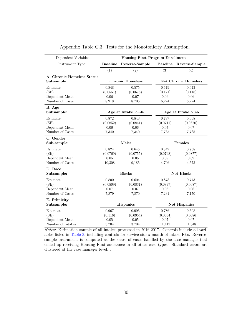| Dependent Variable:        | <b>Housing First Program Enrollment</b> |                         |                 |                             |  |  |  |
|----------------------------|-----------------------------------------|-------------------------|-----------------|-----------------------------|--|--|--|
| Instrument Type:           | <b>Baseline</b>                         | Reverse-Sample          | <b>Baseline</b> | Reverse-Sample              |  |  |  |
|                            | (1)                                     | (2)                     | (3)             | (4)                         |  |  |  |
| A. Chronic Homeless Status |                                         |                         |                 |                             |  |  |  |
| Subsample:                 |                                         | <b>Chronic Homeless</b> |                 | <b>Not Chronic Homeless</b> |  |  |  |
| Estimate                   | 0.848                                   | 0.575                   | 0.679           | 0.643                       |  |  |  |
| (SE)                       | (0.0551)                                | (0.0676)                | (0.121)         | (0.118)                     |  |  |  |
| Dependent Mean             | 0.06                                    | 0.07                    | 0.06            | 0.06                        |  |  |  |
| Number of Cases            | 8,918                                   | 8,706                   | 6,224           | 6,224                       |  |  |  |
| B. Age                     |                                         |                         |                 |                             |  |  |  |
| Subsample:                 |                                         | Age at Intake $\leq=45$ |                 | Age at Intake $> 45$        |  |  |  |
| Estimate                   | 0.872                                   | 0.843                   | 0.797           | 0.668                       |  |  |  |
| (SE)                       | (0.0852)                                | (0.0841)                | (0.0711)        | (0.0670)                    |  |  |  |
| Dependent Mean             | 0.06                                    | 0.06                    | 0.07            | 0.07                        |  |  |  |
| Number of Cases            | 7,340                                   | 7,340                   | 7,765           | 7,765                       |  |  |  |
| C. Gender                  |                                         |                         |                 |                             |  |  |  |
| Sub-sample:                |                                         | Males                   |                 | Females                     |  |  |  |
| Estimate                   | 0.824                                   | 0.645                   | 0.849           | 0.758                       |  |  |  |
| (SE)                       | (0.0769)                                | (0.0755)                | (0.0768)        | (0.0877)                    |  |  |  |
| Dependent Mean             | 0.05                                    | 0.06                    | 0.09            | 0.09                        |  |  |  |
| Number of Cases            | 10,308                                  | 9,185                   | 4,796           | 4,573                       |  |  |  |
| D. Race                    |                                         |                         |                 |                             |  |  |  |
| Subsample:                 |                                         | <b>Blacks</b>           |                 | Not Blacks                  |  |  |  |
| Estimate                   | 0.800                                   | 0.604                   | 0.878           | 0.773                       |  |  |  |
| (SE)                       | (0.0809)                                | (0.0831)                | (0.0837)        | (0.0687)                    |  |  |  |
| Dependent Mean             | 0.07                                    | 0.07                    | 0.06            | 0.06                        |  |  |  |
| Number of Cases            | 7,879                                   | 7,870                   | 7.231           | 7,170                       |  |  |  |
| E. Ethnicity               |                                         |                         |                 |                             |  |  |  |
| Subsample:                 |                                         | <b>Hispanics</b>        |                 | Not Hispanics               |  |  |  |
| Estimate                   | 0.967                                   | 0.995                   | 0.786           | 0.508                       |  |  |  |
| (SE)                       | (0.116)                                 | (0.0954)                | (0.0634)        | (0.0686)                    |  |  |  |
| Dependent Mean             | 0.05                                    | 0.05                    | 0.07            | 0.07                        |  |  |  |
| Number of Intakes          | 3,704                                   | 3,704                   | 11,417          | 11,348                      |  |  |  |

| Appendix Table C.3. Tests for the Monotonicity Assumption. |  |
|------------------------------------------------------------|--|
|------------------------------------------------------------|--|

Notes: Estimation sample of all intakes processed in 2016-2017. Controls include all variables listed in [Table 3,](#page-48-0) including controls for service site x month of intake FEs. Reversesample instrument is computed as the share of cases handled by the case manager that ended up receiving Housing First assistance in all other case types. Standard errors are clustered at the case manager level. .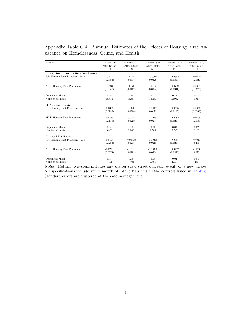| Period:                              | Months 1-6   | Months 7-12  | Months 13-18 | Months 19-24 | Months 25-30 |
|--------------------------------------|--------------|--------------|--------------|--------------|--------------|
|                                      | After Intake | After Intake | After Intake | After Intake | After Intake |
|                                      | (1)          | (2)          | (3)          | (4)          | (5)          |
| A. Any Return to the Homeless System |              |              |              |              |              |
| RF: Housing First Placement Rate     | $-0.223$     | $-0.144$     | $-0.0993$    | $-0.0652$    | $-0.0540$    |
|                                      | (0.0623)     | (0.0317)     | (0.0328)     | (0.0303)     | (0.0325)     |
| 2SLS: Housing First Placement        | $-0.263$     | $-0.170$     | $-0.117$     | $-0.0749$    | $-0.0667$    |
|                                      | (0.0667)     | (0.0407)     | (0.0394)     | (0.0341)     | (0.0377)     |
| Dependent Mean                       | 0.29         | 0.18         | 0.15         | 0.13         | 0.12         |
| Number of Intakes                    | 15,353       | 15,353       | 15,353       | 12,982       | 8,947        |
| <b>B.</b> Any Jail Booking           |              |              |              |              |              |
| RF: Housing First Placement Rate     | $-0.0356$    | $-0.0608$    | $-0.00461$   | $-0.0405$    | $-0.0653$    |
|                                      | (0.0133)     | (0.0200)     | (0.0171)     | (0.0165)     | (0.0259)     |
| 2SLS: Housing First Placement        | $-0.0433$    | $-0.0739$    | $-0.00561$   | $-0.0482$    | $-0.0875$    |
|                                      | (0.0158)     | (0.0222)     | (0.0207)     | (0.0200)     | (0.0338)     |
| Dependent Mean                       | 0.05         | 0.05         | 0.04         | 0.03         | 0.02         |
| Number of Intake                     | 9.503        | 9.503        | 9.503        | 5,547        | 2,162        |
| C. Any DHS Service                   |              |              |              |              |              |
| RF: Housing First Placement Rate     | $-0.0194$    | $-0.00938$   | $-0.00310$   | $-0.0387$    | $-0.0911$    |
|                                      | (0.0223)     | (0.0238)     | (0.0215)     | (0.0290)     | (0.200)      |
| 2SLS: Housing First Placement        | $-0.0238$    | $-0.0115$    | $-0.00380$   | $-0.0432$    | $-0.126$     |
|                                      | (0.0278)     | (0.0294)     | (0.0264)     | (0.0326)     | (0.272)      |
| Dependent Mean                       | 0.05         | 0.05         | 0.05         | 0.04         | 0.04         |
| Number of Intakes                    | 7.401        | 7,401        | 7.401        | 4,034        | 451          |

Appendix Table C.4. Biannual Estimates of the Effects of Housing First Assistance on Homelessness, Crime, and Health.

Notes: Return to system includes any shelter stay, street outreach event, or a new intake. All specifications include site x month of intake FEs and all the controls listed in [Table 3.](#page-48-0) Standard errors are clustered at the case manager level.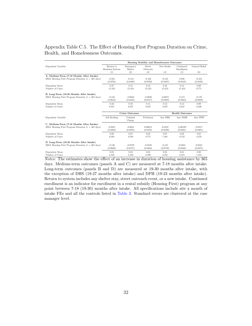#### Appendix Table C.5. The Effect of Housing First Program Duration on Crime, Health, and Homelessness Outcomes.

|                                                                  | Housing Stability and Homelessness Outcomes |                             |                            |                   |                                |                       |  |  |
|------------------------------------------------------------------|---------------------------------------------|-----------------------------|----------------------------|-------------------|--------------------------------|-----------------------|--|--|
| Dependent Variable:                                              | Return to<br>Homeless System<br>(1)         | Emergency<br>Shelter<br>(2) | Street.<br>Outreach<br>(3) | New Intake<br>(4) | Continued<br>Enrollment<br>(5) | General Relief<br>(6) |  |  |
| A. Medium-Term (7-18 Months After Intake)                        |                                             |                             |                            |                   |                                |                       |  |  |
| 2SLS: Housing First Program Duration $(1 = 365 \text{ days})$    | $-0.353$                                    | $-0.154$                    | $-0.136$                   | $-0.133$          | 0.808                          | $-0.104$              |  |  |
|                                                                  | (0.0794)                                    | (0.0400)                    | (0.0709)                   | (0.0467)          | (0.0548)                       | (0.0529)              |  |  |
| Dependent Mean                                                   | 0.27                                        | 0.14                        | 0.12                       | 0.16              | 0.14                           | 0.09                  |  |  |
| Number of Cases                                                  | 15,353                                      | 15,353                      | 15,353                     | 15,353            | 15,353                         | 9,771                 |  |  |
| B. Long-Term (19-30 Months After Intake)                         | $-0.156$                                    | $-0.0632$                   | $-0.0939$                  | $-0.0672$         | 0.174                          | $-0.176$              |  |  |
| 2SLS: Housing First Program Duration $(1 = 365 \text{ days})$    | (0.0634)                                    | (0.0443)                    | (0.0517)                   | (0.0393)          | (0.0563)                       | (0.0888)              |  |  |
| Dependent Mean                                                   | 0.22                                        | 0.10                        | 0.11                       | 0.13              | 0.13                           | 0.09                  |  |  |
| Number of Cases                                                  | 8,947                                       | 8,947                       | 8.947                      | 8,947             | 8.947                          | 2,398                 |  |  |
|                                                                  |                                             | <b>Crime Outcomes</b>       |                            |                   | <b>Health Outcomes</b>         |                       |  |  |
| Dependent Variable:                                              | Jail Booking                                | Criminal<br>Charge          | Probation                  | Any DHS           | Any DMH                        | Any DPH               |  |  |
| C. Medium-Term (7-18 Months After Intake)                        |                                             |                             |                            |                   |                                |                       |  |  |
| $2SLS$ : Housing First Program Duration $(1 = 365 \text{ days})$ | $-0.0851$                                   | $-0.0621$                   | 0.00673                    | $-0.0107$         | $-0.00189$                     | $-0.0571$             |  |  |
|                                                                  | (0.0282)                                    | (0.0285)                    | (0.0195)                   | (0.0490)          | (0.0281)                       | (0.0301)              |  |  |
| Dependent Mean                                                   | 0.06                                        | 0.05                        | 0.03                       | 0.07              | 0.02                           | 0.01                  |  |  |
| Number of Cases                                                  | 9,503                                       | 9,503                       | 9,771                      | 7,401             | 9,742                          | 4,376                 |  |  |
| D. Long-Term (19-30 Months After Intake)                         | $-0.136$                                    | $-0.0749$                   | $-0.0449$                  | $-0.121$          | 0.0482                         | 0.0162                |  |  |
| 2SLS: Housing First Program Duration $(1 = 365 \text{ days})$    | (0.0686)                                    | (0.0471)                    | (0.0464)                   | (0.0749)          | (0.0336)                       | (0.0372)              |  |  |
| Dependent Mean                                                   | 0.05                                        | 0.04                        | 0.02                       | 0.05              | 0.01                           | 0.00                  |  |  |
| Number of Cases                                                  | 2,162                                       | 2,162                       | 2,398                      | 2,235             | 2,375                          | 1,453                 |  |  |

Notes: The estimates show the effect of an increase in duration of housing assistance by 365 days. Medium-term outcomes (panels A and C) are measured at 7-18 months after intake. Long-term outcomes (panels B and D) are measured at 19-30 months after intake, with the exception of DHS (19-27 months after intake) and DPH (19-23 months after intake). Return to system includes any shelter stay, street outreach event, or a new intake. Continued enrollment is an indicator for enrollment in a rental subsidy (Housing First) program at any point between 7-18 (19-30) months after intake. All specifications include site x month of intake FEs and all the controls listed in [Table 3.](#page-48-0) Standard errors are clustered at the case manager level.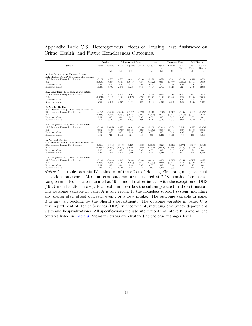#### Appendix Table C.6. Heterogeneous Effects of Housing First Assistance on Crime, Health, and Future Homelessness Outcomes.

|                                             |           | Gender    |           | <b>Ethnicity</b> and Race |           | Age        |            | <b>Homeless History</b> |                 | Jail History     |                    |
|---------------------------------------------|-----------|-----------|-----------|---------------------------|-----------|------------|------------|-------------------------|-----------------|------------------|--------------------|
| Sample:                                     | Males     | Females   | Blacks    | Hispanics                 | Whites    | Age < 45   | Age<br>45  | Chronic                 | Not-<br>Chronic | Jail.<br>Hisotry | No Jail<br>History |
|                                             | (1)       | (2)       | (3)       | (4)                       | (5)       | (6)        | (7)        | (8)                     | (9)             | (10)             | (11)               |
| A. Any Return to the Homeless System        |           |           |           |                           |           |            |            |                         |                 |                  |                    |
| A.1. Medium-Term (7-18 Months after Intake) |           |           |           |                           |           |            |            |                         |                 |                  |                    |
| 2SLS Estimate: Housing First Placement      | $-0.274$  | $-0.202$  | $-0.233$  | $-0.245$                  | $-0.298$  | $-0.194$   | $-0.226$   | $-0.282$                | $-0.249$        | $-0.374$         | $-0.226$           |
| (SE)                                        | (0.0695)  | (0.0657)  | (0.0761)  | (0.0810)                  | (0.137)   | (0.0627)   | (0.0904)   | (0.0799)                | (0.0865)        | (0.161)          | (0.0530)           |
| Dependent Mean                              | 0.26      | 0.29      | 0.28      | 0.25                      | 0.27      | 0.24       | 0.31       | 0.29                    | 0.25            | 0.28             | 0.27               |
| Number of Intakes                           | 10,308    | 4.796     | 7.879     | 3.704                     | 2,773     | 7.340      | 7.765      | 8.918                   | 6,224           | 2.027            | 13.088             |
| A.2. Long-Term (19-30 Months after Intake)  |           |           |           |                           |           |            |            |                         |                 |                  |                    |
| 2SLS Estimate: Housing First Placement      | $-0.155$  | $-0.252$  | $-0.123$  | $-0.163$                  | $-0.310$  | $-0.164$   | $-0.153$   | $-0.166$                | $-0.0312$       | $-0.0593$        | $-0.119$           |
| (SE)                                        | (0.0831)  | (0.118)   | (0.101)   | (0.105)                   | (0.175)   | (0.107)    | (0.106)    | (0.0761)                | (0.120)         | (0.205)          | (0.0618)           |
| Dependent Mean                              | 0.22      | 0.22      | 0.22      | 0.21                      | 0.22      | 0.20       | 0.23       | 0.23                    | 0.20            | 0.23             | 0.22               |
| Number of Intakes                           | 5,888     | 2,910     | 4,837     | 1,930                     | 1,589     | 3.912      | 4,869      | 5,407                   | 3,420           | 1,135            | 7.670              |
| <b>B.</b> Any Jail Booking                  |           |           |           |                           |           |            |            |                         |                 |                  |                    |
| B.1. Medium-Term (7-18 Months after Intake) |           |           |           |                           |           |            |            |                         |                 |                  |                    |
| 2SLS Estimate: Housing First Placement      | $-0.0849$ | $-0.0299$ | $-0.0664$ | 0.00295                   | $-0.0567$ | $-0.117$   | $-0.00772$ | $-0.0400$               | $-0.165$        | $-0.132$         | $-0.0242$          |
| (SE)                                        | (0.0338)  | (0.0325)  | (0.0391)  | (0.0436)                  | (0.0396)  | (0.0424)   | (0.0411)   | (0.0257)                | (0.0558)        | (0.157)          | (0.0178)           |
| Dependent Mean                              | 0.06      | 0.07      | 0.06      | 0.07                      | 0.06      | 0.06       | 0.07       | 0.07                    | 0.06            | 0.33             | 0.02               |
| Number of Intakes                           | 6,245     | 3,105     | 5.081     | 2.106                     | 1,699     | 4.205      | 5.135      | 5.727                   | 3.652           | 1,230            | 8,126              |
| B.2. Long-Term (19-30 Months after Intake)  |           |           |           |                           |           |            |            |                         |                 |                  |                    |
| 2SLS Estimate: Housing First Placement      | $-0.200$  | 0.00253   | $-0.122$  | $-0.107$                  | $-0.388$  | $-0.154$   | $-0.0528$  | $-0.174$                | 0.0241          | $-0.280$         | $-0.0703$          |
| (SE)                                        | (0.112)   | (0.0450)  | (0.0765)  | (0.0729)                  | (0.392)   | (0.0952)   | (0.0834)   | (0.0811)                | (0.107)         | (0.600)          | (0.0352)           |
| Dependent Mean                              | 0.05      | 0.05      | 0.05      | 0.05                      | 0.05      | 0.05       | 0.05       | 0.05                    | 0.05            | 0.23             | 0.02               |
| Number of Intakes                           | 1.412     | 711       | 1.156     | 424                       | 428       | 903        | 1,221      | 1.347                   | 780             | 265              | 1.868              |
| C. Any DHS Service                          |           |           |           |                           |           |            |            |                         |                 |                  |                    |
| C.1. Medium-Term (7-18 Months after Intake) |           |           |           |                           |           |            |            |                         |                 |                  |                    |
| 2SLS Estimate: Housing First Placement      | 0.0516    | $-0.0613$ | $-0.0690$ | 0.125                     | $-0.0609$ | $-0.00359$ | 0.0221     | $-0.0296$               | 0.0774          | $-0.0259$        | $-0.0130$          |
| (SE)                                        | (0.0400)  | (0.0604)  | (0.0614)  | (0.0708)                  | (0.0525)  | (0.0421)   | (0.0526)   | (0.0406)                | (0.119)         | (0.169)          | (0.0383)           |
| Dependent Mean                              | 0.07      | 0.08      | 0.07      | 0.08                      | 0.07      | 0.08       | 0.07       | 0.07                    | 0.08            | 0.21             | 0.05               |
| Number of Intakes                           | 4,795     | 2,480     | 4.080     | 1.538                     | 1,283     | 3.163      | 4.098      | 4.467                   | 2.822           | 932              | 6,354              |
| C.2. Long-Term (19-27 Months after Intake)  |           |           |           |                           |           |            |            |                         |                 |                  |                    |
| 2SLS Estimate: Housing First Placement      | $-0.188$  | $-0.0428$ | $-0.143$  | 0.0535                    | $-0.604$  | $-0.0126$  | $-0.166$   | $-0.0981$               | $-0.165$        | 0.0782           | $-0.157$           |
| (SE)                                        | (0.0880)  | (0.0938)  | (0.105)   | (0.123)                   | (0.341)   | (0.0767)   | (0.0882)   | (0.0714)                | (0.140)         | (0.323)          | (0.0757)           |
| Dependent Mean                              | 0.05      | 0.05      | 0.04      | 0.05                      | 0.06      | 0.05       | 0.05       | 0.05                    | 0.05            | 0.10             | 0.04               |
| Number of Intakes                           | 1.465     | 725       | 1.192     | 442                       | 438       | 930        | 1.271      | 1.396                   | 811             | 277              | 1,925              |

Notes: The table presents IV estimates of the effect of Housing First program placement on various outcomes. Medium-term outcomes are measured at 7-18 months after intake. Long-term outcomes are measured at 19-30 months after intake, with the exception of DHS (19-27 months after intake). Each column describes the subsample used in the estimation. The outcome variable in panel A is any return to the homeless support system, including any shelter stay, street outreach event, or a new intake. The outcome variable in panel B is any jail booking by the Sheriff's department. The outcome variable in panel C is any Department of Health Services (DHS) service receipt, including emergnecy department visits and hospitalizations. All specifications include site x month of intake FEs and all the controls listed in [Table 3.](#page-48-0) Standard errors are clustered at the case manager level.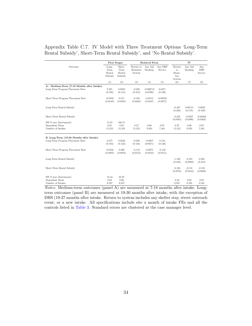#### Appendix Table C.7. IV Model with Three Treatment Options 'Long-Term Rental Subsidy', Short-Term Rental Subsidy', and 'No Rental Subsidy'.

|                                                               | <b>First Stages</b>                |                                     |                                 | Reduced Form            |                        |                                         | ${\rm IV}$            |                              |
|---------------------------------------------------------------|------------------------------------|-------------------------------------|---------------------------------|-------------------------|------------------------|-----------------------------------------|-----------------------|------------------------------|
| Outcome:                                                      | Long-<br>Term<br>Rental<br>Subsidy | Short-<br>Term<br>Rental<br>Subsidy | Return to<br>Homeless<br>System | Any Jail<br>Booking     | Any DHS<br>Service     | Return<br>to<br>Home-<br>less<br>System | Any Jail<br>Booking   | Any<br><b>DHS</b><br>Service |
|                                                               | (1)                                | (2)                                 | (3)                             | (4)                     | (5)                    | (6)                                     | (7)                   | (8)                          |
| A., Medium-Term (7-18 Months after Intake)                    |                                    |                                     |                                 |                         |                        |                                         |                       |                              |
| Long-Term Program Placement Rate                              | 0.591<br>(0.198)                   | 0.0359<br>(0.113)                   | $-0.302$<br>(0.213)             | $-0.000712$<br>(0.0700) | 0.0471<br>(0.106)      |                                         |                       |                              |
| Short-Term Program Placement Rate                             | $-0.0192$<br>(0.0143)              | 0.871<br>(0.0591)                   | $-0.192$<br>(0.0363)            | $-0.0512$<br>(0.0167)   | $-0.00783$<br>(0.0275) |                                         |                       |                              |
| Long-Term Rental Subsidy                                      |                                    |                                     |                                 |                         |                        | $-0.497$<br>(0.328)                     | 0.00115<br>(0.119)    | 0.0828<br>(0.189)            |
| Short-Term Rental Subsidy                                     |                                    |                                     |                                 |                         |                        | $-0.232$<br>(0.0483)                    | $-0.0587$<br>(0.0206) | $-0.00403$<br>(0.0363)       |
| SW F-stat (Instrument)<br>Dependent Mean<br>Number of Intakes | 13.35<br>0.01<br>15,353            | 166.71<br>0.05<br>15,353            | 0.27<br>15,353                  | 0.06<br>9,503           | 0.07<br>7.401          | 0.27<br>15,353                          | 0.06<br>9,503         | 0.07<br>7,401                |
| B. Long-Term (19-30 Months after Intake)                      |                                    |                                     |                                 |                         |                        |                                         |                       |                              |
| Long-Term Program Placement Rate                              | 0.575<br>(0.184)                   | 0.0240<br>(0.132)                   | $-0.638$<br>(0.156)             | $-0.0957$<br>(0.0671)   | 0.116<br>(0.126)       |                                         |                       |                              |
| Short-Term Program Placement Rate                             | $-0.0456$<br>(0.0294)              | 0.860<br>(0.0823)                   | $-0.110$<br>(0.0512)            | $-0.0975$<br>(0.0310)   | $-0.130$<br>(0.0515)   |                                         |                       |                              |
| Long-Term Rental Subsidy                                      |                                    |                                     |                                 |                         |                        | $-1.102$<br>(0.520)                     | $-0.101$<br>(0.0992)  | 0.203<br>(0.212)             |
| Short-Term Rental Subsidy                                     |                                    |                                     |                                 |                         |                        | $-0.186$<br>(0.0705)                    | $-0.131$<br>(0.0516)  | $-0.135$<br>(0.0690)         |
| SW F-stat (Instrument)                                        | 10.44                              | 62.97                               |                                 |                         |                        |                                         |                       |                              |
| Dependent Mean<br>Number of Intakes                           | 0.02<br>8,947                      | 0.06<br>8.947                       |                                 |                         |                        | 0.22<br>8,947                           | 0.05<br>2,162         | 0.05<br>2,235                |

Notes: Medium-term outcomes (panel A) are measured at 7-18 months after intake. Longterm outcomes (panel B) are measured at 19-30 months after intake, with the exception of DHS (19-27 months after intake. Return to system includes any shelter stay, street outreach event, or a new intake. All specifications include site x month of intake FEs and all the controls listed in [Table 3.](#page-48-0) Standard errors are clustered at the case manager level.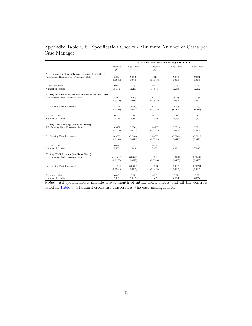# Appendix Table C.8. Specification Checks - Minimum Number of Cases per Case Manager

|                                                                                                    |               | Cases Handled by Case Manager in Sample           |                                      |                              |                 |  |  |  |
|----------------------------------------------------------------------------------------------------|---------------|---------------------------------------------------|--------------------------------------|------------------------------|-----------------|--|--|--|
|                                                                                                    | Baseline      | $>$ 35 Cases                                      | $>$ 40 Cases                         | $>$ 45 Cases                 | $\geq$ 50 Cases |  |  |  |
|                                                                                                    | (1)           | (2)                                               | (3)                                  | (4)                          | (5)             |  |  |  |
| A. Housing First Assistance Receipt (First-Stage)                                                  |               |                                                   |                                      |                              |                 |  |  |  |
| First Stage: Housing First Placement Rate                                                          | 0.847         | 0.853                                             | 0.819                                | 0.678                        | 0.682           |  |  |  |
|                                                                                                    | (0.0631)      | (0.0700)                                          | (0.0917)                             | (0.0933)                     | (0.0943)        |  |  |  |
| Dependent Mean                                                                                     | 0.07          | 0.06                                              | 0.06                                 | 0.05                         | 0.05            |  |  |  |
| Number of Intakes                                                                                  | 15,353        | 14,473                                            | 13,555                               | 12,960                       | 12,572          |  |  |  |
| B. Any Return to Homeless System (Medium-Term)                                                     |               |                                                   |                                      |                              |                 |  |  |  |
| RF: Housing First Placement Rate                                                                   | $-0.195$      | $-0.213$                                          | $-0.212$                             | $-0.188$                     | $-0.181$        |  |  |  |
|                                                                                                    | (0.0379)      | (0.0414)                                          | (0.0538)                             | (0.0625)                     | (0.0622)        |  |  |  |
| IV: Housing First Placement                                                                        | $-0.230$      | $-0.250$                                          | $-0.258$                             | $-0.278$                     | $-0.265$        |  |  |  |
|                                                                                                    | (0.0490)      | (0.0541)                                          | (0.0756)                             | (0.108)                      | (0.106)         |  |  |  |
| Dependent Mean                                                                                     | 0.27          | 0.27                                              | 0.27                                 | 0.27                         | 0.27            |  |  |  |
| Number of Intakes                                                                                  | 15,353        | 14,473                                            | 13,555                               | 12,960                       | 12,572          |  |  |  |
| C. Any Jail Booking (Medium-Term)                                                                  |               |                                                   |                                      |                              |                 |  |  |  |
| RF: Housing First Placement Rate                                                                   | $-0.0498$     | $-0.0561$                                         | $-0.0569$                            | $-0.0536$                    | $-0.0551$       |  |  |  |
|                                                                                                    | (0.0170)      | (0.0193)                                          | (0.0231)                             | (0.0308)                     | (0.0308)        |  |  |  |
| IV: Housing First Placement                                                                        | $-0.0606$     | $-0.0660$                                         | $-0.0700$                            | $-0.0904$                    | $-0.0926$       |  |  |  |
|                                                                                                    | (0.0193)      | (0.0213)                                          | (0.0254)                             | (0.0483)                     | (0.0482)        |  |  |  |
| Dependent Mean                                                                                     | 0.06          | 0.06                                              | 0.06                                 | 0.06                         | 0.06            |  |  |  |
| Number of Intakes                                                                                  | 9.503         | 9,049                                             | 8,435                                | 8,051                        | 7,857           |  |  |  |
| C. Any DHS Service (Medium-Term)                                                                   |               |                                                   |                                      |                              |                 |  |  |  |
| RF: Housing First Placement Rate                                                                   | $-0.00610$    | $-0.00540$                                        | 0.000216                             | 0.00808                      | 0.00494         |  |  |  |
|                                                                                                    | (0.0277)      | (0.0325)                                          | (0.0349)                             | (0.0457)                     | (0.0457)        |  |  |  |
| IV: Housing First Placement                                                                        | $-0.00749$    | $-0.00639$                                        | 0.000263                             | 0.0121                       | 0.00741         |  |  |  |
|                                                                                                    | (0.0341)      | (0.0387)                                          | (0.0424)                             | (0.0683)                     | (0.0683)        |  |  |  |
| Dependent Mean<br>Number of Intakes<br>$\cdot$ $\sim$<br>A 11<br>$\ddot{\phantom{0}}$<br><b>AT</b> | 0.07<br>7,401 | 0.07<br>7,047<br>$\mathbf{r}$ .<br>$\blacksquare$ | 0.07<br>6,525<br>c<br>$\alpha$<br>п. | 0.07<br>6.223<br>п.<br>11.11 | 0.07<br>6.075   |  |  |  |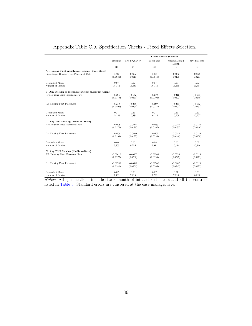|                                                   |               | <b>Fixed Effects Selection</b> |               |                         |             |  |  |  |
|---------------------------------------------------|---------------|--------------------------------|---------------|-------------------------|-------------|--|--|--|
|                                                   | Baseline      | Site x Quarter                 | Site x Year   | Organization x<br>Month | SPA x Month |  |  |  |
|                                                   | (1)           | (2)                            | (3)           | (4)                     | (5)         |  |  |  |
| A. Housing First Assistance Receipt (First-Stage) |               |                                |               |                         |             |  |  |  |
| First Stage: Housing First Placement Rate         | 0.847         | 0.855                          | 0.854         | 0.906                   | 0.968       |  |  |  |
|                                                   | (0.0631)      | (0.0613)                       | (0.0618)      | (0.0479)                | (0.0211)    |  |  |  |
| Dependent Mean                                    | 0.07          | 0.07                           | 0.07          | 0.06                    | 0.07        |  |  |  |
| Number of Intakes                                 | 15,353        | 15,881                         | 16,116        | 16,659                  | 16,757      |  |  |  |
| B. Any Return to Homeless System (Medium-Term)    |               |                                |               |                         |             |  |  |  |
| RF: Housing First Placement Rate                  | $-0.195$      | $-0.177$                       | $-0.170$      | $-0.241$                | $-0.166$    |  |  |  |
|                                                   | (0.0379)      | (0.0361)                       | (0.0304)      | (0.0322)                | (0.0245)    |  |  |  |
| IV: Housing First Placement                       | $-0.230$      | $-0.208$                       | $-0.199$      | $-0.266$                | $-0.172$    |  |  |  |
|                                                   | (0.0490)      | (0.0464)                       | (0.0371)      | (0.0397)                | (0.0257)    |  |  |  |
|                                                   |               |                                |               |                         |             |  |  |  |
| Dependent Mean                                    | 0.27          | 0.27                           | 0.27          | 0.27                    | 0.27        |  |  |  |
| Number of Intakes                                 | 15,353        | 15,881                         | 16,116        | 16,659                  | 16,757      |  |  |  |
| C. Any Jail Booking (Medium-Term)                 |               |                                |               |                         |             |  |  |  |
| RF: Housing First Placement Rate                  | $-0.0498$     | $-0.0493$                      | $-0.0333$     | $-0.0346$               | $-0.0126$   |  |  |  |
|                                                   | (0.0170)      | (0.0170)                       | (0.0197)      | (0.0133)                | (0.0146)    |  |  |  |
| IV: Housing First Placement                       | $-0.0606$     | $-0.0600$                      | $-0.0407$     | $-0.0385$               | $-0.0129$   |  |  |  |
|                                                   | (0.0193)      | (0.0195)                       | (0.0230)      | (0.0146)                | (0.0150)    |  |  |  |
|                                                   |               |                                |               |                         |             |  |  |  |
| Dependent Mean<br>Number of Intakes               | 0.06<br>9,503 | 0.06<br>9,755                  | 0.06<br>9.914 | 0.06<br>10,114          | 0.07        |  |  |  |
|                                                   |               |                                |               |                         | 10,216      |  |  |  |
| C. Any DHS Service (Medium-Term)                  |               |                                |               |                         |             |  |  |  |
| RF: Housing First Placement Rate                  | $-0.00610$    | $-0.00365$                     | $-0.00566$    | $-0.0555$               | $-0.0324$   |  |  |  |
|                                                   | (0.0277)      | (0.0286)                       | (0.0295)      | (0.0227)                | (0.0171)    |  |  |  |
| IV: Housing First Placement                       | $-0.00749$    | $-0.00449$                     | $-0.00702$    | $-0.0607$               | $-0.0326$   |  |  |  |
|                                                   | (0.0341)      | (0.0351)                       | (0.0366)      | (0.0243)                | (0.0172)    |  |  |  |
| Dependent Mean                                    | 0.07          | 0.08                           | 0.07          | 0.07                    | 0.08        |  |  |  |
| Number of Intakes                                 | 7.401         | 7.625                          | 7.760         | 7.916                   | 8.024       |  |  |  |

## Appendix Table C.9. Specification Checks - Fixed Effects Selection.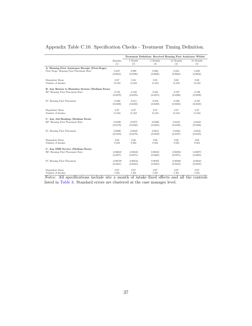|                                                   |                   | Treatment Definition: Received Housing First Assistance Within |                   |                   |                   |  |  |  |
|---------------------------------------------------|-------------------|----------------------------------------------------------------|-------------------|-------------------|-------------------|--|--|--|
|                                                   | Baseline<br>(1)   | 1 Month<br>(2)                                                 | 3 Months<br>(3)   | 12 Months<br>(4)  | 18 Months<br>(5)  |  |  |  |
| A. Housing First Assistance Receipt (First-Stage) |                   |                                                                |                   |                   |                   |  |  |  |
| First Stage: Housing First Placement Rate         | 0.847<br>(0.0631) | 0.909<br>(0.0598)                                              | 0.860<br>(0.0626) | 0.835<br>(0.0656) | 0.828<br>(0.0656) |  |  |  |
| Dependent Mean                                    | 0.07              | 0.04                                                           | 0.05              | 0.08              | 0.08              |  |  |  |
| Number of Intakes                                 | 15,353            | 15,353                                                         | 15,353            | 15,353            | 15,353            |  |  |  |
| B. Any Return to Homeless System (Medium-Term)    |                   |                                                                |                   |                   |                   |  |  |  |
| RF: Housing First Placement Rate                  | $-0.195$          | $-0.192$                                                       | $-0.201$          | $-0.197$          | $-0.196$          |  |  |  |
|                                                   | (0.0379)          | (0.0370)                                                       | (0.0375)          | (0.0390)          | (0.0399)          |  |  |  |
| IV: Housing First Placement                       | $-0.230$          | $-0.211$                                                       | $-0.234$          | $-0.236$          | $-0.237$          |  |  |  |
|                                                   | (0.0490)          | (0.0450)                                                       | (0.0489)          | (0.0508)          | (0.0522)          |  |  |  |
| Dependent Mean                                    | 0.27              | 0.27                                                           | 0.27              | 0.27              | 0.27              |  |  |  |
| Number of Intakes                                 | 15,353            | 15,353                                                         | 15,353            | 15,353            | 15,353            |  |  |  |
| C. Any Jail Booking (Medium-Term)                 |                   |                                                                |                   |                   |                   |  |  |  |
| RF: Housing First Placement Rate                  | $-0.0498$         | $-0.0575$                                                      | $-0.0506$         | $-0.0455$         | $-0.0433$         |  |  |  |
|                                                   | (0.0170)          | (0.0166)                                                       | (0.0165)          | (0.0169)          | (0.0166)          |  |  |  |
| IV: Housing First Placement                       | $-0.0606$         | $-0.0649$                                                      | $-0.0611$         | $-0.0563$         | $-0.0545$         |  |  |  |
|                                                   | (0.0193)          | (0.0179)                                                       | (0.0189)          | (0.0197)          | (0.0195)          |  |  |  |
| Dependent Mean                                    | 0.06              | 0.06                                                           | 0.06              | 0.06              | 0.06              |  |  |  |
| Number of Intakes                                 | 9.503             | 9,503                                                          | 9,503             | 9,503             | 9.503             |  |  |  |
| C. Any DHS Service (Medium-Term)                  |                   |                                                                |                   |                   |                   |  |  |  |
| RF: Housing First Placement Rate                  | $-0.00610$        | $-0.00458$                                                     | 0.00335           | $-0.00394$        | $-0.00271$        |  |  |  |
|                                                   | (0.0277)          | (0.0275)                                                       | (0.0268)          | (0.0275)          | (0.0283)          |  |  |  |
| IV: Housing First Placement                       | $-0.00749$        | $-0.00516$                                                     | 0.00407           | $-0.00488$        | $-0.00341$        |  |  |  |
|                                                   | (0.0341)          | (0.0310)                                                       | (0.0325)          | (0.0342)          | (0.0358)          |  |  |  |
| Dependent Mean                                    | 0.07              | 0.07                                                           | 0.07              | 0.07              | 0.07              |  |  |  |
| Number of Intakes                                 | 7,401             | 7,401                                                          | 7,401             | 7,401             | 7,401             |  |  |  |

### Appendix Table C.10. Specification Checks - Treatment Timing Definition.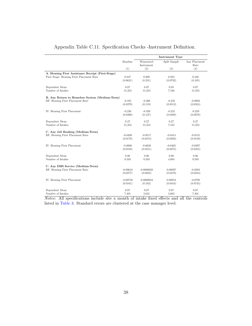|                                                   |            | <b>Instrument Type</b>   |              |                       |  |  |  |
|---------------------------------------------------|------------|--------------------------|--------------|-----------------------|--|--|--|
|                                                   | Baseline   | Winsorized<br>Instrument | Split Sample | Any Placement<br>Rate |  |  |  |
|                                                   | (1)        | (2)                      | (3)          | (4)                   |  |  |  |
| A. Housing First Assistance Receipt (First-Stage) |            |                          |              |                       |  |  |  |
| First Stage: Housing First Placement Rate         | 0.847      | 0.909                    | 0.953        | 0.348                 |  |  |  |
|                                                   | (0.0631)   | (0.231)                  | (0.0792)     | (0.105)               |  |  |  |
| Dependent Mean                                    | 0.07       | $0.07\,$                 | 0.05         | 0.07                  |  |  |  |
| Number of Intakes                                 | 15,353     | 15,353                   | 7.546        | 15,353                |  |  |  |
| B. Any Return to Homeless System (Medium-Term)    |            |                          |              |                       |  |  |  |
| RF: Housing First Placement Rate                  | $-0.195$   | $-0.308$                 | $-0.235$     | $-0.0902$             |  |  |  |
|                                                   | (0.0379)   | (0.119)                  | (0.0513)     | (0.0324)              |  |  |  |
| IV: Housing First Placement                       | $-0.230$   | $-0.339$                 | $-0.231$     | $-0.259$              |  |  |  |
|                                                   | (0.0490)   | (0.137)                  | (0.0498)     | (0.0878)              |  |  |  |
| Dependent Mean                                    | 0.27       | 0.27                     | 0.27         | 0.27                  |  |  |  |
| Number of Intakes                                 | 15,353     | 15,353                   | 7,545        | 15,353                |  |  |  |
| C. Any Jail Booking (Medium-Term)                 |            |                          |              |                       |  |  |  |
| RF: Housing First Placement Rate                  | $-0.0498$  | $-0.0517$                | $-0.0414$    | $-0.0155$             |  |  |  |
|                                                   | (0.0170)   | (0.0474)                 | (0.0292)     | (0.0149)              |  |  |  |
| IV: Housing First Placement                       | $-0.0606$  | $-0.0638$                | $-0.0403$    | $-0.0397$             |  |  |  |
|                                                   | (0.0193)   | (0.0551)                 | (0.0275)     | (0.0355)              |  |  |  |
| Dependent Mean                                    | 0.06       | 0.06                     | 0.06         | 0.06                  |  |  |  |
| Number of Intakes                                 | 9,503      | 9,503                    | 4,694        | 9.503                 |  |  |  |
| C. Any DHS Service (Medium-Term)                  |            |                          |              |                       |  |  |  |
| RF: Housing First Placement Rate                  | $-0.00610$ | $-0.0000028$             | 0.00897      | $-0.0303$             |  |  |  |
|                                                   | (0.0277)   | (0.0825)                 | (0.0479)     | (0.0244)              |  |  |  |
| IV: Housing First Placement                       | $-0.00749$ | $-0.0000034$             | 0.00853      | $-0.0798$             |  |  |  |
|                                                   | (0.0341)   | (0.102)                  | (0.0454)     | (0.0745)              |  |  |  |
| Dependent Mean                                    | 0.07       | 0.07                     | 0.07         | 0.07                  |  |  |  |
| Number of Intakes                                 | 7,401      | 3,621                    | 3.665        | 7,401                 |  |  |  |

## Appendix Table C.11. Specification Checks -Instrument Definition.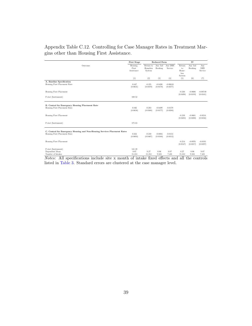### Appendix Table C.12. Controlling for Case Manager Rates in Treatment Margins other than Housing First Assistance.

|                                                                                                           | First Stage                    | <b>Reduced Form</b>             |                       |                        | IV                                      |                       |                              |  |
|-----------------------------------------------------------------------------------------------------------|--------------------------------|---------------------------------|-----------------------|------------------------|-----------------------------------------|-----------------------|------------------------------|--|
| Outcome:                                                                                                  | Housing<br>First<br>Assistance | Return to<br>Homeless<br>System | Any Jail<br>Booking   | Any DHS<br>Service     | Return<br>to<br>Home-<br>less<br>System | Any Jail<br>Booking   | Any<br><b>DHS</b><br>Service |  |
|                                                                                                           | (1)                            | (2)                             | (3)                   | (4)                    | (5)                                     | (6)                   | (7)                          |  |
| A. Baseline Specification<br>Housing First Placement Rate                                                 | 0.847<br>(0.0631)              | $-0.195$<br>(0.0379)            | $-0.0498$<br>(0.0170) | $-0.00610$<br>(0.0277) |                                         |                       |                              |  |
| Housing First Placement                                                                                   |                                |                                 |                       |                        | $-0.230$                                | $-0.0606$             | $-0.00749$                   |  |
| F-stat (Instrument)                                                                                       | 180.52                         |                                 |                       |                        | (0.0490)                                | (0.0193)              | (0.0341)                     |  |
| B. Control for Emergency Housing Placement Rate<br>Housing First Placement Rate                           | 0.846<br>(0.0638)              | $-0.203$<br>(0.0380)            | $-0.0499$<br>(0.0177) | $-0.0179$<br>(0.0288)  |                                         |                       |                              |  |
| Housing First Placement                                                                                   |                                |                                 |                       |                        | $-0.239$<br>(0.0493)                    | $-0.0601$<br>(0.0200) | $-0.0218$<br>(0.0356)        |  |
| F-stat (Instrument)                                                                                       | 175.83                         |                                 |                       |                        |                                         |                       |                              |  |
| C. Control for Emergency Housing and Non-Housing Services Placement Rates<br>Housing First Placement Rate | 0.824<br>(0.0693)              | $-0.210$<br>(0.0407)            | $-0.0804$<br>(0.0180) | $-0.0153$<br>(0.0312)  |                                         |                       |                              |  |
| Housing First Placement                                                                                   |                                |                                 |                       |                        | $-0.254$<br>(0.0547)                    | $-0.0976$<br>(0.0217) | $-0.0193$<br>(0.0397)        |  |
| F-stat (Instrument)                                                                                       | 141.39                         |                                 |                       |                        |                                         |                       |                              |  |
| Dependent Mean<br>Number of Intakes                                                                       | 0.07<br>15.353                 | 0.27<br>15,353                  | 0.06<br>9,503         | 0.07<br>7.401          | 0.27<br>15,353                          | 0.06<br>9,503         | 0.07<br>7.401                |  |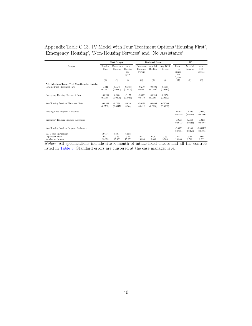| Appendix Table C.13. IV Model with Four Treatment Options 'Housing First', |
|----------------------------------------------------------------------------|
| 'Emergency Housing', 'Non-Housing Services' and 'No Assistance'.           |

|                                                                             | <b>First Stages</b>      |                         |                                 |                                 | <b>Reduced Form</b>   |                       | IV                                      |                       |                              |  |
|-----------------------------------------------------------------------------|--------------------------|-------------------------|---------------------------------|---------------------------------|-----------------------|-----------------------|-----------------------------------------|-----------------------|------------------------------|--|
| Sample:                                                                     | Housing<br>First         | Emergency<br>Housing    | Non-<br>Housing<br>Pro-<br>gram | Return to<br>Homeless<br>System | Any Jail<br>Booking   | Any DHS<br>Service    | Return<br>to<br>Home-<br>less<br>System | Any Jail<br>Booking   | Any<br><b>DHS</b><br>Service |  |
|                                                                             | (1)                      | (2)                     | (3)                             | (4)                             | (5)                   | (6)                   | (7)                                     | (8)                   | (9)                          |  |
| A.1. Medium-Term (7-18 Months after Intake)<br>Housing First Placement Rate | 0.824<br>(0.0693)        | $-0.0745$<br>(0.0480)   | $-0.0458$<br>(0.0507)           | $-0.210$<br>(0.0407)            | $-0.0804$<br>(0.0180) | $-0.0153$<br>(0.0312) |                                         |                       |                              |  |
| Emergency Housing Placement Rate                                            | $-0.0205$<br>(0.0308)    | 0.838<br>(0.0408)       | $-0.177$<br>(0.0741)            | $-0.0338$<br>(0.0410)           | $-0.0249$<br>(0.0185) | $-0.0370$<br>(0.0342) |                                         |                       |                              |  |
| Non-Housing Services Placement Rate                                         | $-0.0389$<br>(0.0715)    | $-0.0800$<br>(0.0347)   | 0.639<br>(0.104)                | $-0.0124$<br>(0.0412)           | $-0.0693$<br>(0.0230) | 0.00706<br>(0.0339)   |                                         |                       |                              |  |
| Housing First Program Assistance                                            |                          |                         |                                 |                                 |                       |                       | $-0.262$<br>(0.0588)                    | $-0.103$<br>(0.0221)  | $-0.0240$<br>(0.0399)        |  |
| Emergency Housing Program Assistance                                        |                          |                         |                                 |                                 |                       |                       | $-0.0556$<br>(0.0644)                   | $-0.0566$<br>(0.0324) | $-0.0455$<br>(0.0497)        |  |
| Non-Housing Services Program Assistance                                     |                          |                         |                                 |                                 |                       |                       | $-0.0423$<br>(0.0781)                   | $-0.104$<br>(0.0350)  | $-0.000109$<br>(0.0491)      |  |
| SW F-stat (Instrument)<br>Dependent Mean<br>Number of Intakes               | 191.74<br>0.07<br>15,353 | 83.61<br>0.36<br>15,353 | 64.23<br>0.27<br>15.353         | 0.27<br>15,353                  | 0.06<br>9.503         | 0.06<br>9.503         | 0.27<br>15.353                          | 0.06<br>9,503         | 0.06<br>9.503                |  |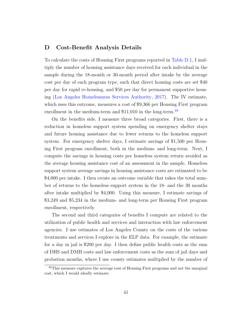### D Cost-Benefit Analysis Details

To calculate the costs of Housing First programs reported in [Table D.1,](#page-94-0) I multiply the number of housing assistance days received for each individual in the sample during the 18-month or 30-month period after intake by the average cost per day of each program type, such that direct housing costs are set \$40 per day for rapid re-housing, and \$50 per day for permanent supportive housing [\(Los Angeles Homelessness Services Authority,](#page-40-1) [2017\)](#page-40-1). The IV estimate, which uses this outcome, measures a cost of \$9,366 per Housing First program enrollment in the medium-term and  $$11,010$  in the long-term.<sup>[49](#page-1-0)</sup>

On the benefits side, I measure three broad categories. First, there is a reduction in homeless support system spending on emergency shelter stays and future housing assistance due to fewer returns to the homeless support system. For emergency shelter days, I estimate savings of \$1,500 per Housing First program enrollment, both in the medium- and long-term. Next, I compute the savings in housing costs per homeless system return avoided as the average housing assistance cost of an assessment in the sample. Homeless support system average savings in housing assistance costs are estimated to be \$4,000 per intake. I then create an outcome variable that takes the total number of returns to the homeless support system in the 18- and the 30 months after intake multiplied by \$4,000. Using this measure, I estimate savings of \$3,249 and \$5,234 in the medium- and long-term per Housing First program enrollment, respectively.

The second and third categories of benefits I compute are related to the utilization of public health and services and interaction with law enforcement agencies. I use estimates of Los Angeles County on the costs of the various treatments and services I explore in the ELP data. For example, the estimate for a day in jail is \$200 per day. I then define public health costs as the sum of DHS and DMH costs and law enforcement costs as the sum of jail days and probation months, where I use county estimates multiplied by the number of

<sup>&</sup>lt;sup>49</sup>This measure captures the average cost of Housing First programs and not the marginal cost, which I would ideally estimate.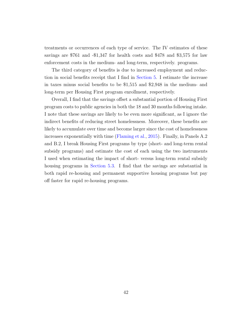treatments or occurrences of each type of service. The IV estimates of these savings are \$761 and -\$1,347 for health costs and \$478 and \$3,575 for law enforcement costs in the medium- and long-term, respectively. programs.

The third category of benefits is due to increased employment and reduction in social benefits receipt that I find in [Section 5.](#page-22-0) I estimate the increase in taxes minus social benefits to be \$1,515 and \$2,948 in the medium- and long-term per Housing First program enrollment, respectively.

Overall, I find that the savings offset a substantial portion of Housing First program costs to public agencies in both the 18 and 30 months following intake. I note that these savings are likely to be even more significant, as I ignore the indirect benefits of reducing street homelessness. Moreover, these benefits are likely to accumulate over time and become larger since the cost of homelessness increases exponentially with time [\(Flaming et al.,](#page-38-2) [2015\)](#page-38-2). Finally, in Panels A.2 and B.2, I break Housing First programs by type (short- and long-term rental subsidy programs) and estimate the cost of each using the two instruments I used when estimating the impact of short- versus long-term rental subsidy housing programs in [Section 5.3.](#page-30-0) I find that the savings are substantial in both rapid re-housing and permanent supportive housing programs but pay off faster for rapid re-housing programs.